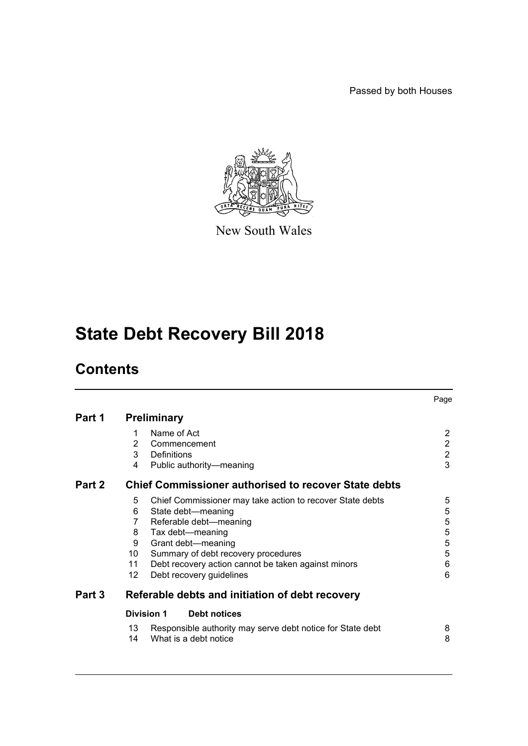Passed by both Houses



New South Wales

# **State Debt Recovery Bill 2018**

# **Contents**

|        |                                                             |                                                            | Page           |  |  |
|--------|-------------------------------------------------------------|------------------------------------------------------------|----------------|--|--|
| Part 1 | <b>Preliminary</b>                                          |                                                            |                |  |  |
|        | 1                                                           | Name of Act                                                | $\overline{2}$ |  |  |
|        | 2                                                           | Commencement                                               |                |  |  |
|        | 3                                                           | Definitions                                                | $\frac{2}{2}$  |  |  |
|        | 4                                                           | Public authority-meaning                                   | 3              |  |  |
| Part 2 | <b>Chief Commissioner authorised to recover State debts</b> |                                                            |                |  |  |
|        | 5                                                           | Chief Commissioner may take action to recover State debts  | 5              |  |  |
|        | 6                                                           | State debt-meaning                                         | 5              |  |  |
|        | 7                                                           | Referable debt-meaning                                     | 5              |  |  |
|        | 8                                                           | Tax debt-meaning                                           | $\mathbf 5$    |  |  |
|        | 9                                                           | Grant debt-meaning                                         | 5              |  |  |
|        | 10                                                          | Summary of debt recovery procedures                        | 5              |  |  |
|        | 11                                                          | Debt recovery action cannot be taken against minors        | 6              |  |  |
|        | 12                                                          | Debt recovery guidelines                                   | 6              |  |  |
| Part 3 |                                                             | Referable debts and initiation of debt recovery            |                |  |  |
|        |                                                             | Division 1<br><b>Debt notices</b>                          |                |  |  |
|        | 13                                                          | Responsible authority may serve debt notice for State debt | 8              |  |  |
|        | 14                                                          | What is a debt notice                                      | 8              |  |  |
|        |                                                             |                                                            |                |  |  |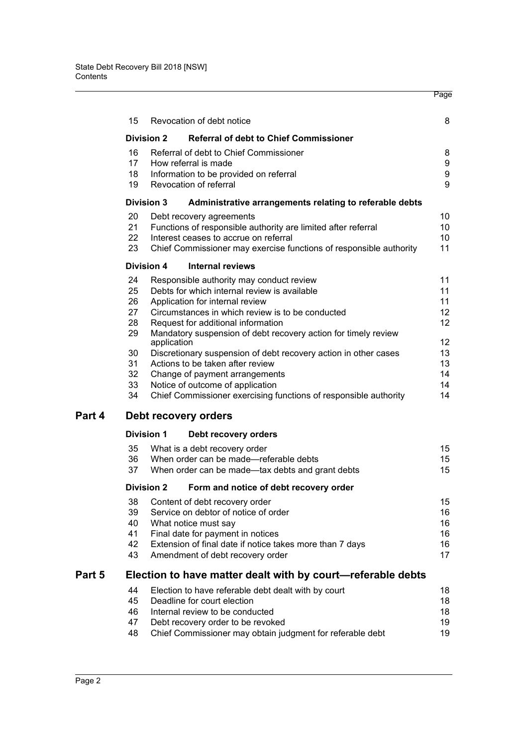|                                                                                     |                      |                   |                                                                    | Page              |  |  |  |
|-------------------------------------------------------------------------------------|----------------------|-------------------|--------------------------------------------------------------------|-------------------|--|--|--|
|                                                                                     | 15                   |                   | Revocation of debt notice                                          | 8                 |  |  |  |
|                                                                                     |                      | <b>Division 2</b> | <b>Referral of debt to Chief Commissioner</b>                      |                   |  |  |  |
|                                                                                     | 16                   |                   | Referral of debt to Chief Commissioner                             | 8                 |  |  |  |
|                                                                                     | 17                   |                   | How referral is made                                               | 9                 |  |  |  |
|                                                                                     | 18                   |                   | Information to be provided on referral                             | $\boldsymbol{9}$  |  |  |  |
|                                                                                     | 19                   |                   | Revocation of referral                                             | 9                 |  |  |  |
|                                                                                     |                      | <b>Division 3</b> | Administrative arrangements relating to referable debts            |                   |  |  |  |
|                                                                                     | 20                   |                   | Debt recovery agreements                                           | 10                |  |  |  |
|                                                                                     | 21                   |                   | Functions of responsible authority are limited after referral      | 10                |  |  |  |
|                                                                                     | 22                   |                   | Interest ceases to accrue on referral                              | 10                |  |  |  |
|                                                                                     | 23                   |                   | Chief Commissioner may exercise functions of responsible authority | 11                |  |  |  |
|                                                                                     |                      | <b>Division 4</b> | <b>Internal reviews</b>                                            |                   |  |  |  |
|                                                                                     | 24                   |                   | Responsible authority may conduct review                           | 11                |  |  |  |
|                                                                                     | 25                   |                   | Debts for which internal review is available                       | 11                |  |  |  |
|                                                                                     | 26                   |                   | Application for internal review                                    | 11                |  |  |  |
|                                                                                     | 27                   |                   | Circumstances in which review is to be conducted                   | 12 <sup>°</sup>   |  |  |  |
|                                                                                     | 28                   |                   | Request for additional information                                 | $12 \overline{ }$ |  |  |  |
| 29<br>Mandatory suspension of debt recovery action for timely review<br>application |                      |                   |                                                                    | 12                |  |  |  |
|                                                                                     | 30                   |                   | Discretionary suspension of debt recovery action in other cases    | 13                |  |  |  |
|                                                                                     | 31                   |                   | Actions to be taken after review                                   | 13                |  |  |  |
|                                                                                     | 32                   |                   | Change of payment arrangements                                     | 14                |  |  |  |
|                                                                                     | 33                   |                   | Notice of outcome of application                                   | 14                |  |  |  |
|                                                                                     | 34                   |                   | Chief Commissioner exercising functions of responsible authority   | 14                |  |  |  |
| Part 4                                                                              | Debt recovery orders |                   |                                                                    |                   |  |  |  |
|                                                                                     |                      | <b>Division 1</b> | Debt recovery orders                                               |                   |  |  |  |
|                                                                                     | 35                   |                   | What is a debt recovery order                                      | 15                |  |  |  |
|                                                                                     | 36                   |                   | When order can be made-referable debts                             | 15                |  |  |  |
|                                                                                     | 37                   |                   | When order can be made-tax debts and grant debts                   | 15                |  |  |  |
|                                                                                     |                      | <b>Division 2</b> | Form and notice of debt recovery order                             |                   |  |  |  |
|                                                                                     | 38                   |                   | Content of debt recovery order                                     | 15                |  |  |  |
|                                                                                     | 39                   |                   | Service on debtor of notice of order                               | 16                |  |  |  |
|                                                                                     | 40                   |                   | What notice must say                                               | 16                |  |  |  |
|                                                                                     | 41                   |                   | Final date for payment in notices                                  | 16                |  |  |  |
|                                                                                     | 42                   |                   | Extension of final date if notice takes more than 7 days           | 16                |  |  |  |
|                                                                                     | 43                   |                   | Amendment of debt recovery order                                   | 17                |  |  |  |
| Part 5                                                                              |                      |                   | Election to have matter dealt with by court-referable debts        |                   |  |  |  |
|                                                                                     | 44                   |                   | Election to have referable debt dealt with by court                | 18                |  |  |  |
|                                                                                     | 45                   |                   | Deadline for court election                                        | 18                |  |  |  |
|                                                                                     | 46                   |                   | Internal review to be conducted                                    | 18                |  |  |  |
|                                                                                     | 47                   |                   | Debt recovery order to be revoked                                  | 19                |  |  |  |
|                                                                                     | 48                   |                   | Chief Commissioner may obtain judgment for referable debt          | 19                |  |  |  |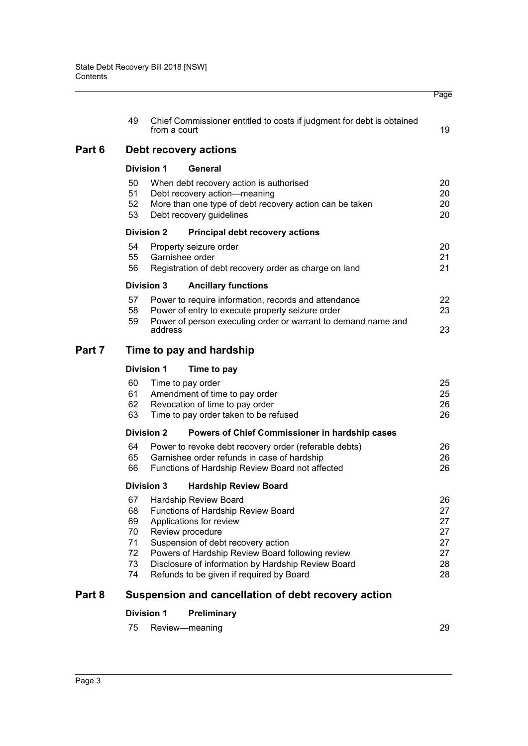|        |                                              |                   |                                                                                                                                                                                                                                                                                                        | Page                                         |  |  |  |
|--------|----------------------------------------------|-------------------|--------------------------------------------------------------------------------------------------------------------------------------------------------------------------------------------------------------------------------------------------------------------------------------------------------|----------------------------------------------|--|--|--|
|        | 49                                           | from a court      | Chief Commissioner entitled to costs if judgment for debt is obtained                                                                                                                                                                                                                                  | 19                                           |  |  |  |
| Part 6 | Debt recovery actions                        |                   |                                                                                                                                                                                                                                                                                                        |                                              |  |  |  |
|        |                                              | <b>Division 1</b> | General                                                                                                                                                                                                                                                                                                |                                              |  |  |  |
|        | 50<br>51<br>52<br>53                         |                   | When debt recovery action is authorised<br>Debt recovery action-meaning<br>More than one type of debt recovery action can be taken<br>Debt recovery guidelines                                                                                                                                         | 20<br>20<br>20<br>20                         |  |  |  |
|        |                                              | <b>Division 2</b> | <b>Principal debt recovery actions</b>                                                                                                                                                                                                                                                                 |                                              |  |  |  |
|        | 54<br>55<br>56                               |                   | Property seizure order<br>Garnishee order<br>Registration of debt recovery order as charge on land                                                                                                                                                                                                     | 20<br>21<br>21                               |  |  |  |
|        |                                              | <b>Division 3</b> | <b>Ancillary functions</b>                                                                                                                                                                                                                                                                             |                                              |  |  |  |
|        | 57<br>58<br>59                               |                   | Power to require information, records and attendance<br>Power of entry to execute property seizure order<br>Power of person executing order or warrant to demand name and                                                                                                                              | 22<br>23                                     |  |  |  |
|        |                                              | address           |                                                                                                                                                                                                                                                                                                        | 23                                           |  |  |  |
| Part 7 | Time to pay and hardship                     |                   |                                                                                                                                                                                                                                                                                                        |                                              |  |  |  |
|        |                                              | <b>Division 1</b> | Time to pay                                                                                                                                                                                                                                                                                            |                                              |  |  |  |
|        | 60<br>61<br>62<br>63                         |                   | Time to pay order<br>Amendment of time to pay order<br>Revocation of time to pay order<br>Time to pay order taken to be refused                                                                                                                                                                        | 25<br>25<br>26<br>26                         |  |  |  |
|        |                                              | <b>Division 2</b> | Powers of Chief Commissioner in hardship cases                                                                                                                                                                                                                                                         |                                              |  |  |  |
|        | 64<br>65<br>66                               |                   | Power to revoke debt recovery order (referable debts)<br>Garnishee order refunds in case of hardship<br>Functions of Hardship Review Board not affected                                                                                                                                                | 26<br>26<br>26                               |  |  |  |
|        | Division 3 Hardship Review Board             |                   |                                                                                                                                                                                                                                                                                                        |                                              |  |  |  |
|        | 67<br>68<br>69<br>70<br>71<br>72<br>73<br>74 |                   | Hardship Review Board<br>Functions of Hardship Review Board<br>Applications for review<br>Review procedure<br>Suspension of debt recovery action<br>Powers of Hardship Review Board following review<br>Disclosure of information by Hardship Review Board<br>Refunds to be given if required by Board | 26<br>27<br>27<br>27<br>27<br>27<br>28<br>28 |  |  |  |
| Part 8 |                                              |                   | Suspension and cancellation of debt recovery action                                                                                                                                                                                                                                                    |                                              |  |  |  |

# **[Division 1 Preliminary](#page-33-1)**

|  | 75 Review-meaning | 29 |
|--|-------------------|----|
|--|-------------------|----|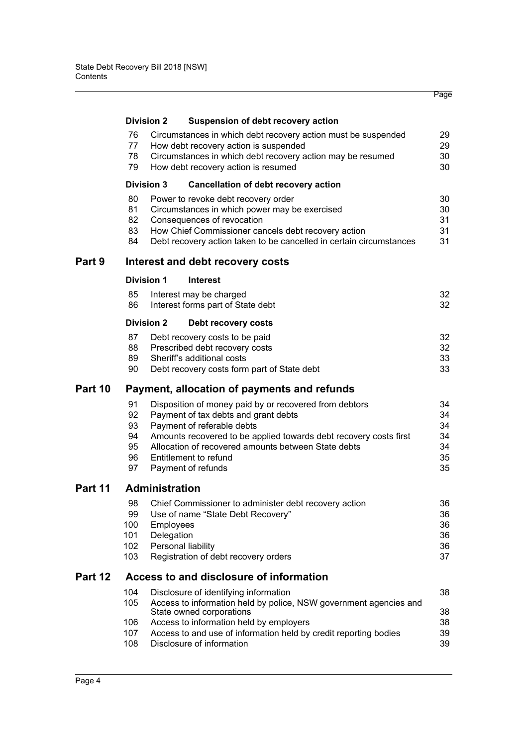|         | <b>Division 2</b>                           |                         | Suspension of debt recovery action                                                                                                                                                                                                               |                            |  |  |
|---------|---------------------------------------------|-------------------------|--------------------------------------------------------------------------------------------------------------------------------------------------------------------------------------------------------------------------------------------------|----------------------------|--|--|
|         | 76<br>77                                    |                         | Circumstances in which debt recovery action must be suspended<br>How debt recovery action is suspended                                                                                                                                           | 29<br>29                   |  |  |
|         | 78<br>79                                    |                         | Circumstances in which debt recovery action may be resumed<br>How debt recovery action is resumed                                                                                                                                                | 30<br>30                   |  |  |
|         | <b>Division 3</b>                           |                         | <b>Cancellation of debt recovery action</b>                                                                                                                                                                                                      |                            |  |  |
|         | 80<br>81<br>82<br>83<br>84                  |                         | Power to revoke debt recovery order<br>Circumstances in which power may be exercised<br>Consequences of revocation<br>How Chief Commissioner cancels debt recovery action<br>Debt recovery action taken to be cancelled in certain circumstances | 30<br>30<br>31<br>31<br>31 |  |  |
| Part 9  | Interest and debt recovery costs            |                         |                                                                                                                                                                                                                                                  |                            |  |  |
|         | <b>Division 1</b>                           |                         | <b>Interest</b>                                                                                                                                                                                                                                  |                            |  |  |
|         | 85<br>86                                    |                         | Interest may be charged<br>Interest forms part of State debt                                                                                                                                                                                     | 32<br>32                   |  |  |
|         | <b>Division 2</b>                           |                         | Debt recovery costs                                                                                                                                                                                                                              |                            |  |  |
|         | 87                                          |                         | Debt recovery costs to be paid                                                                                                                                                                                                                   | 32                         |  |  |
|         | 88<br>89                                    |                         | Prescribed debt recovery costs<br>Sheriff's additional costs                                                                                                                                                                                     | 32<br>33                   |  |  |
|         | 90                                          |                         | Debt recovery costs form part of State debt                                                                                                                                                                                                      | 33                         |  |  |
| Part 10 | Payment, allocation of payments and refunds |                         |                                                                                                                                                                                                                                                  |                            |  |  |
|         | 91                                          |                         | Disposition of money paid by or recovered from debtors                                                                                                                                                                                           | 34                         |  |  |
|         | 92<br>93                                    |                         | Payment of tax debts and grant debts                                                                                                                                                                                                             | 34<br>34                   |  |  |
|         | 94                                          |                         | Payment of referable debts<br>Amounts recovered to be applied towards debt recovery costs first                                                                                                                                                  | 34                         |  |  |
|         | 95                                          |                         | Allocation of recovered amounts between State debts                                                                                                                                                                                              | 34                         |  |  |
|         | 96                                          |                         | Entitlement to refund                                                                                                                                                                                                                            | 35                         |  |  |
|         | 97                                          |                         | Payment of refunds                                                                                                                                                                                                                               | 35                         |  |  |
| Part 11 | <b>Administration</b>                       |                         |                                                                                                                                                                                                                                                  |                            |  |  |
|         | 98                                          |                         | Chief Commissioner to administer debt recovery action                                                                                                                                                                                            | 36                         |  |  |
|         | 99                                          |                         | Use of name "State Debt Recovery"                                                                                                                                                                                                                | 36                         |  |  |
|         | 100<br>101                                  | Employees<br>Delegation |                                                                                                                                                                                                                                                  | 36<br>36                   |  |  |
|         | 102                                         |                         | Personal liability                                                                                                                                                                                                                               | 36                         |  |  |
|         | 103                                         |                         | Registration of debt recovery orders                                                                                                                                                                                                             | 37                         |  |  |
| Part 12 | Access to and disclosure of information     |                         |                                                                                                                                                                                                                                                  |                            |  |  |
|         | 104<br>105                                  |                         | Disclosure of identifying information<br>Access to information held by police, NSW government agencies and                                                                                                                                       | 38                         |  |  |
|         |                                             |                         | State owned corporations                                                                                                                                                                                                                         | 38                         |  |  |
|         | 106                                         |                         | Access to information held by employers                                                                                                                                                                                                          | 38                         |  |  |
|         | 107<br>108                                  |                         | Access to and use of information held by credit reporting bodies<br>Disclosure of information                                                                                                                                                    | 39<br>39                   |  |  |

Page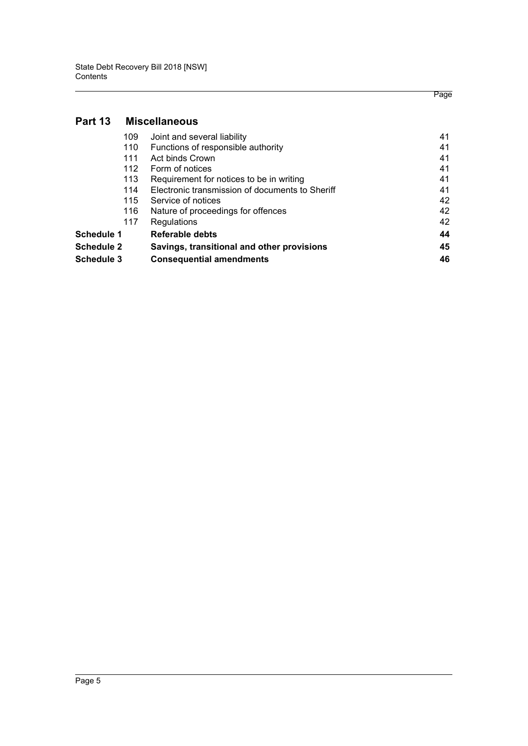# **[Part 13 Miscellaneous](#page-45-0)**

| 109        | Joint and several liability                     | 41 |
|------------|-------------------------------------------------|----|
| 110        | Functions of responsible authority              | 41 |
| 111        | Act binds Crown                                 | 41 |
| 112        | Form of notices                                 | 41 |
| 113        | Requirement for notices to be in writing        | 41 |
| 114        | Electronic transmission of documents to Sheriff | 41 |
| 115        | Service of notices                              | 42 |
| 116        | Nature of proceedings for offences              | 42 |
| 117        | Regulations                                     | 42 |
| Schedule 1 | Referable debts                                 | 44 |
| Schedule 2 | Savings, transitional and other provisions      |    |
| Schedule 3 | <b>Consequential amendments</b>                 | 46 |

Page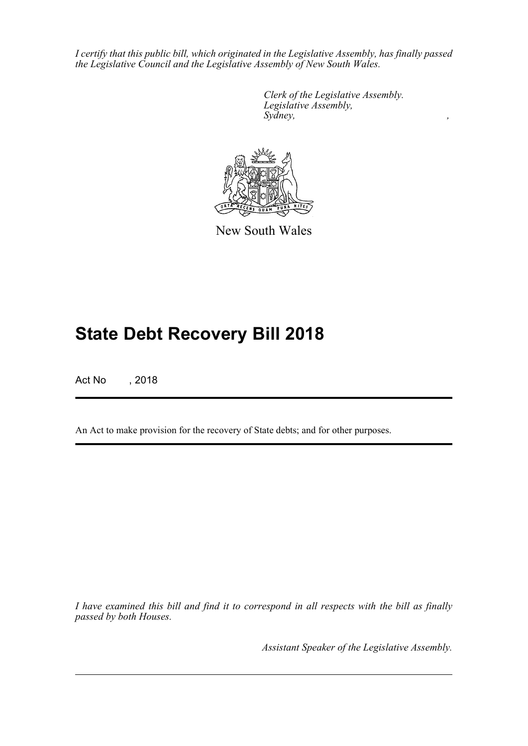*I certify that this public bill, which originated in the Legislative Assembly, has finally passed the Legislative Council and the Legislative Assembly of New South Wales.*

> *Clerk of the Legislative Assembly. Legislative Assembly, Sydney, ,*



New South Wales

# **State Debt Recovery Bill 2018**

Act No , 2018

An Act to make provision for the recovery of State debts; and for other purposes.

*I have examined this bill and find it to correspond in all respects with the bill as finally passed by both Houses.*

*Assistant Speaker of the Legislative Assembly.*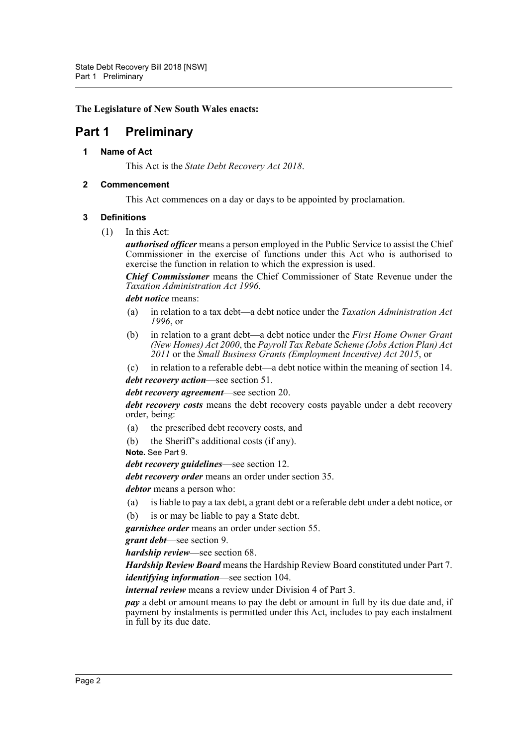# **The Legislature of New South Wales enacts:**

# <span id="page-6-1"></span><span id="page-6-0"></span>**Part 1 Preliminary**

# **1 Name of Act**

This Act is the *State Debt Recovery Act 2018*.

# <span id="page-6-2"></span>**2 Commencement**

This Act commences on a day or days to be appointed by proclamation.

# <span id="page-6-3"></span>**3 Definitions**

(1) In this Act:

*authorised officer* means a person employed in the Public Service to assist the Chief Commissioner in the exercise of functions under this Act who is authorised to exercise the function in relation to which the expression is used.

*Chief Commissioner* means the Chief Commissioner of State Revenue under the *Taxation Administration Act 1996*.

*debt notice* means:

- (a) in relation to a tax debt—a debt notice under the *Taxation Administration Act 1996*, or
- (b) in relation to a grant debt—a debt notice under the *First Home Owner Grant (New Homes) Act 2000*, the *Payroll Tax Rebate Scheme (Jobs Action Plan) Act 2011* or the *Small Business Grants (Employment Incentive) Act 2015*, or
- (c) in relation to a referable debt—a debt notice within the meaning of section 14.

*debt recovery action*—see section 51.

*debt recovery agreement*—see section 20.

*debt recovery costs* means the debt recovery costs payable under a debt recovery order, being:

- (a) the prescribed debt recovery costs, and
- (b) the Sheriff's additional costs (if any).

#### **Note.** See Part 9.

*debt recovery guidelines*—see section 12.

*debt recovery order* means an order under section 35.

*debtor* means a person who:

- (a) is liable to pay a tax debt, a grant debt or a referable debt under a debt notice, or
- (b) is or may be liable to pay a State debt.

*garnishee order* means an order under section 55.

*grant debt*—see section 9.

*hardship review*—see section 68.

*Hardship Review Board* means the Hardship Review Board constituted under Part 7. *identifying information*—see section 104.

*internal review* means a review under Division 4 of Part 3.

*pay* a debt or amount means to pay the debt or amount in full by its due date and, if payment by instalments is permitted under this Act, includes to pay each instalment in full by its due date.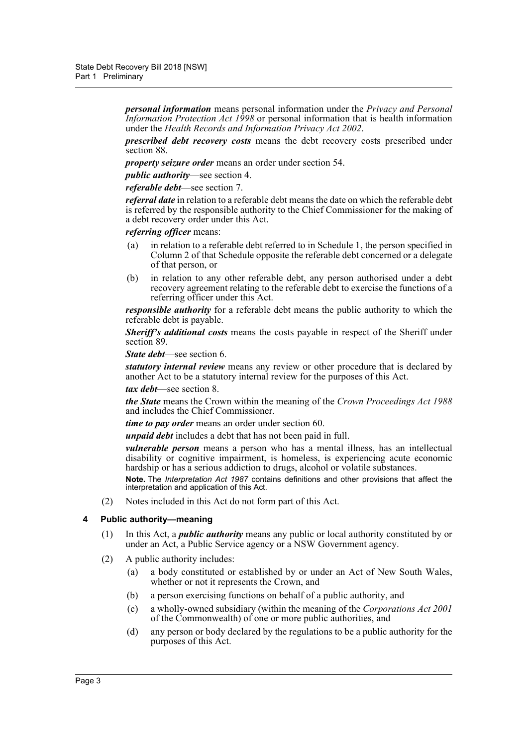*personal information* means personal information under the *Privacy and Personal Information Protection Act 1998* or personal information that is health information under the *Health Records and Information Privacy Act 2002*.

*prescribed debt recovery costs* means the debt recovery costs prescribed under section 88.

*property seizure order* means an order under section 54.

*public authority*—see section 4.

*referable debt*—see section 7.

*referral date* in relation to a referable debt means the date on which the referable debt is referred by the responsible authority to the Chief Commissioner for the making of a debt recovery order under this Act.

# *referring officer* means:

- (a) in relation to a referable debt referred to in Schedule 1, the person specified in Column 2 of that Schedule opposite the referable debt concerned or a delegate of that person, or
- (b) in relation to any other referable debt, any person authorised under a debt recovery agreement relating to the referable debt to exercise the functions of a referring officer under this Act.

*responsible authority* for a referable debt means the public authority to which the referable debt is payable.

*Sheriff's additional costs* means the costs payable in respect of the Sheriff under section 89.

*State debt*—see section 6.

*statutory internal review* means any review or other procedure that is declared by another Act to be a statutory internal review for the purposes of this Act.

*tax debt*—see section 8.

*the State* means the Crown within the meaning of the *Crown Proceedings Act 1988* and includes the Chief Commissioner.

*time to pay order* means an order under section 60.

*unpaid debt* includes a debt that has not been paid in full.

*vulnerable person* means a person who has a mental illness, has an intellectual disability or cognitive impairment, is homeless, is experiencing acute economic hardship or has a serious addiction to drugs, alcohol or volatile substances.

**Note.** The *Interpretation Act 1987* contains definitions and other provisions that affect the interpretation and application of this Act.

(2) Notes included in this Act do not form part of this Act.

# <span id="page-7-0"></span>**4 Public authority—meaning**

- (1) In this Act, a *public authority* means any public or local authority constituted by or under an Act, a Public Service agency or a NSW Government agency.
- (2) A public authority includes:
	- (a) a body constituted or established by or under an Act of New South Wales, whether or not it represents the Crown, and
	- (b) a person exercising functions on behalf of a public authority, and
	- (c) a wholly-owned subsidiary (within the meaning of the *Corporations Act 2001* of the Commonwealth) of one or more public authorities, and
	- (d) any person or body declared by the regulations to be a public authority for the purposes of this Act.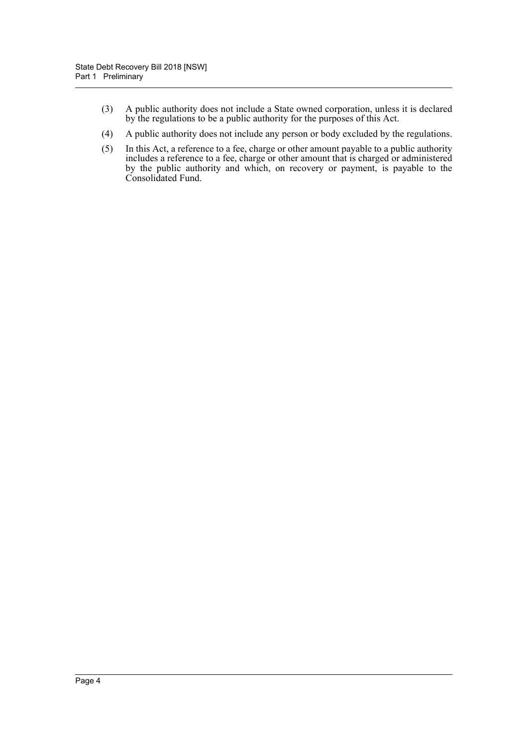- (3) A public authority does not include a State owned corporation, unless it is declared by the regulations to be a public authority for the purposes of this Act.
- (4) A public authority does not include any person or body excluded by the regulations.
- (5) In this Act, a reference to a fee, charge or other amount payable to a public authority includes a reference to a fee, charge or other amount that is charged or administered by the public authority and which, on recovery or payment, is payable to the Consolidated Fund.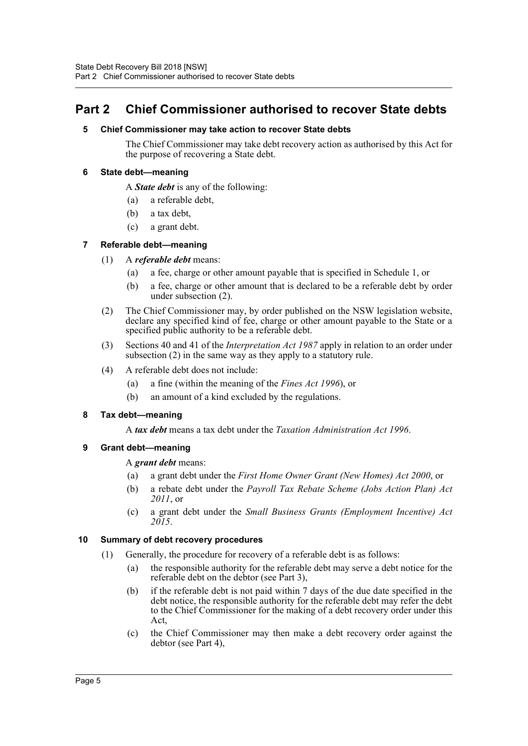# <span id="page-9-1"></span><span id="page-9-0"></span>**Part 2 Chief Commissioner authorised to recover State debts**

# **5 Chief Commissioner may take action to recover State debts**

The Chief Commissioner may take debt recovery action as authorised by this Act for the purpose of recovering a State debt.

# <span id="page-9-2"></span>**6 State debt—meaning**

A *State debt* is any of the following:

- (a) a referable debt,
- (b) a tax debt,
- (c) a grant debt.

# <span id="page-9-3"></span>**7 Referable debt—meaning**

- (1) A *referable debt* means:
	- (a) a fee, charge or other amount payable that is specified in Schedule 1, or
	- (b) a fee, charge or other amount that is declared to be a referable debt by order under subsection (2).
- (2) The Chief Commissioner may, by order published on the NSW legislation website, declare any specified kind of fee, charge or other amount payable to the State or a specified public authority to be a referable debt.
- (3) Sections 40 and 41 of the *Interpretation Act 1987* apply in relation to an order under subsection (2) in the same way as they apply to a statutory rule.
- (4) A referable debt does not include:
	- (a) a fine (within the meaning of the *Fines Act 1996*), or
	- (b) an amount of a kind excluded by the regulations.

# <span id="page-9-4"></span>**8 Tax debt—meaning**

A *tax debt* means a tax debt under the *Taxation Administration Act 1996*.

# <span id="page-9-5"></span>**9 Grant debt—meaning**

# A *grant debt* means:

- (a) a grant debt under the *First Home Owner Grant (New Homes) Act 2000*, or
- (b) a rebate debt under the *Payroll Tax Rebate Scheme (Jobs Action Plan) Act 2011*, or
- (c) a grant debt under the *Small Business Grants (Employment Incentive) Act 2015*.

# <span id="page-9-6"></span>**10 Summary of debt recovery procedures**

- (1) Generally, the procedure for recovery of a referable debt is as follows:
	- (a) the responsible authority for the referable debt may serve a debt notice for the referable debt on the debtor (see Part 3),
	- (b) if the referable debt is not paid within 7 days of the due date specified in the debt notice, the responsible authority for the referable debt may refer the debt to the Chief Commissioner for the making of a debt recovery order under this Act,
	- (c) the Chief Commissioner may then make a debt recovery order against the debtor (see Part 4),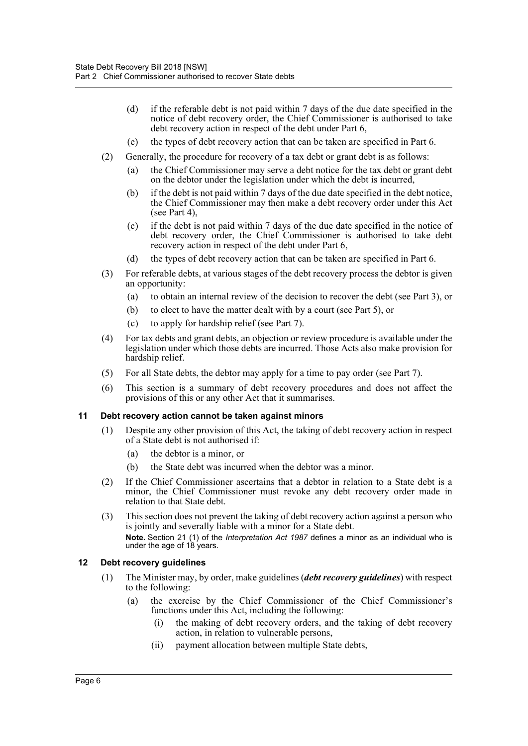- (d) if the referable debt is not paid within 7 days of the due date specified in the notice of debt recovery order, the Chief Commissioner is authorised to take debt recovery action in respect of the debt under Part 6,
- (e) the types of debt recovery action that can be taken are specified in Part 6.
- (2) Generally, the procedure for recovery of a tax debt or grant debt is as follows:
	- (a) the Chief Commissioner may serve a debt notice for the tax debt or grant debt on the debtor under the legislation under which the debt is incurred,
	- (b) if the debt is not paid within 7 days of the due date specified in the debt notice, the Chief Commissioner may then make a debt recovery order under this Act (see Part 4),
	- (c) if the debt is not paid within 7 days of the due date specified in the notice of debt recovery order, the Chief Commissioner is authorised to take debt recovery action in respect of the debt under Part 6,
	- (d) the types of debt recovery action that can be taken are specified in Part 6.
- (3) For referable debts, at various stages of the debt recovery process the debtor is given an opportunity:
	- (a) to obtain an internal review of the decision to recover the debt (see Part 3), or
	- (b) to elect to have the matter dealt with by a court (see Part 5), or
	- (c) to apply for hardship relief (see Part 7).
- (4) For tax debts and grant debts, an objection or review procedure is available under the legislation under which those debts are incurred. Those Acts also make provision for hardship relief.
- (5) For all State debts, the debtor may apply for a time to pay order (see Part 7).
- (6) This section is a summary of debt recovery procedures and does not affect the provisions of this or any other Act that it summarises.

# <span id="page-10-0"></span>**11 Debt recovery action cannot be taken against minors**

- (1) Despite any other provision of this Act, the taking of debt recovery action in respect of a State debt is not authorised if:
	- (a) the debtor is a minor, or
	- (b) the State debt was incurred when the debtor was a minor.
- (2) If the Chief Commissioner ascertains that a debtor in relation to a State debt is a minor, the Chief Commissioner must revoke any debt recovery order made in relation to that State debt.
- (3) This section does not prevent the taking of debt recovery action against a person who is jointly and severally liable with a minor for a State debt. **Note.** Section 21 (1) of the *Interpretation Act 1987* defines a minor as an individual who is under the age of 18 years.

# <span id="page-10-1"></span>**12 Debt recovery guidelines**

- (1) The Minister may, by order, make guidelines (*debt recovery guidelines*) with respect to the following:
	- (a) the exercise by the Chief Commissioner of the Chief Commissioner's functions under this Act, including the following:
		- (i) the making of debt recovery orders, and the taking of debt recovery action, in relation to vulnerable persons,
		- (ii) payment allocation between multiple State debts,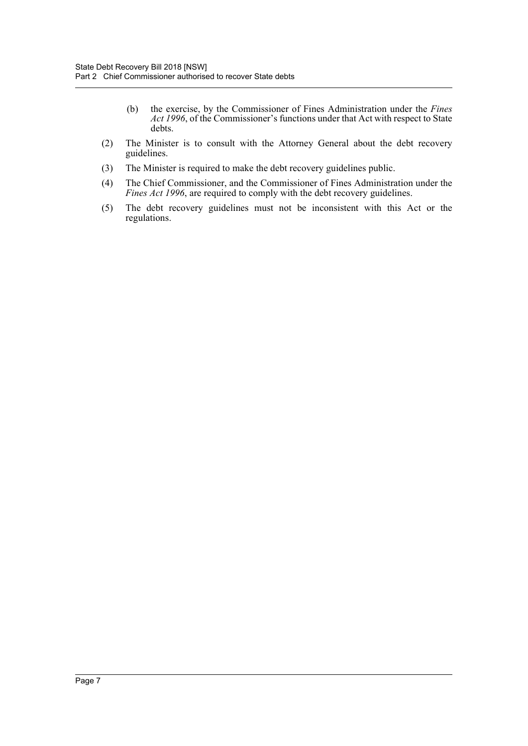- (b) the exercise, by the Commissioner of Fines Administration under the *Fines Act 1996*, of the Commissioner's functions under that Act with respect to State debts.
- (2) The Minister is to consult with the Attorney General about the debt recovery guidelines.
- (3) The Minister is required to make the debt recovery guidelines public.
- (4) The Chief Commissioner, and the Commissioner of Fines Administration under the *Fines Act 1996*, are required to comply with the debt recovery guidelines.
- (5) The debt recovery guidelines must not be inconsistent with this Act or the regulations.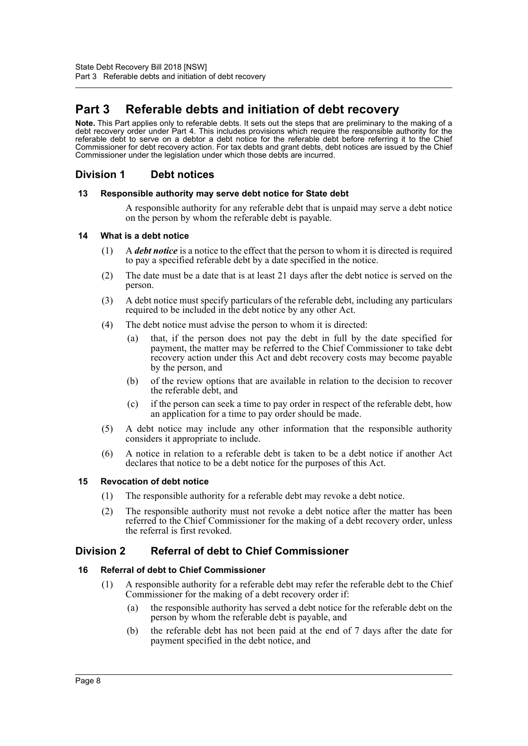# <span id="page-12-0"></span>**Part 3 Referable debts and initiation of debt recovery**

**Note.** This Part applies only to referable debts. It sets out the steps that are preliminary to the making of a debt recovery order under Part 4. This includes provisions which require the responsible authority for the referable debt to serve on a debtor a debt notice for the referable debt before referring it to the Chief Commissioner for debt recovery action. For tax debts and grant debts, debt notices are issued by the Chief Commissioner under the legislation under which those debts are incurred.

# <span id="page-12-1"></span>**Division 1 Debt notices**

# <span id="page-12-2"></span>**13 Responsible authority may serve debt notice for State debt**

A responsible authority for any referable debt that is unpaid may serve a debt notice on the person by whom the referable debt is payable.

# <span id="page-12-3"></span>**14 What is a debt notice**

- (1) A *debt notice* is a notice to the effect that the person to whom it is directed is required to pay a specified referable debt by a date specified in the notice.
- (2) The date must be a date that is at least 21 days after the debt notice is served on the person.
- (3) A debt notice must specify particulars of the referable debt, including any particulars required to be included in the debt notice by any other Act.
- (4) The debt notice must advise the person to whom it is directed:
	- (a) that, if the person does not pay the debt in full by the date specified for payment, the matter may be referred to the Chief Commissioner to take debt recovery action under this Act and debt recovery costs may become payable by the person, and
	- (b) of the review options that are available in relation to the decision to recover the referable debt, and
	- (c) if the person can seek a time to pay order in respect of the referable debt, how an application for a time to pay order should be made.
- (5) A debt notice may include any other information that the responsible authority considers it appropriate to include.
- (6) A notice in relation to a referable debt is taken to be a debt notice if another Act declares that notice to be a debt notice for the purposes of this Act.

# <span id="page-12-4"></span>**15 Revocation of debt notice**

- (1) The responsible authority for a referable debt may revoke a debt notice.
- (2) The responsible authority must not revoke a debt notice after the matter has been referred to the Chief Commissioner for the making of a debt recovery order, unless the referral is first revoked.

# <span id="page-12-5"></span>**Division 2 Referral of debt to Chief Commissioner**

# <span id="page-12-6"></span>**16 Referral of debt to Chief Commissioner**

- (1) A responsible authority for a referable debt may refer the referable debt to the Chief Commissioner for the making of a debt recovery order if:
	- (a) the responsible authority has served a debt notice for the referable debt on the person by whom the referable debt is payable, and
	- (b) the referable debt has not been paid at the end of 7 days after the date for payment specified in the debt notice, and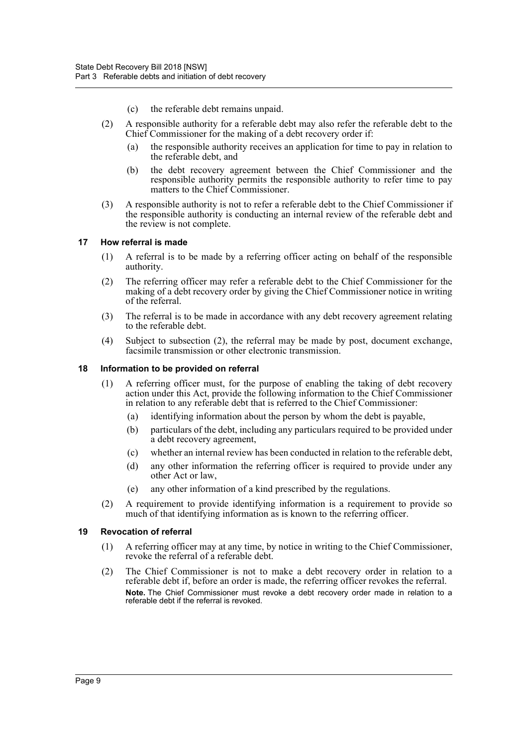- (c) the referable debt remains unpaid.
- (2) A responsible authority for a referable debt may also refer the referable debt to the Chief Commissioner for the making of a debt recovery order if:
	- (a) the responsible authority receives an application for time to pay in relation to the referable debt, and
	- (b) the debt recovery agreement between the Chief Commissioner and the responsible authority permits the responsible authority to refer time to pay matters to the Chief Commissioner.
- (3) A responsible authority is not to refer a referable debt to the Chief Commissioner if the responsible authority is conducting an internal review of the referable debt and the review is not complete.

#### <span id="page-13-0"></span>**17 How referral is made**

- (1) A referral is to be made by a referring officer acting on behalf of the responsible authority.
- (2) The referring officer may refer a referable debt to the Chief Commissioner for the making of a debt recovery order by giving the Chief Commissioner notice in writing of the referral.
- (3) The referral is to be made in accordance with any debt recovery agreement relating to the referable debt.
- (4) Subject to subsection (2), the referral may be made by post, document exchange, facsimile transmission or other electronic transmission.

#### <span id="page-13-1"></span>**18 Information to be provided on referral**

- (1) A referring officer must, for the purpose of enabling the taking of debt recovery action under this Act, provide the following information to the Chief Commissioner in relation to any referable debt that is referred to the Chief Commissioner:
	- (a) identifying information about the person by whom the debt is payable,
	- (b) particulars of the debt, including any particulars required to be provided under a debt recovery agreement,
	- (c) whether an internal review has been conducted in relation to the referable debt,
	- (d) any other information the referring officer is required to provide under any other Act or law,
	- (e) any other information of a kind prescribed by the regulations.
- (2) A requirement to provide identifying information is a requirement to provide so much of that identifying information as is known to the referring officer.

#### <span id="page-13-2"></span>**19 Revocation of referral**

- (1) A referring officer may at any time, by notice in writing to the Chief Commissioner, revoke the referral of a referable debt.
- (2) The Chief Commissioner is not to make a debt recovery order in relation to a referable debt if, before an order is made, the referring officer revokes the referral. **Note.** The Chief Commissioner must revoke a debt recovery order made in relation to a referable debt if the referral is revoked.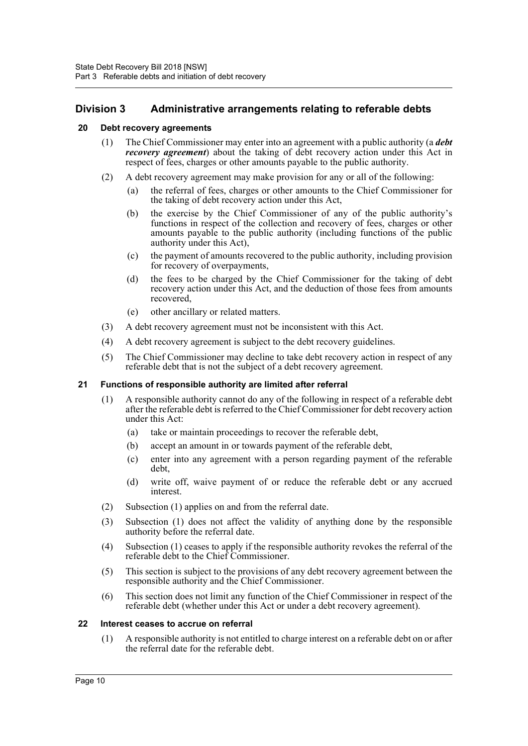# <span id="page-14-0"></span>**Division 3 Administrative arrangements relating to referable debts**

# <span id="page-14-1"></span>**20 Debt recovery agreements**

- (1) The Chief Commissioner may enter into an agreement with a public authority (a *debt recovery agreement*) about the taking of debt recovery action under this Act in respect of fees, charges or other amounts payable to the public authority.
- (2) A debt recovery agreement may make provision for any or all of the following:
	- (a) the referral of fees, charges or other amounts to the Chief Commissioner for the taking of debt recovery action under this Act,
	- (b) the exercise by the Chief Commissioner of any of the public authority's functions in respect of the collection and recovery of fees, charges or other amounts payable to the public authority (including functions of the public authority under this Act),
	- (c) the payment of amounts recovered to the public authority, including provision for recovery of overpayments,
	- (d) the fees to be charged by the Chief Commissioner for the taking of debt recovery action under this Act, and the deduction of those fees from amounts recovered,
	- (e) other ancillary or related matters.
- (3) A debt recovery agreement must not be inconsistent with this Act.
- (4) A debt recovery agreement is subject to the debt recovery guidelines.
- (5) The Chief Commissioner may decline to take debt recovery action in respect of any referable debt that is not the subject of a debt recovery agreement.

# <span id="page-14-2"></span>**21 Functions of responsible authority are limited after referral**

- (1) A responsible authority cannot do any of the following in respect of a referable debt after the referable debt is referred to the Chief Commissioner for debt recovery action under this Act:
	- (a) take or maintain proceedings to recover the referable debt,
	- (b) accept an amount in or towards payment of the referable debt,
	- (c) enter into any agreement with a person regarding payment of the referable debt,
	- (d) write off, waive payment of or reduce the referable debt or any accrued interest.
- (2) Subsection (1) applies on and from the referral date.
- (3) Subsection (1) does not affect the validity of anything done by the responsible authority before the referral date.
- (4) Subsection (1) ceases to apply if the responsible authority revokes the referral of the referable debt to the Chief Commissioner.
- (5) This section is subject to the provisions of any debt recovery agreement between the responsible authority and the Chief Commissioner.
- (6) This section does not limit any function of the Chief Commissioner in respect of the referable debt (whether under this Act or under a debt recovery agreement).

# <span id="page-14-3"></span>**22 Interest ceases to accrue on referral**

(1) A responsible authority is not entitled to charge interest on a referable debt on or after the referral date for the referable debt.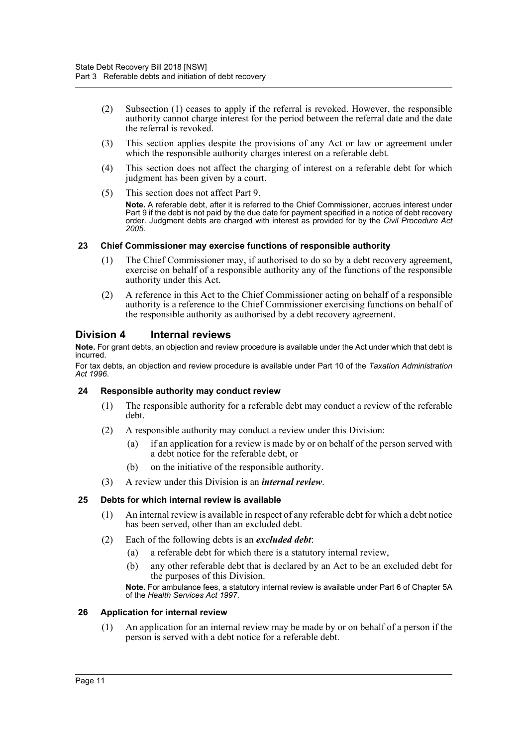- (2) Subsection (1) ceases to apply if the referral is revoked. However, the responsible authority cannot charge interest for the period between the referral date and the date the referral is revoked.
- (3) This section applies despite the provisions of any Act or law or agreement under which the responsible authority charges interest on a referable debt.
- (4) This section does not affect the charging of interest on a referable debt for which judgment has been given by a court.
- (5) This section does not affect Part 9.

**Note.** A referable debt, after it is referred to the Chief Commissioner, accrues interest under Part 9 if the debt is not paid by the due date for payment specified in a notice of debt recovery order. Judgment debts are charged with interest as provided for by the *Civil Procedure Act 2005*.

# <span id="page-15-0"></span>**23 Chief Commissioner may exercise functions of responsible authority**

- (1) The Chief Commissioner may, if authorised to do so by a debt recovery agreement, exercise on behalf of a responsible authority any of the functions of the responsible authority under this Act.
- (2) A reference in this Act to the Chief Commissioner acting on behalf of a responsible authority is a reference to the Chief Commissioner exercising functions on behalf of the responsible authority as authorised by a debt recovery agreement.

# <span id="page-15-1"></span>**Division 4 Internal reviews**

**Note.** For grant debts, an objection and review procedure is available under the Act under which that debt is incurred.

For tax debts, an objection and review procedure is available under Part 10 of the *Taxation Administration Act 1996*.

# <span id="page-15-2"></span>**24 Responsible authority may conduct review**

- (1) The responsible authority for a referable debt may conduct a review of the referable debt.
- (2) A responsible authority may conduct a review under this Division:
	- (a) if an application for a review is made by or on behalf of the person served with a debt notice for the referable debt, or
	- (b) on the initiative of the responsible authority.
- (3) A review under this Division is an *internal review*.

# <span id="page-15-3"></span>**25 Debts for which internal review is available**

- (1) An internal review is available in respect of any referable debt for which a debt notice has been served, other than an excluded debt.
- (2) Each of the following debts is an *excluded debt*:
	- (a) a referable debt for which there is a statutory internal review,
	- (b) any other referable debt that is declared by an Act to be an excluded debt for the purposes of this Division.

**Note.** For ambulance fees, a statutory internal review is available under Part 6 of Chapter 5A of the *Health Services Act 1997*.

# <span id="page-15-4"></span>**26 Application for internal review**

(1) An application for an internal review may be made by or on behalf of a person if the person is served with a debt notice for a referable debt.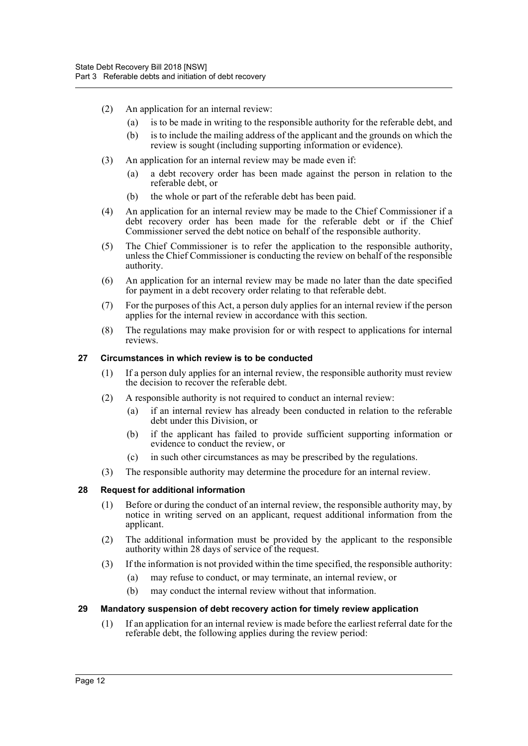- (2) An application for an internal review:
	- (a) is to be made in writing to the responsible authority for the referable debt, and
	- (b) is to include the mailing address of the applicant and the grounds on which the review is sought (including supporting information or evidence).
- (3) An application for an internal review may be made even if:
	- (a) a debt recovery order has been made against the person in relation to the referable debt, or
	- (b) the whole or part of the referable debt has been paid.
- (4) An application for an internal review may be made to the Chief Commissioner if a debt recovery order has been made for the referable debt or if the Chief Commissioner served the debt notice on behalf of the responsible authority.
- (5) The Chief Commissioner is to refer the application to the responsible authority, unless the Chief Commissioner is conducting the review on behalf of the responsible authority.
- (6) An application for an internal review may be made no later than the date specified for payment in a debt recovery order relating to that referable debt.
- (7) For the purposes of this Act, a person duly applies for an internal review if the person applies for the internal review in accordance with this section.
- (8) The regulations may make provision for or with respect to applications for internal reviews.

#### <span id="page-16-0"></span>**27 Circumstances in which review is to be conducted**

- (1) If a person duly applies for an internal review, the responsible authority must review the decision to recover the referable debt.
- (2) A responsible authority is not required to conduct an internal review:
	- (a) if an internal review has already been conducted in relation to the referable debt under this Division, or
	- (b) if the applicant has failed to provide sufficient supporting information or evidence to conduct the review, or
	- (c) in such other circumstances as may be prescribed by the regulations.
- (3) The responsible authority may determine the procedure for an internal review.

# <span id="page-16-1"></span>**28 Request for additional information**

- (1) Before or during the conduct of an internal review, the responsible authority may, by notice in writing served on an applicant, request additional information from the applicant.
- (2) The additional information must be provided by the applicant to the responsible authority within 28 days of service of the request.
- (3) If the information is not provided within the time specified, the responsible authority:
	- (a) may refuse to conduct, or may terminate, an internal review, or
	- (b) may conduct the internal review without that information.

#### <span id="page-16-2"></span>**29 Mandatory suspension of debt recovery action for timely review application**

(1) If an application for an internal review is made before the earliest referral date for the referable debt, the following applies during the review period: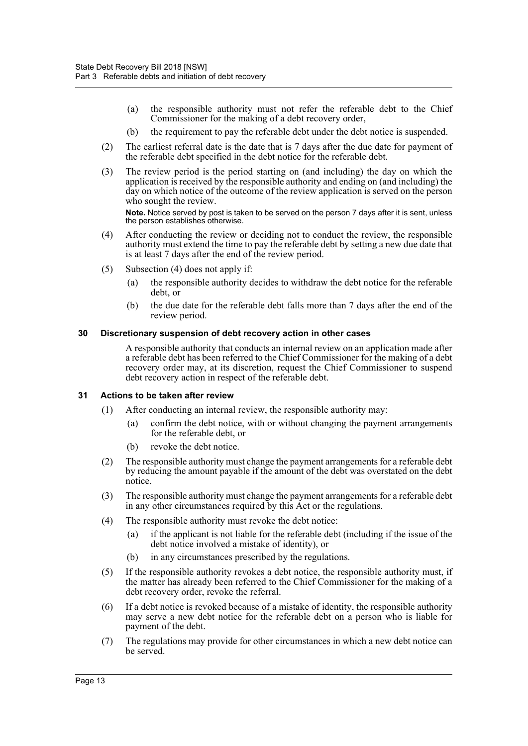- (a) the responsible authority must not refer the referable debt to the Chief Commissioner for the making of a debt recovery order,
- (b) the requirement to pay the referable debt under the debt notice is suspended.
- (2) The earliest referral date is the date that is 7 days after the due date for payment of the referable debt specified in the debt notice for the referable debt.
- (3) The review period is the period starting on (and including) the day on which the application is received by the responsible authority and ending on (and including) the day on which notice of the outcome of the review application is served on the person who sought the review.

**Note.** Notice served by post is taken to be served on the person 7 days after it is sent, unless the person establishes otherwise.

- (4) After conducting the review or deciding not to conduct the review, the responsible authority must extend the time to pay the referable debt by setting a new due date that is at least 7 days after the end of the review period.
- (5) Subsection (4) does not apply if:
	- (a) the responsible authority decides to withdraw the debt notice for the referable debt, or
	- (b) the due date for the referable debt falls more than 7 days after the end of the review period.

#### <span id="page-17-0"></span>**30 Discretionary suspension of debt recovery action in other cases**

A responsible authority that conducts an internal review on an application made after a referable debt has been referred to the Chief Commissioner for the making of a debt recovery order may, at its discretion, request the Chief Commissioner to suspend debt recovery action in respect of the referable debt.

# <span id="page-17-1"></span>**31 Actions to be taken after review**

- (1) After conducting an internal review, the responsible authority may:
	- (a) confirm the debt notice, with or without changing the payment arrangements for the referable debt, or
	- (b) revoke the debt notice.
- (2) The responsible authority must change the payment arrangements for a referable debt by reducing the amount payable if the amount of the debt was overstated on the debt notice.
- (3) The responsible authority must change the payment arrangements for a referable debt in any other circumstances required by this Act or the regulations.
- (4) The responsible authority must revoke the debt notice:
	- (a) if the applicant is not liable for the referable debt (including if the issue of the debt notice involved a mistake of identity), or
	- (b) in any circumstances prescribed by the regulations.
- (5) If the responsible authority revokes a debt notice, the responsible authority must, if the matter has already been referred to the Chief Commissioner for the making of a debt recovery order, revoke the referral.
- (6) If a debt notice is revoked because of a mistake of identity, the responsible authority may serve a new debt notice for the referable debt on a person who is liable for payment of the debt.
- (7) The regulations may provide for other circumstances in which a new debt notice can be served.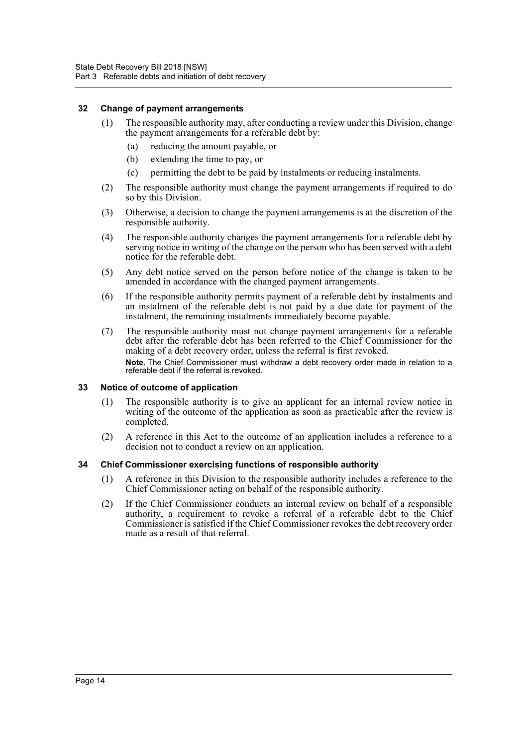# <span id="page-18-0"></span>**32 Change of payment arrangements**

- (1) The responsible authority may, after conducting a review under this Division, change the payment arrangements for a referable debt by:
	- (a) reducing the amount payable, or
	- (b) extending the time to pay, or
	- (c) permitting the debt to be paid by instalments or reducing instalments.
- (2) The responsible authority must change the payment arrangements if required to do so by this Division.
- (3) Otherwise, a decision to change the payment arrangements is at the discretion of the responsible authority.
- (4) The responsible authority changes the payment arrangements for a referable debt by serving notice in writing of the change on the person who has been served with a debt notice for the referable debt.
- (5) Any debt notice served on the person before notice of the change is taken to be amended in accordance with the changed payment arrangements.
- (6) If the responsible authority permits payment of a referable debt by instalments and an instalment of the referable debt is not paid by a due date for payment of the instalment, the remaining instalments immediately become payable.
- (7) The responsible authority must not change payment arrangements for a referable debt after the referable debt has been referred to the Chief Commissioner for the making of a debt recovery order, unless the referral is first revoked. **Note.** The Chief Commissioner must withdraw a debt recovery order made in relation to a referable debt if the referral is revoked.

# <span id="page-18-1"></span>**33 Notice of outcome of application**

- (1) The responsible authority is to give an applicant for an internal review notice in writing of the outcome of the application as soon as practicable after the review is completed.
- (2) A reference in this Act to the outcome of an application includes a reference to a decision not to conduct a review on an application.

# <span id="page-18-2"></span>**34 Chief Commissioner exercising functions of responsible authority**

- (1) A reference in this Division to the responsible authority includes a reference to the Chief Commissioner acting on behalf of the responsible authority.
- (2) If the Chief Commissioner conducts an internal review on behalf of a responsible authority, a requirement to revoke a referral of a referable debt to the Chief Commissioner is satisfied if the Chief Commissioner revokes the debt recovery order made as a result of that referral.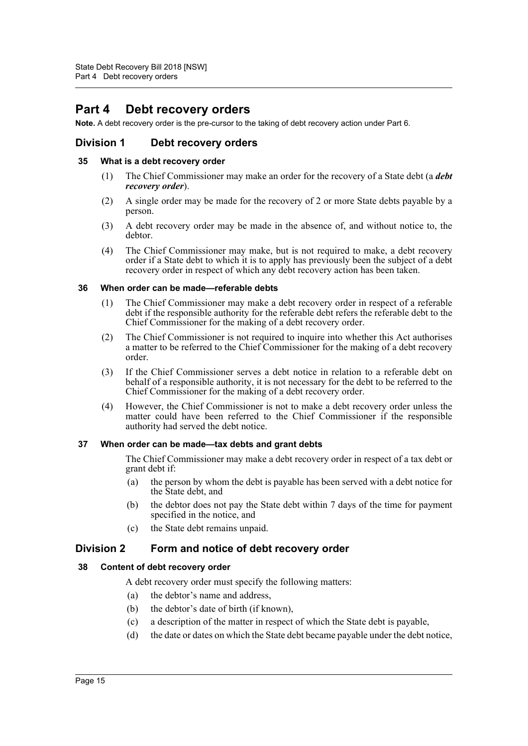# <span id="page-19-0"></span>**Part 4 Debt recovery orders**

**Note.** A debt recovery order is the pre-cursor to the taking of debt recovery action under Part 6.

# <span id="page-19-1"></span>**Division 1 Debt recovery orders**

# <span id="page-19-2"></span>**35 What is a debt recovery order**

- (1) The Chief Commissioner may make an order for the recovery of a State debt (a *debt recovery order*).
- (2) A single order may be made for the recovery of 2 or more State debts payable by a person.
- (3) A debt recovery order may be made in the absence of, and without notice to, the debtor.
- (4) The Chief Commissioner may make, but is not required to make, a debt recovery order if a State debt to which it is to apply has previously been the subject of a debt recovery order in respect of which any debt recovery action has been taken.

#### <span id="page-19-3"></span>**36 When order can be made—referable debts**

- (1) The Chief Commissioner may make a debt recovery order in respect of a referable debt if the responsible authority for the referable debt refers the referable debt to the Chief Commissioner for the making of a debt recovery order.
- (2) The Chief Commissioner is not required to inquire into whether this Act authorises a matter to be referred to the Chief Commissioner for the making of a debt recovery order.
- (3) If the Chief Commissioner serves a debt notice in relation to a referable debt on behalf of a responsible authority, it is not necessary for the debt to be referred to the Chief Commissioner for the making of a debt recovery order.
- (4) However, the Chief Commissioner is not to make a debt recovery order unless the matter could have been referred to the Chief Commissioner if the responsible authority had served the debt notice.

# <span id="page-19-4"></span>**37 When order can be made—tax debts and grant debts**

The Chief Commissioner may make a debt recovery order in respect of a tax debt or grant debt if:

- (a) the person by whom the debt is payable has been served with a debt notice for the State debt, and
- (b) the debtor does not pay the State debt within 7 days of the time for payment specified in the notice, and
- (c) the State debt remains unpaid.

# <span id="page-19-5"></span>**Division 2 Form and notice of debt recovery order**

# <span id="page-19-6"></span>**38 Content of debt recovery order**

A debt recovery order must specify the following matters:

- (a) the debtor's name and address,
- (b) the debtor's date of birth (if known),
- (c) a description of the matter in respect of which the State debt is payable,
- (d) the date or dates on which the State debt became payable under the debt notice,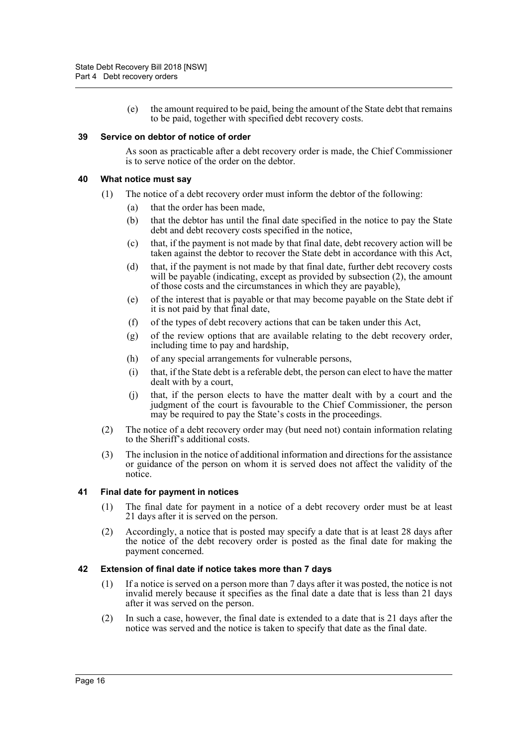(e) the amount required to be paid, being the amount of the State debt that remains to be paid, together with specified debt recovery costs.

#### <span id="page-20-0"></span>**39 Service on debtor of notice of order**

As soon as practicable after a debt recovery order is made, the Chief Commissioner is to serve notice of the order on the debtor.

#### <span id="page-20-1"></span>**40 What notice must say**

- (1) The notice of a debt recovery order must inform the debtor of the following:
	- (a) that the order has been made,
	- (b) that the debtor has until the final date specified in the notice to pay the State debt and debt recovery costs specified in the notice,
	- (c) that, if the payment is not made by that final date, debt recovery action will be taken against the debtor to recover the State debt in accordance with this Act,
	- (d) that, if the payment is not made by that final date, further debt recovery costs will be payable (indicating, except as provided by subsection  $(2)$ , the amount of those costs and the circumstances in which they are payable),
	- (e) of the interest that is payable or that may become payable on the State debt if it is not paid by that final date,
	- (f) of the types of debt recovery actions that can be taken under this Act,
	- (g) of the review options that are available relating to the debt recovery order, including time to pay and hardship,
	- (h) of any special arrangements for vulnerable persons,
	- (i) that, if the State debt is a referable debt, the person can elect to have the matter dealt with by a court,
	- (j) that, if the person elects to have the matter dealt with by a court and the judgment of the court is favourable to the Chief Commissioner, the person may be required to pay the State's costs in the proceedings.
- (2) The notice of a debt recovery order may (but need not) contain information relating to the Sheriff's additional costs.
- (3) The inclusion in the notice of additional information and directions for the assistance or guidance of the person on whom it is served does not affect the validity of the notice.

# <span id="page-20-2"></span>**41 Final date for payment in notices**

- (1) The final date for payment in a notice of a debt recovery order must be at least 21 days after it is served on the person.
- (2) Accordingly, a notice that is posted may specify a date that is at least 28 days after the notice of the debt recovery order is posted as the final date for making the payment concerned.

#### <span id="page-20-3"></span>**42 Extension of final date if notice takes more than 7 days**

- (1) If a notice is served on a person more than 7 days after it was posted, the notice is not invalid merely because it specifies as the final date a date that is less than 21 days after it was served on the person.
- (2) In such a case, however, the final date is extended to a date that is 21 days after the notice was served and the notice is taken to specify that date as the final date.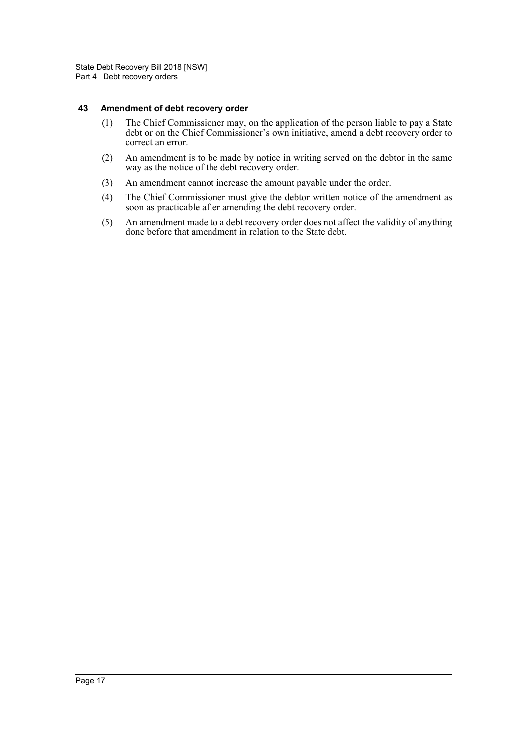#### <span id="page-21-0"></span>**43 Amendment of debt recovery order**

- (1) The Chief Commissioner may, on the application of the person liable to pay a State debt or on the Chief Commissioner's own initiative, amend a debt recovery order to correct an error.
- (2) An amendment is to be made by notice in writing served on the debtor in the same way as the notice of the debt recovery order.
- (3) An amendment cannot increase the amount payable under the order.
- (4) The Chief Commissioner must give the debtor written notice of the amendment as soon as practicable after amending the debt recovery order.
- (5) An amendment made to a debt recovery order does not affect the validity of anything done before that amendment in relation to the State debt.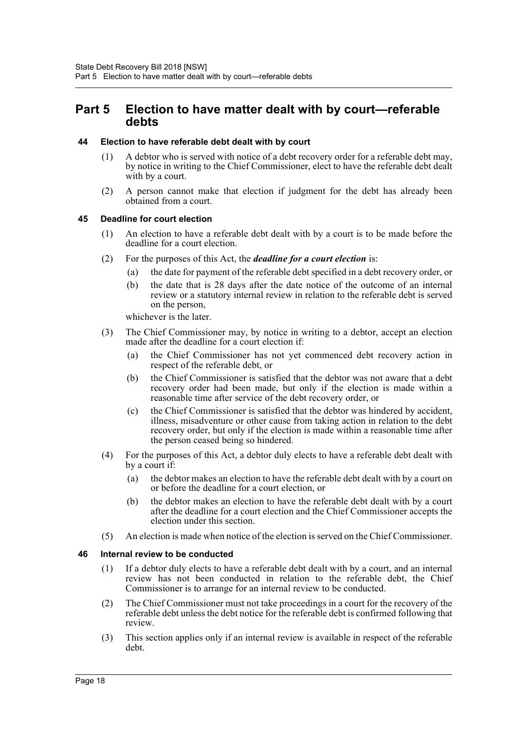# <span id="page-22-0"></span>**Part 5 Election to have matter dealt with by court—referable debts**

# <span id="page-22-1"></span>**44 Election to have referable debt dealt with by court**

- (1) A debtor who is served with notice of a debt recovery order for a referable debt may, by notice in writing to the Chief Commissioner, elect to have the referable debt dealt with by a court.
- (2) A person cannot make that election if judgment for the debt has already been obtained from a court.

# <span id="page-22-2"></span>**45 Deadline for court election**

- (1) An election to have a referable debt dealt with by a court is to be made before the deadline for a court election.
- (2) For the purposes of this Act, the *deadline for a court election* is:
	- (a) the date for payment of the referable debt specified in a debt recovery order, or
	- (b) the date that is 28 days after the date notice of the outcome of an internal review or a statutory internal review in relation to the referable debt is served on the person,

whichever is the later.

- (3) The Chief Commissioner may, by notice in writing to a debtor, accept an election made after the deadline for a court election if:
	- (a) the Chief Commissioner has not yet commenced debt recovery action in respect of the referable debt, or
	- (b) the Chief Commissioner is satisfied that the debtor was not aware that a debt recovery order had been made, but only if the election is made within a reasonable time after service of the debt recovery order, or
	- (c) the Chief Commissioner is satisfied that the debtor was hindered by accident, illness, misadventure or other cause from taking action in relation to the debt recovery order, but only if the election is made within a reasonable time after the person ceased being so hindered.
- (4) For the purposes of this Act, a debtor duly elects to have a referable debt dealt with by a court if:
	- (a) the debtor makes an election to have the referable debt dealt with by a court on or before the deadline for a court election, or
	- (b) the debtor makes an election to have the referable debt dealt with by a court after the deadline for a court election and the Chief Commissioner accepts the election under this section.
- (5) An election is made when notice of the election is served on the Chief Commissioner.

# <span id="page-22-3"></span>**46 Internal review to be conducted**

- (1) If a debtor duly elects to have a referable debt dealt with by a court, and an internal review has not been conducted in relation to the referable debt, the Chief Commissioner is to arrange for an internal review to be conducted.
- (2) The Chief Commissioner must not take proceedings in a court for the recovery of the referable debt unless the debt notice for the referable debt is confirmed following that review.
- (3) This section applies only if an internal review is available in respect of the referable debt.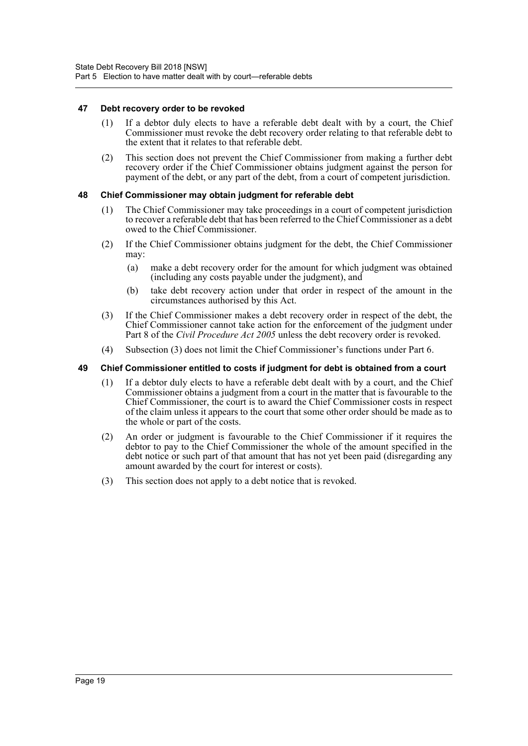# <span id="page-23-0"></span>**47 Debt recovery order to be revoked**

- (1) If a debtor duly elects to have a referable debt dealt with by a court, the Chief Commissioner must revoke the debt recovery order relating to that referable debt to the extent that it relates to that referable debt.
- (2) This section does not prevent the Chief Commissioner from making a further debt recovery order if the Chief Commissioner obtains judgment against the person for payment of the debt, or any part of the debt, from a court of competent jurisdiction.

# <span id="page-23-1"></span>**48 Chief Commissioner may obtain judgment for referable debt**

- (1) The Chief Commissioner may take proceedings in a court of competent jurisdiction to recover a referable debt that has been referred to the Chief Commissioner as a debt owed to the Chief Commissioner.
- (2) If the Chief Commissioner obtains judgment for the debt, the Chief Commissioner may:
	- (a) make a debt recovery order for the amount for which judgment was obtained (including any costs payable under the judgment), and
	- (b) take debt recovery action under that order in respect of the amount in the circumstances authorised by this Act.
- (3) If the Chief Commissioner makes a debt recovery order in respect of the debt, the Chief Commissioner cannot take action for the enforcement of the judgment under Part 8 of the *Civil Procedure Act 2005* unless the debt recovery order is revoked.
- (4) Subsection (3) does not limit the Chief Commissioner's functions under Part 6.

# <span id="page-23-2"></span>**49 Chief Commissioner entitled to costs if judgment for debt is obtained from a court**

- (1) If a debtor duly elects to have a referable debt dealt with by a court, and the Chief Commissioner obtains a judgment from a court in the matter that is favourable to the Chief Commissioner, the court is to award the Chief Commissioner costs in respect of the claim unless it appears to the court that some other order should be made as to the whole or part of the costs.
- (2) An order or judgment is favourable to the Chief Commissioner if it requires the debtor to pay to the Chief Commissioner the whole of the amount specified in the debt notice or such part of that amount that has not yet been paid (disregarding any amount awarded by the court for interest or costs).
- (3) This section does not apply to a debt notice that is revoked.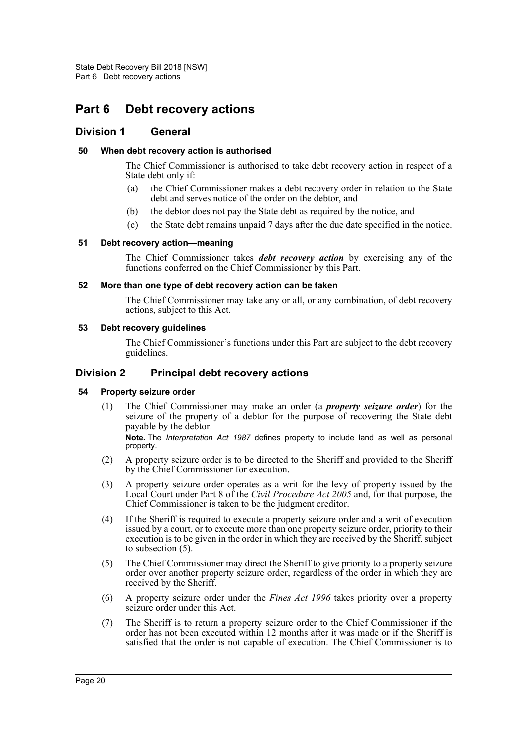# <span id="page-24-0"></span>**Part 6 Debt recovery actions**

# <span id="page-24-1"></span>**Division 1 General**

# <span id="page-24-2"></span>**50 When debt recovery action is authorised**

The Chief Commissioner is authorised to take debt recovery action in respect of a State debt only if:

- (a) the Chief Commissioner makes a debt recovery order in relation to the State debt and serves notice of the order on the debtor, and
- (b) the debtor does not pay the State debt as required by the notice, and
- (c) the State debt remains unpaid 7 days after the due date specified in the notice.

# <span id="page-24-3"></span>**51 Debt recovery action—meaning**

The Chief Commissioner takes *debt recovery action* by exercising any of the functions conferred on the Chief Commissioner by this Part.

# <span id="page-24-4"></span>**52 More than one type of debt recovery action can be taken**

The Chief Commissioner may take any or all, or any combination, of debt recovery actions, subject to this Act.

# <span id="page-24-5"></span>**53 Debt recovery guidelines**

The Chief Commissioner's functions under this Part are subject to the debt recovery guidelines.

# <span id="page-24-6"></span>**Division 2 Principal debt recovery actions**

# <span id="page-24-7"></span>**54 Property seizure order**

(1) The Chief Commissioner may make an order (a *property seizure order*) for the seizure of the property of a debtor for the purpose of recovering the State debt payable by the debtor.

**Note.** The *Interpretation Act 1987* defines property to include land as well as personal property.

- (2) A property seizure order is to be directed to the Sheriff and provided to the Sheriff by the Chief Commissioner for execution.
- (3) A property seizure order operates as a writ for the levy of property issued by the Local Court under Part 8 of the *Civil Procedure Act 2005* and, for that purpose, the Chief Commissioner is taken to be the judgment creditor.
- (4) If the Sheriff is required to execute a property seizure order and a writ of execution issued by a court, or to execute more than one property seizure order, priority to their execution is to be given in the order in which they are received by the Sheriff, subject to subsection (5).
- (5) The Chief Commissioner may direct the Sheriff to give priority to a property seizure order over another property seizure order, regardless of the order in which they are received by the Sheriff.
- (6) A property seizure order under the *Fines Act 1996* takes priority over a property seizure order under this Act.
- (7) The Sheriff is to return a property seizure order to the Chief Commissioner if the order has not been executed within 12 months after it was made or if the Sheriff is satisfied that the order is not capable of execution. The Chief Commissioner is to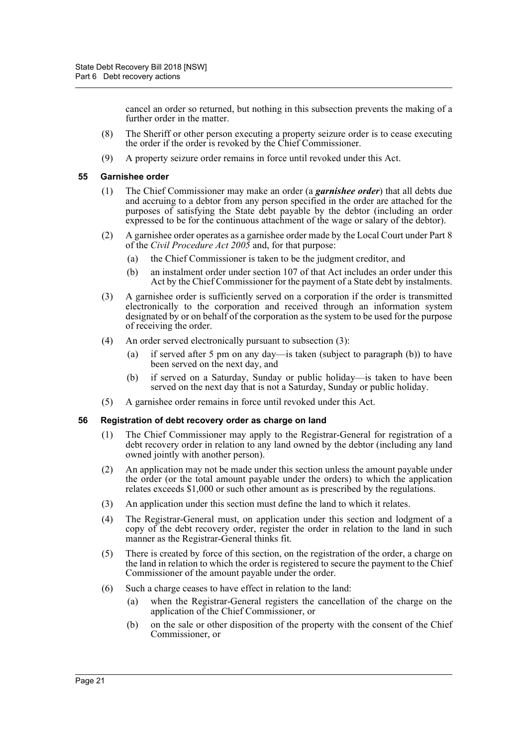cancel an order so returned, but nothing in this subsection prevents the making of a further order in the matter.

- (8) The Sheriff or other person executing a property seizure order is to cease executing the order if the order is revoked by the Chief Commissioner.
- (9) A property seizure order remains in force until revoked under this Act.

# <span id="page-25-0"></span>**55 Garnishee order**

- (1) The Chief Commissioner may make an order (a *garnishee order*) that all debts due and accruing to a debtor from any person specified in the order are attached for the purposes of satisfying the State debt payable by the debtor (including an order expressed to be for the continuous attachment of the wage or salary of the debtor).
- (2) A garnishee order operates as a garnishee order made by the Local Court under Part 8 of the *Civil Procedure Act 2005* and, for that purpose:
	- (a) the Chief Commissioner is taken to be the judgment creditor, and
	- (b) an instalment order under section 107 of that Act includes an order under this Act by the Chief Commissioner for the payment of a State debt by instalments.
- (3) A garnishee order is sufficiently served on a corporation if the order is transmitted electronically to the corporation and received through an information system designated by or on behalf of the corporation as the system to be used for the purpose of receiving the order.
- (4) An order served electronically pursuant to subsection (3):
	- (a) if served after 5 pm on any day—is taken (subject to paragraph (b)) to have been served on the next day, and
	- (b) if served on a Saturday, Sunday or public holiday—is taken to have been served on the next day that is not a Saturday, Sunday or public holiday.
- (5) A garnishee order remains in force until revoked under this Act.

# <span id="page-25-1"></span>**56 Registration of debt recovery order as charge on land**

- (1) The Chief Commissioner may apply to the Registrar-General for registration of a debt recovery order in relation to any land owned by the debtor (including any land owned jointly with another person).
- (2) An application may not be made under this section unless the amount payable under the order (or the total amount payable under the orders) to which the application relates exceeds \$1,000 or such other amount as is prescribed by the regulations.
- (3) An application under this section must define the land to which it relates.
- (4) The Registrar-General must, on application under this section and lodgment of a copy of the debt recovery order, register the order in relation to the land in such manner as the Registrar-General thinks fit.
- (5) There is created by force of this section, on the registration of the order, a charge on the land in relation to which the order is registered to secure the payment to the Chief Commissioner of the amount payable under the order.
- (6) Such a charge ceases to have effect in relation to the land:
	- (a) when the Registrar-General registers the cancellation of the charge on the application of the Chief Commissioner, or
	- (b) on the sale or other disposition of the property with the consent of the Chief Commissioner, or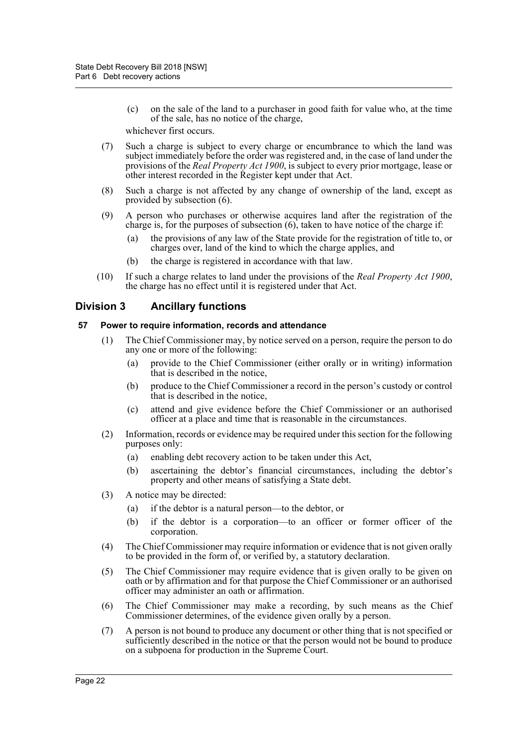- (c) on the sale of the land to a purchaser in good faith for value who, at the time of the sale, has no notice of the charge, whichever first occurs.
- (7) Such a charge is subject to every charge or encumbrance to which the land was subject immediately before the order was registered and, in the case of land under the provisions of the *Real Property Act 1900*, is subject to every prior mortgage, lease or other interest recorded in the Register kept under that Act.
- (8) Such a charge is not affected by any change of ownership of the land, except as provided by subsection (6).
- (9) A person who purchases or otherwise acquires land after the registration of the charge is, for the purposes of subsection  $(6)$ , taken to have notice of the charge if:
	- (a) the provisions of any law of the State provide for the registration of title to, or charges over, land of the kind to which the charge applies, and
	- (b) the charge is registered in accordance with that law.
- (10) If such a charge relates to land under the provisions of the *Real Property Act 1900*, the charge has no effect until it is registered under that Act.

# <span id="page-26-0"></span>**Division 3 Ancillary functions**

# <span id="page-26-1"></span>**57 Power to require information, records and attendance**

- (1) The Chief Commissioner may, by notice served on a person, require the person to do any one or more of the following:
	- (a) provide to the Chief Commissioner (either orally or in writing) information that is described in the notice,
	- (b) produce to the Chief Commissioner a record in the person's custody or control that is described in the notice,
	- (c) attend and give evidence before the Chief Commissioner or an authorised officer at a place and time that is reasonable in the circumstances.
- (2) Information, records or evidence may be required under this section for the following purposes only:
	- (a) enabling debt recovery action to be taken under this Act,
	- (b) ascertaining the debtor's financial circumstances, including the debtor's property and other means of satisfying a State debt.
- (3) A notice may be directed:
	- (a) if the debtor is a natural person—to the debtor, or
	- (b) if the debtor is a corporation—to an officer or former officer of the corporation.
- (4) The Chief Commissioner may require information or evidence that is not given orally to be provided in the form of, or verified by, a statutory declaration.
- (5) The Chief Commissioner may require evidence that is given orally to be given on oath or by affirmation and for that purpose the Chief Commissioner or an authorised officer may administer an oath or affirmation.
- (6) The Chief Commissioner may make a recording, by such means as the Chief Commissioner determines, of the evidence given orally by a person.
- (7) A person is not bound to produce any document or other thing that is not specified or sufficiently described in the notice or that the person would not be bound to produce on a subpoena for production in the Supreme Court.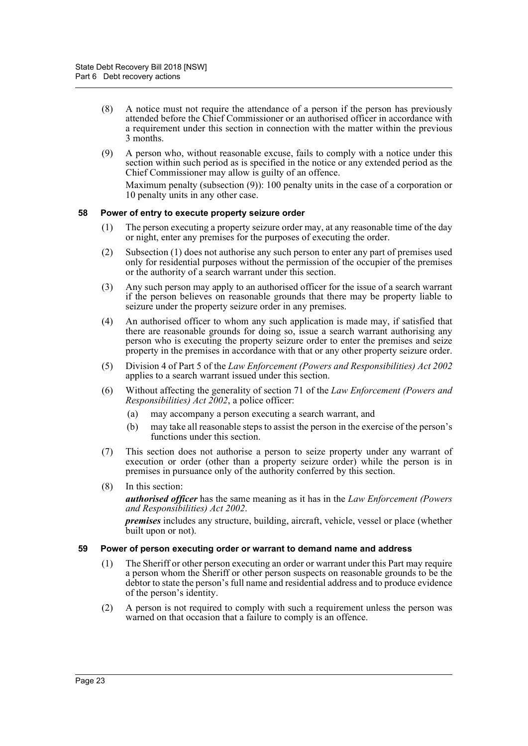- (8) A notice must not require the attendance of a person if the person has previously attended before the Chief Commissioner or an authorised officer in accordance with a requirement under this section in connection with the matter within the previous 3 months.
- (9) A person who, without reasonable excuse, fails to comply with a notice under this section within such period as is specified in the notice or any extended period as the Chief Commissioner may allow is guilty of an offence.

Maximum penalty (subsection (9)): 100 penalty units in the case of a corporation or 10 penalty units in any other case.

# <span id="page-27-0"></span>**58 Power of entry to execute property seizure order**

- (1) The person executing a property seizure order may, at any reasonable time of the day or night, enter any premises for the purposes of executing the order.
- (2) Subsection (1) does not authorise any such person to enter any part of premises used only for residential purposes without the permission of the occupier of the premises or the authority of a search warrant under this section.
- (3) Any such person may apply to an authorised officer for the issue of a search warrant if the person believes on reasonable grounds that there may be property liable to seizure under the property seizure order in any premises.
- (4) An authorised officer to whom any such application is made may, if satisfied that there are reasonable grounds for doing so, issue a search warrant authorising any person who is executing the property seizure order to enter the premises and seize property in the premises in accordance with that or any other property seizure order.
- (5) Division 4 of Part 5 of the *Law Enforcement (Powers and Responsibilities) Act 2002* applies to a search warrant issued under this section.
- (6) Without affecting the generality of section 71 of the *Law Enforcement (Powers and Responsibilities) Act 2002*, a police officer:
	- (a) may accompany a person executing a search warrant, and
	- (b) may take all reasonable steps to assist the person in the exercise of the person's functions under this section.
- (7) This section does not authorise a person to seize property under any warrant of execution or order (other than a property seizure order) while the person is in premises in pursuance only of the authority conferred by this section.
- (8) In this section:

*authorised officer* has the same meaning as it has in the *Law Enforcement (Powers and Responsibilities) Act 2002*.

*premises* includes any structure, building, aircraft, vehicle, vessel or place (whether built upon or not).

#### <span id="page-27-1"></span>**59 Power of person executing order or warrant to demand name and address**

- (1) The Sheriff or other person executing an order or warrant under this Part may require a person whom the Sheriff or other person suspects on reasonable grounds to be the debtor to state the person's full name and residential address and to produce evidence of the person's identity.
- (2) A person is not required to comply with such a requirement unless the person was warned on that occasion that a failure to comply is an offence.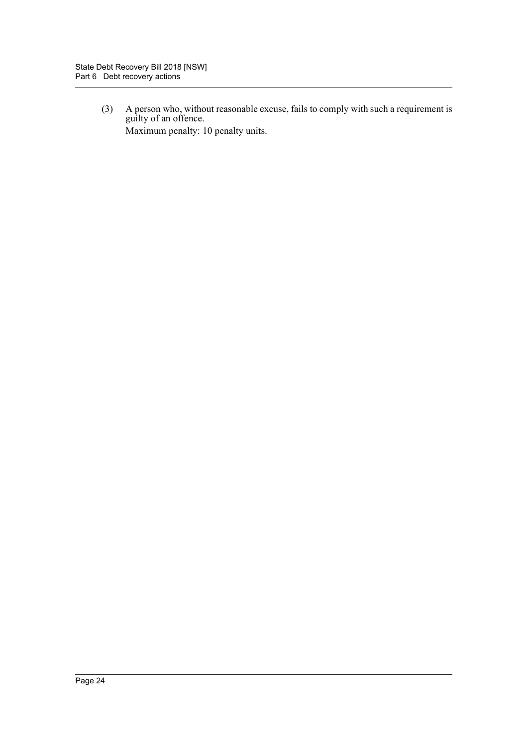(3) A person who, without reasonable excuse, fails to comply with such a requirement is guilty of an offence. Maximum penalty: 10 penalty units.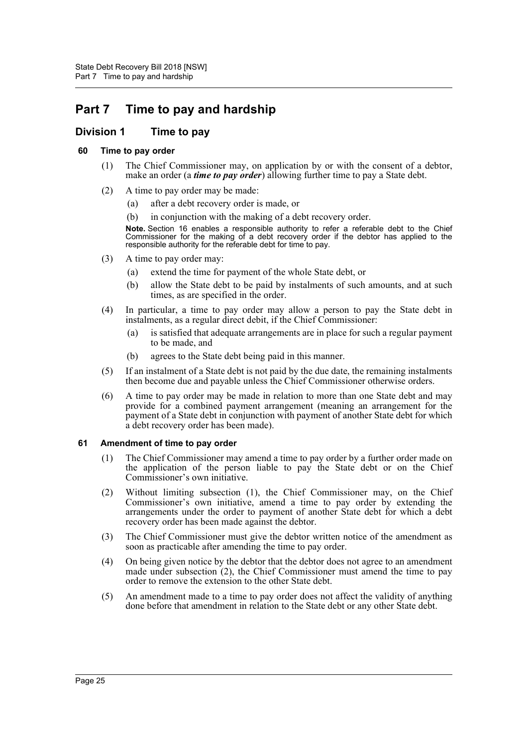# <span id="page-29-0"></span>**Part 7 Time to pay and hardship**

# <span id="page-29-1"></span>**Division 1 Time to pay**

# <span id="page-29-2"></span>**60 Time to pay order**

- (1) The Chief Commissioner may, on application by or with the consent of a debtor, make an order (a *time to pay order*) allowing further time to pay a State debt.
- (2) A time to pay order may be made:
	- (a) after a debt recovery order is made, or
	- (b) in conjunction with the making of a debt recovery order.

**Note.** Section 16 enables a responsible authority to refer a referable debt to the Chief Commissioner for the making of a debt recovery order if the debtor has applied to the responsible authority for the referable debt for time to pay.

- (3) A time to pay order may:
	- (a) extend the time for payment of the whole State debt, or
	- (b) allow the State debt to be paid by instalments of such amounts, and at such times, as are specified in the order.
- (4) In particular, a time to pay order may allow a person to pay the State debt in instalments, as a regular direct debit, if the Chief Commissioner:
	- (a) is satisfied that adequate arrangements are in place for such a regular payment to be made, and
	- (b) agrees to the State debt being paid in this manner.
- (5) If an instalment of a State debt is not paid by the due date, the remaining instalments then become due and payable unless the Chief Commissioner otherwise orders.
- (6) A time to pay order may be made in relation to more than one State debt and may provide for a combined payment arrangement (meaning an arrangement for the payment of a State debt in conjunction with payment of another State debt for which a debt recovery order has been made).

# <span id="page-29-3"></span>**61 Amendment of time to pay order**

- (1) The Chief Commissioner may amend a time to pay order by a further order made on the application of the person liable to pay the State debt or on the Chief Commissioner's own initiative.
- (2) Without limiting subsection (1), the Chief Commissioner may, on the Chief Commissioner's own initiative, amend a time to pay order by extending the arrangements under the order to payment of another State debt for which a debt recovery order has been made against the debtor.
- (3) The Chief Commissioner must give the debtor written notice of the amendment as soon as practicable after amending the time to pay order.
- (4) On being given notice by the debtor that the debtor does not agree to an amendment made under subsection (2), the Chief Commissioner must amend the time to pay order to remove the extension to the other State debt.
- (5) An amendment made to a time to pay order does not affect the validity of anything done before that amendment in relation to the State debt or any other State debt.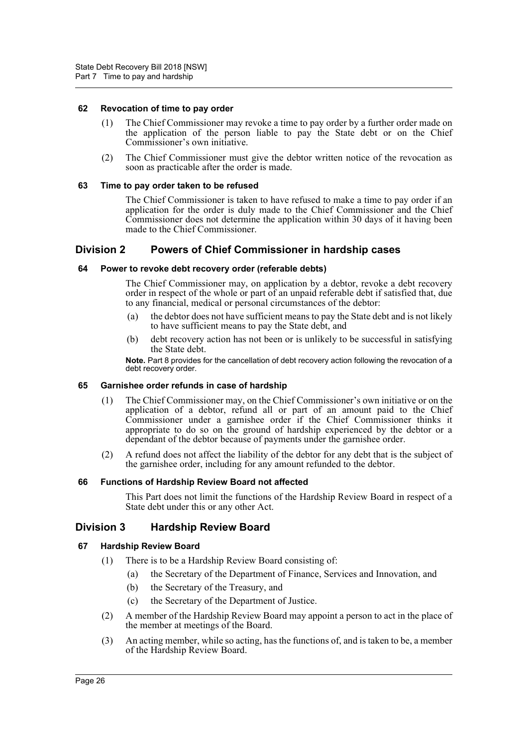#### <span id="page-30-0"></span>**62 Revocation of time to pay order**

- (1) The Chief Commissioner may revoke a time to pay order by a further order made on the application of the person liable to pay the State debt or on the Chief Commissioner's own initiative.
- (2) The Chief Commissioner must give the debtor written notice of the revocation as soon as practicable after the order is made.

#### <span id="page-30-1"></span>**63 Time to pay order taken to be refused**

The Chief Commissioner is taken to have refused to make a time to pay order if an application for the order is duly made to the Chief Commissioner and the Chief Commissioner does not determine the application within 30 days of it having been made to the Chief Commissioner.

# <span id="page-30-2"></span>**Division 2 Powers of Chief Commissioner in hardship cases**

#### <span id="page-30-3"></span>**64 Power to revoke debt recovery order (referable debts)**

The Chief Commissioner may, on application by a debtor, revoke a debt recovery order in respect of the whole or part of an unpaid referable debt if satisfied that, due to any financial, medical or personal circumstances of the debtor:

- (a) the debtor does not have sufficient means to pay the State debt and is not likely to have sufficient means to pay the State debt, and
- (b) debt recovery action has not been or is unlikely to be successful in satisfying the State debt.

**Note.** Part 8 provides for the cancellation of debt recovery action following the revocation of a debt recovery order.

#### <span id="page-30-4"></span>**65 Garnishee order refunds in case of hardship**

- (1) The Chief Commissioner may, on the Chief Commissioner's own initiative or on the application of a debtor, refund all or part of an amount paid to the Chief Commissioner under a garnishee order if the Chief Commissioner thinks it appropriate to do so on the ground of hardship experienced by the debtor or a dependant of the debtor because of payments under the garnishee order.
- (2) A refund does not affect the liability of the debtor for any debt that is the subject of the garnishee order, including for any amount refunded to the debtor.

#### <span id="page-30-5"></span>**66 Functions of Hardship Review Board not affected**

This Part does not limit the functions of the Hardship Review Board in respect of a State debt under this or any other Act.

# <span id="page-30-6"></span>**Division 3 Hardship Review Board**

# <span id="page-30-7"></span>**67 Hardship Review Board**

- (1) There is to be a Hardship Review Board consisting of:
	- (a) the Secretary of the Department of Finance, Services and Innovation, and
	- (b) the Secretary of the Treasury, and
	- (c) the Secretary of the Department of Justice.
- (2) A member of the Hardship Review Board may appoint a person to act in the place of the member at meetings of the Board.
- (3) An acting member, while so acting, has the functions of, and is taken to be, a member of the Hardship Review Board.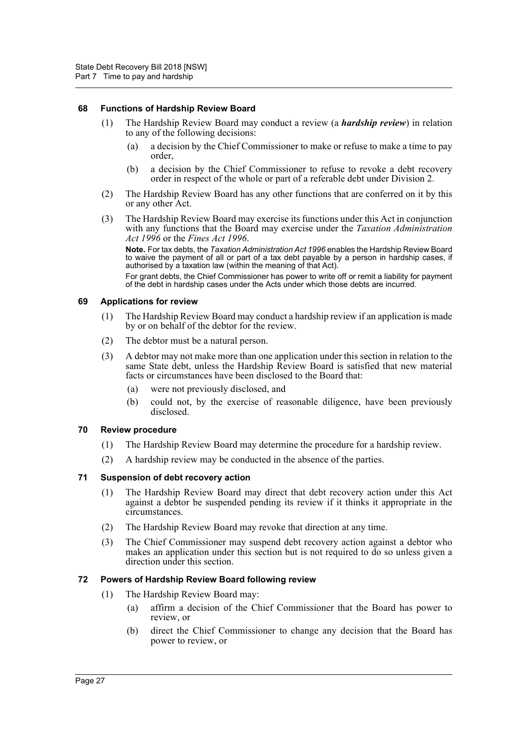#### <span id="page-31-0"></span>**68 Functions of Hardship Review Board**

- (1) The Hardship Review Board may conduct a review (a *hardship review*) in relation to any of the following decisions:
	- (a) a decision by the Chief Commissioner to make or refuse to make a time to pay order,
	- (b) a decision by the Chief Commissioner to refuse to revoke a debt recovery order in respect of the whole or part of a referable debt under Division 2.
- (2) The Hardship Review Board has any other functions that are conferred on it by this or any other Act.
- (3) The Hardship Review Board may exercise its functions under this Act in conjunction with any functions that the Board may exercise under the *Taxation Administration Act 1996* or the *Fines Act 1996*.

**Note.** For tax debts, the *Taxation Administration Act 1996* enables the Hardship Review Board to waive the payment of all or part of a tax debt payable by a person in hardship cases, if authorised by a taxation law (within the meaning of that Act).

For grant debts, the Chief Commissioner has power to write off or remit a liability for payment of the debt in hardship cases under the Acts under which those debts are incurred.

#### <span id="page-31-1"></span>**69 Applications for review**

- (1) The Hardship Review Board may conduct a hardship review if an application is made by or on behalf of the debtor for the review.
- (2) The debtor must be a natural person.
- (3) A debtor may not make more than one application under this section in relation to the same State debt, unless the Hardship Review Board is satisfied that new material facts or circumstances have been disclosed to the Board that:
	- (a) were not previously disclosed, and
	- (b) could not, by the exercise of reasonable diligence, have been previously disclosed.

#### <span id="page-31-2"></span>**70 Review procedure**

- (1) The Hardship Review Board may determine the procedure for a hardship review.
- (2) A hardship review may be conducted in the absence of the parties.

# <span id="page-31-3"></span>**71 Suspension of debt recovery action**

- (1) The Hardship Review Board may direct that debt recovery action under this Act against a debtor be suspended pending its review if it thinks it appropriate in the circumstances.
- (2) The Hardship Review Board may revoke that direction at any time.
- (3) The Chief Commissioner may suspend debt recovery action against a debtor who makes an application under this section but is not required to do so unless given a direction under this section.

# <span id="page-31-4"></span>**72 Powers of Hardship Review Board following review**

- (1) The Hardship Review Board may:
	- (a) affirm a decision of the Chief Commissioner that the Board has power to review, or
	- (b) direct the Chief Commissioner to change any decision that the Board has power to review, or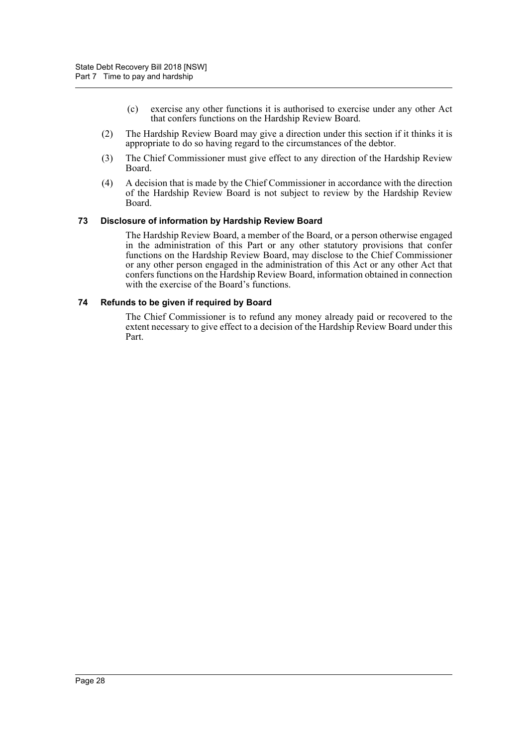- (c) exercise any other functions it is authorised to exercise under any other Act that confers functions on the Hardship Review Board.
- (2) The Hardship Review Board may give a direction under this section if it thinks it is appropriate to do so having regard to the circumstances of the debtor.
- (3) The Chief Commissioner must give effect to any direction of the Hardship Review Board.
- (4) A decision that is made by the Chief Commissioner in accordance with the direction of the Hardship Review Board is not subject to review by the Hardship Review Board.

#### <span id="page-32-0"></span>**73 Disclosure of information by Hardship Review Board**

The Hardship Review Board, a member of the Board, or a person otherwise engaged in the administration of this Part or any other statutory provisions that confer functions on the Hardship Review Board, may disclose to the Chief Commissioner or any other person engaged in the administration of this Act or any other Act that confers functions on the Hardship Review Board, information obtained in connection with the exercise of the Board's functions.

#### <span id="page-32-1"></span>**74 Refunds to be given if required by Board**

The Chief Commissioner is to refund any money already paid or recovered to the extent necessary to give effect to a decision of the Hardship Review Board under this Part.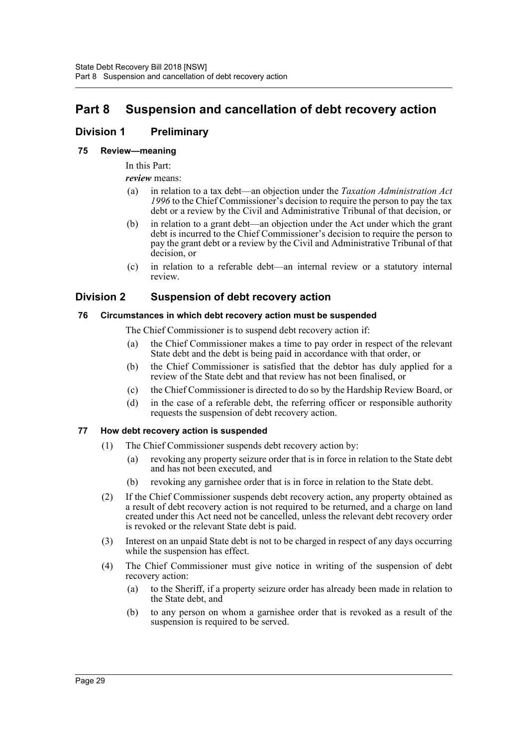# <span id="page-33-0"></span>**Part 8 Suspension and cancellation of debt recovery action**

# <span id="page-33-1"></span>**Division 1 Preliminary**

# <span id="page-33-2"></span>**75 Review—meaning**

In this Part:

*review* means:

- (a) in relation to a tax debt—an objection under the *Taxation Administration Act 1996* to the Chief Commissioner's decision to require the person to pay the tax debt or a review by the Civil and Administrative Tribunal of that decision, or
- (b) in relation to a grant debt—an objection under the Act under which the grant debt is incurred to the Chief Commissioner's decision to require the person to pay the grant debt or a review by the Civil and Administrative Tribunal of that decision, or
- (c) in relation to a referable debt—an internal review or a statutory internal review.

# <span id="page-33-3"></span>**Division 2 Suspension of debt recovery action**

# <span id="page-33-4"></span>**76 Circumstances in which debt recovery action must be suspended**

The Chief Commissioner is to suspend debt recovery action if:

- (a) the Chief Commissioner makes a time to pay order in respect of the relevant State debt and the debt is being paid in accordance with that order, or
- (b) the Chief Commissioner is satisfied that the debtor has duly applied for a review of the State debt and that review has not been finalised, or
- (c) the Chief Commissioner is directed to do so by the Hardship Review Board, or
- (d) in the case of a referable debt, the referring officer or responsible authority requests the suspension of debt recovery action.

# <span id="page-33-5"></span>**77 How debt recovery action is suspended**

- (1) The Chief Commissioner suspends debt recovery action by:
	- (a) revoking any property seizure order that is in force in relation to the State debt and has not been executed, and
	- (b) revoking any garnishee order that is in force in relation to the State debt.
- (2) If the Chief Commissioner suspends debt recovery action, any property obtained as a result of debt recovery action is not required to be returned, and a charge on land created under this Act need not be cancelled, unless the relevant debt recovery order is revoked or the relevant State debt is paid.
- (3) Interest on an unpaid State debt is not to be charged in respect of any days occurring while the suspension has effect.
- (4) The Chief Commissioner must give notice in writing of the suspension of debt recovery action:
	- (a) to the Sheriff, if a property seizure order has already been made in relation to the State debt, and
	- (b) to any person on whom a garnishee order that is revoked as a result of the suspension is required to be served.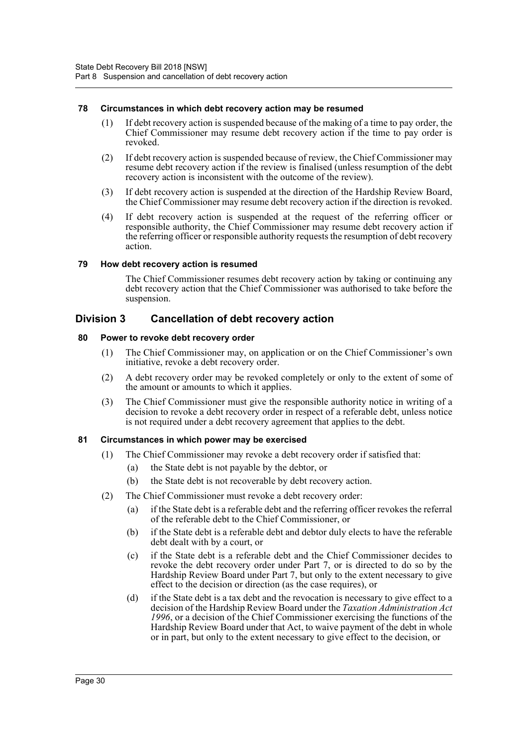# <span id="page-34-0"></span>**78 Circumstances in which debt recovery action may be resumed**

- (1) If debt recovery action is suspended because of the making of a time to pay order, the Chief Commissioner may resume debt recovery action if the time to pay order is revoked.
- (2) If debt recovery action is suspended because of review, the Chief Commissioner may resume debt recovery action if the review is finalised (unless resumption of the debt recovery action is inconsistent with the outcome of the review).
- (3) If debt recovery action is suspended at the direction of the Hardship Review Board, the Chief Commissioner may resume debt recovery action if the direction is revoked.
- (4) If debt recovery action is suspended at the request of the referring officer or responsible authority, the Chief Commissioner may resume debt recovery action if the referring officer or responsible authority requests the resumption of debt recovery action.

#### <span id="page-34-1"></span>**79 How debt recovery action is resumed**

The Chief Commissioner resumes debt recovery action by taking or continuing any debt recovery action that the Chief Commissioner was authorised to take before the suspension.

# <span id="page-34-2"></span>**Division 3 Cancellation of debt recovery action**

#### <span id="page-34-3"></span>**80 Power to revoke debt recovery order**

- (1) The Chief Commissioner may, on application or on the Chief Commissioner's own initiative, revoke a debt recovery order.
- (2) A debt recovery order may be revoked completely or only to the extent of some of the amount or amounts to which it applies.
- (3) The Chief Commissioner must give the responsible authority notice in writing of a decision to revoke a debt recovery order in respect of a referable debt, unless notice is not required under a debt recovery agreement that applies to the debt.

#### <span id="page-34-4"></span>**81 Circumstances in which power may be exercised**

- (1) The Chief Commissioner may revoke a debt recovery order if satisfied that:
	- (a) the State debt is not payable by the debtor, or
	- (b) the State debt is not recoverable by debt recovery action.
- (2) The Chief Commissioner must revoke a debt recovery order:
	- (a) if the State debt is a referable debt and the referring officer revokes the referral of the referable debt to the Chief Commissioner, or
	- (b) if the State debt is a referable debt and debtor duly elects to have the referable debt dealt with by a court, or
	- (c) if the State debt is a referable debt and the Chief Commissioner decides to revoke the debt recovery order under Part 7, or is directed to do so by the Hardship Review Board under Part 7, but only to the extent necessary to give effect to the decision or direction (as the case requires), or
	- (d) if the State debt is a tax debt and the revocation is necessary to give effect to a decision of the Hardship Review Board under the *Taxation Administration Act 1996*, or a decision of the Chief Commissioner exercising the functions of the Hardship Review Board under that Act, to waive payment of the debt in whole or in part, but only to the extent necessary to give effect to the decision, or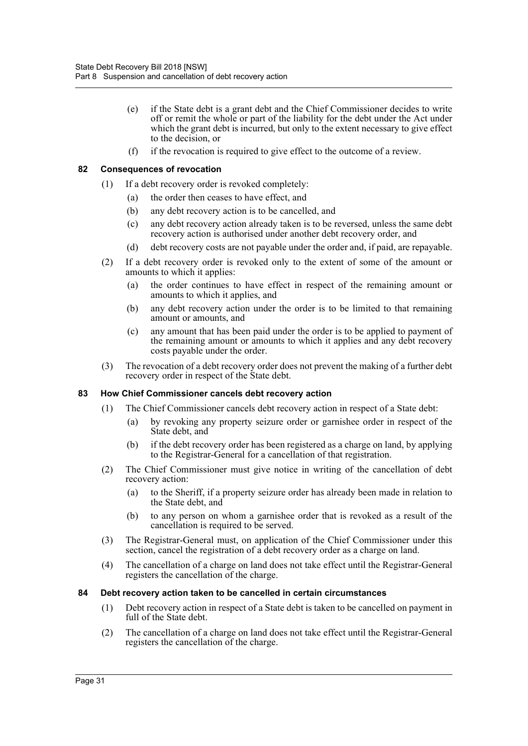- (e) if the State debt is a grant debt and the Chief Commissioner decides to write off or remit the whole or part of the liability for the debt under the Act under which the grant debt is incurred, but only to the extent necessary to give effect to the decision, or
- (f) if the revocation is required to give effect to the outcome of a review.

# <span id="page-35-0"></span>**82 Consequences of revocation**

- (1) If a debt recovery order is revoked completely:
	- (a) the order then ceases to have effect, and
	- (b) any debt recovery action is to be cancelled, and
	- (c) any debt recovery action already taken is to be reversed, unless the same debt recovery action is authorised under another debt recovery order, and
	- (d) debt recovery costs are not payable under the order and, if paid, are repayable.
- (2) If a debt recovery order is revoked only to the extent of some of the amount or amounts to which it applies:
	- (a) the order continues to have effect in respect of the remaining amount or amounts to which it applies, and
	- (b) any debt recovery action under the order is to be limited to that remaining amount or amounts, and
	- (c) any amount that has been paid under the order is to be applied to payment of the remaining amount or amounts to which it applies and any debt recovery costs payable under the order.
- (3) The revocation of a debt recovery order does not prevent the making of a further debt recovery order in respect of the State debt.

# <span id="page-35-1"></span>**83 How Chief Commissioner cancels debt recovery action**

- (1) The Chief Commissioner cancels debt recovery action in respect of a State debt:
	- (a) by revoking any property seizure order or garnishee order in respect of the State debt, and
	- (b) if the debt recovery order has been registered as a charge on land, by applying to the Registrar-General for a cancellation of that registration.
- (2) The Chief Commissioner must give notice in writing of the cancellation of debt recovery action:
	- (a) to the Sheriff, if a property seizure order has already been made in relation to the State debt, and
	- (b) to any person on whom a garnishee order that is revoked as a result of the cancellation is required to be served.
- (3) The Registrar-General must, on application of the Chief Commissioner under this section, cancel the registration of a debt recovery order as a charge on land.
- (4) The cancellation of a charge on land does not take effect until the Registrar-General registers the cancellation of the charge.

# <span id="page-35-2"></span>**84 Debt recovery action taken to be cancelled in certain circumstances**

- (1) Debt recovery action in respect of a State debt is taken to be cancelled on payment in full of the State debt.
- (2) The cancellation of a charge on land does not take effect until the Registrar-General registers the cancellation of the charge.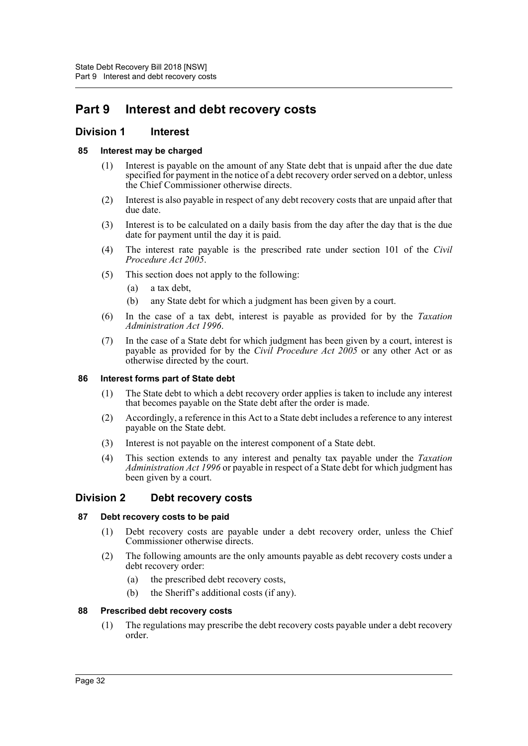# <span id="page-36-0"></span>**Part 9 Interest and debt recovery costs**

# <span id="page-36-1"></span>**Division 1 Interest**

# <span id="page-36-2"></span>**85 Interest may be charged**

- (1) Interest is payable on the amount of any State debt that is unpaid after the due date specified for payment in the notice of a debt recovery order served on a debtor, unless the Chief Commissioner otherwise directs.
- (2) Interest is also payable in respect of any debt recovery costs that are unpaid after that due date.
- (3) Interest is to be calculated on a daily basis from the day after the day that is the due date for payment until the day it is paid.
- (4) The interest rate payable is the prescribed rate under section 101 of the *Civil Procedure Act 2005*.
- (5) This section does not apply to the following:
	- (a) a tax debt,
	- (b) any State debt for which a judgment has been given by a court.
- (6) In the case of a tax debt, interest is payable as provided for by the *Taxation Administration Act 1996*.
- (7) In the case of a State debt for which judgment has been given by a court, interest is payable as provided for by the *Civil Procedure Act 2005* or any other Act or as otherwise directed by the court.

# <span id="page-36-3"></span>**86 Interest forms part of State debt**

- (1) The State debt to which a debt recovery order applies is taken to include any interest that becomes payable on the State debt after the order is made.
- (2) Accordingly, a reference in this Act to a State debt includes a reference to any interest payable on the State debt.
- (3) Interest is not payable on the interest component of a State debt.
- (4) This section extends to any interest and penalty tax payable under the *Taxation Administration Act 1996* or payable in respect of a State debt for which judgment has been given by a court.

# <span id="page-36-4"></span>**Division 2 Debt recovery costs**

# <span id="page-36-5"></span>**87 Debt recovery costs to be paid**

- (1) Debt recovery costs are payable under a debt recovery order, unless the Chief Commissioner otherwise directs.
- (2) The following amounts are the only amounts payable as debt recovery costs under a debt recovery order:
	- (a) the prescribed debt recovery costs,
	- (b) the Sheriff's additional costs (if any).

# <span id="page-36-6"></span>**88 Prescribed debt recovery costs**

(1) The regulations may prescribe the debt recovery costs payable under a debt recovery order.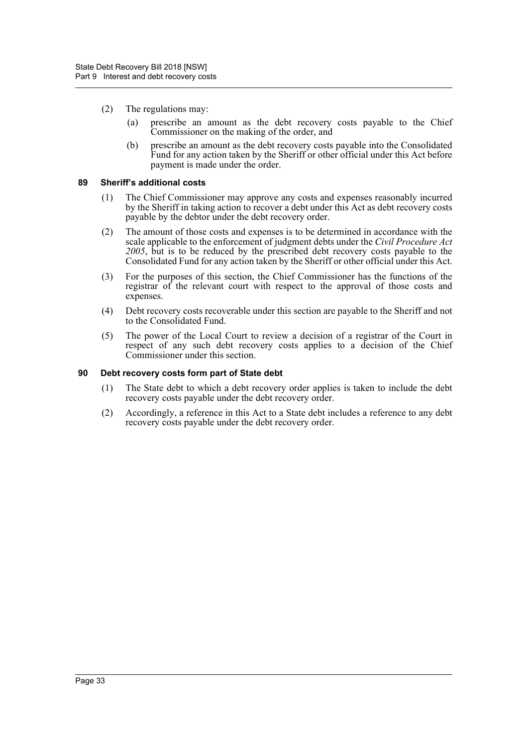- (2) The regulations may:
	- (a) prescribe an amount as the debt recovery costs payable to the Chief Commissioner on the making of the order, and
	- (b) prescribe an amount as the debt recovery costs payable into the Consolidated Fund for any action taken by the Sheriff or other official under this Act before payment is made under the order.

# <span id="page-37-0"></span>**89 Sheriff's additional costs**

- (1) The Chief Commissioner may approve any costs and expenses reasonably incurred by the Sheriff in taking action to recover a debt under this Act as debt recovery costs payable by the debtor under the debt recovery order.
- (2) The amount of those costs and expenses is to be determined in accordance with the scale applicable to the enforcement of judgment debts under the *Civil Procedure Act 2005*, but is to be reduced by the prescribed debt recovery costs payable to the Consolidated Fund for any action taken by the Sheriff or other official under this Act.
- (3) For the purposes of this section, the Chief Commissioner has the functions of the registrar of the relevant court with respect to the approval of those costs and expenses.
- (4) Debt recovery costs recoverable under this section are payable to the Sheriff and not to the Consolidated Fund.
- (5) The power of the Local Court to review a decision of a registrar of the Court in respect of any such debt recovery costs applies to a decision of the Chief Commissioner under this section.

#### <span id="page-37-1"></span>**90 Debt recovery costs form part of State debt**

- (1) The State debt to which a debt recovery order applies is taken to include the debt recovery costs payable under the debt recovery order.
- (2) Accordingly, a reference in this Act to a State debt includes a reference to any debt recovery costs payable under the debt recovery order.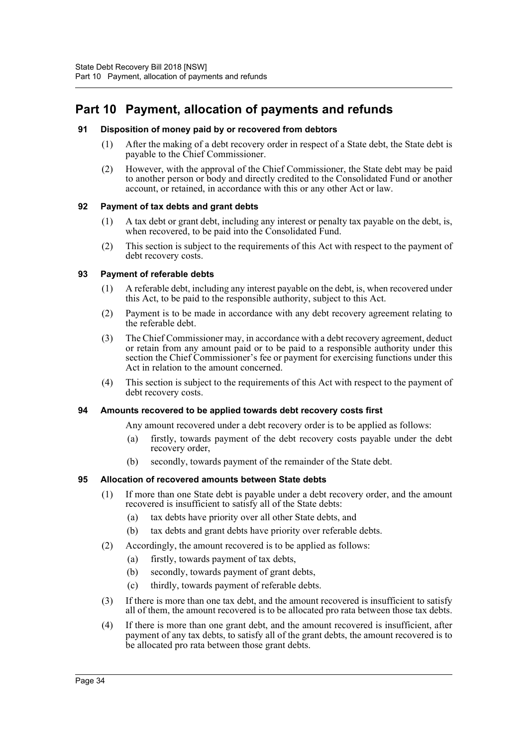# <span id="page-38-0"></span>**Part 10 Payment, allocation of payments and refunds**

# <span id="page-38-1"></span>**91 Disposition of money paid by or recovered from debtors**

- (1) After the making of a debt recovery order in respect of a State debt, the State debt is payable to the Chief Commissioner.
- (2) However, with the approval of the Chief Commissioner, the State debt may be paid to another person or body and directly credited to the Consolidated Fund or another account, or retained, in accordance with this or any other Act or law.

# <span id="page-38-2"></span>**92 Payment of tax debts and grant debts**

- (1) A tax debt or grant debt, including any interest or penalty tax payable on the debt, is, when recovered, to be paid into the Consolidated Fund.
- (2) This section is subject to the requirements of this Act with respect to the payment of debt recovery costs.

# <span id="page-38-3"></span>**93 Payment of referable debts**

- (1) A referable debt, including any interest payable on the debt, is, when recovered under this Act, to be paid to the responsible authority, subject to this Act.
- (2) Payment is to be made in accordance with any debt recovery agreement relating to the referable debt.
- (3) The Chief Commissioner may, in accordance with a debt recovery agreement, deduct or retain from any amount paid or to be paid to a responsible authority under this section the Chief Commissioner's fee or payment for exercising functions under this Act in relation to the amount concerned.
- (4) This section is subject to the requirements of this Act with respect to the payment of debt recovery costs.

# <span id="page-38-4"></span>**94 Amounts recovered to be applied towards debt recovery costs first**

Any amount recovered under a debt recovery order is to be applied as follows:

- (a) firstly, towards payment of the debt recovery costs payable under the debt recovery order,
- (b) secondly, towards payment of the remainder of the State debt.

# <span id="page-38-5"></span>**95 Allocation of recovered amounts between State debts**

- (1) If more than one State debt is payable under a debt recovery order, and the amount recovered is insufficient to satisfy all of the State debts:
	- (a) tax debts have priority over all other State debts, and
	- (b) tax debts and grant debts have priority over referable debts.
- (2) Accordingly, the amount recovered is to be applied as follows:
	- (a) firstly, towards payment of tax debts,
	- (b) secondly, towards payment of grant debts,
	- (c) thirdly, towards payment of referable debts.
- (3) If there is more than one tax debt, and the amount recovered is insufficient to satisfy all of them, the amount recovered is to be allocated pro rata between those tax debts.
- (4) If there is more than one grant debt, and the amount recovered is insufficient, after payment of any tax debts, to satisfy all of the grant debts, the amount recovered is to be allocated pro rata between those grant debts.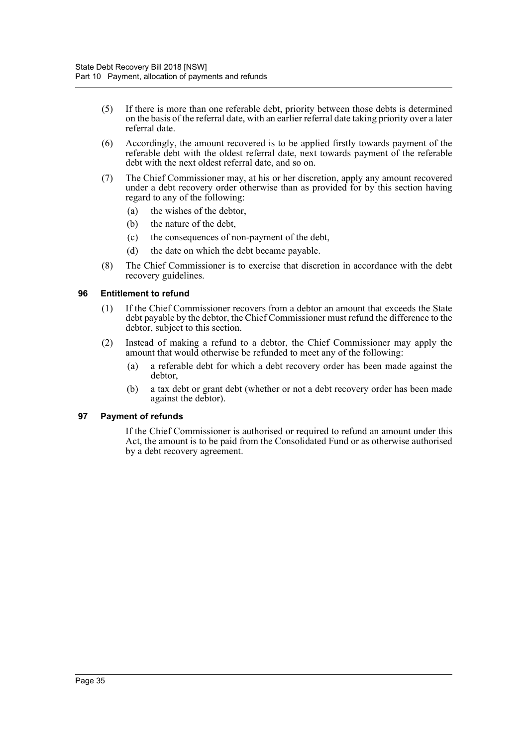- (5) If there is more than one referable debt, priority between those debts is determined on the basis of the referral date, with an earlier referral date taking priority over a later referral date.
- (6) Accordingly, the amount recovered is to be applied firstly towards payment of the referable debt with the oldest referral date, next towards payment of the referable debt with the next oldest referral date, and so on.
- (7) The Chief Commissioner may, at his or her discretion, apply any amount recovered under a debt recovery order otherwise than as provided for by this section having regard to any of the following:
	- (a) the wishes of the debtor,
	- (b) the nature of the debt,
	- (c) the consequences of non-payment of the debt,
	- (d) the date on which the debt became payable.
- (8) The Chief Commissioner is to exercise that discretion in accordance with the debt recovery guidelines.

#### <span id="page-39-0"></span>**96 Entitlement to refund**

- (1) If the Chief Commissioner recovers from a debtor an amount that exceeds the State debt payable by the debtor, the Chief Commissioner must refund the difference to the debtor, subject to this section.
- (2) Instead of making a refund to a debtor, the Chief Commissioner may apply the amount that would otherwise be refunded to meet any of the following:
	- (a) a referable debt for which a debt recovery order has been made against the debtor,
	- (b) a tax debt or grant debt (whether or not a debt recovery order has been made against the debtor).

# <span id="page-39-1"></span>**97 Payment of refunds**

If the Chief Commissioner is authorised or required to refund an amount under this Act, the amount is to be paid from the Consolidated Fund or as otherwise authorised by a debt recovery agreement.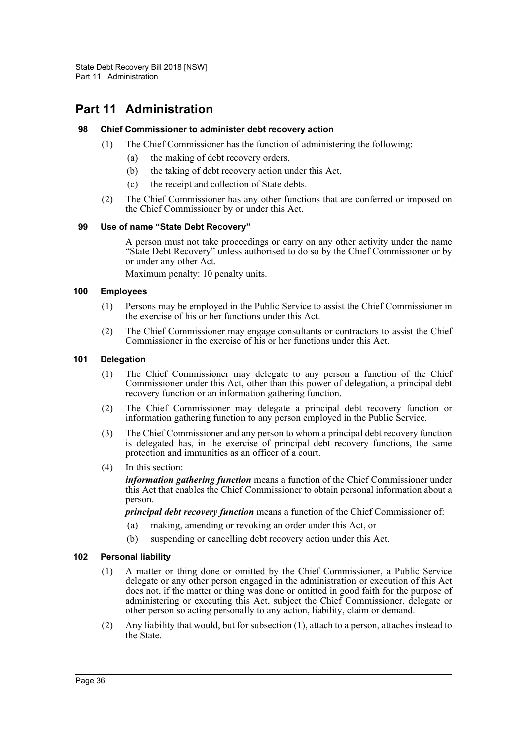# <span id="page-40-0"></span>**Part 11 Administration**

# <span id="page-40-1"></span>**98 Chief Commissioner to administer debt recovery action**

- (1) The Chief Commissioner has the function of administering the following:
	- (a) the making of debt recovery orders,
	- (b) the taking of debt recovery action under this Act,
	- (c) the receipt and collection of State debts.
- (2) The Chief Commissioner has any other functions that are conferred or imposed on the Chief Commissioner by or under this Act.

# <span id="page-40-2"></span>**99 Use of name "State Debt Recovery"**

A person must not take proceedings or carry on any other activity under the name "State Debt Recovery" unless authorised to do so by the Chief Commissioner or by or under any other Act.

Maximum penalty: 10 penalty units.

# <span id="page-40-3"></span>**100 Employees**

- (1) Persons may be employed in the Public Service to assist the Chief Commissioner in the exercise of his or her functions under this Act.
- (2) The Chief Commissioner may engage consultants or contractors to assist the Chief Commissioner in the exercise of his or her functions under this Act.

# <span id="page-40-4"></span>**101 Delegation**

- (1) The Chief Commissioner may delegate to any person a function of the Chief Commissioner under this Act, other than this power of delegation, a principal debt recovery function or an information gathering function.
- (2) The Chief Commissioner may delegate a principal debt recovery function or information gathering function to any person employed in the Public Service.
- (3) The Chief Commissioner and any person to whom a principal debt recovery function is delegated has, in the exercise of principal debt recovery functions, the same protection and immunities as an officer of a court.
- (4) In this section:

*information gathering function* means a function of the Chief Commissioner under this Act that enables the Chief Commissioner to obtain personal information about a person.

*principal debt recovery function* means a function of the Chief Commissioner of:

- (a) making, amending or revoking an order under this Act, or
- (b) suspending or cancelling debt recovery action under this Act.

# <span id="page-40-5"></span>**102 Personal liability**

- (1) A matter or thing done or omitted by the Chief Commissioner, a Public Service delegate or any other person engaged in the administration or execution of this Act does not, if the matter or thing was done or omitted in good faith for the purpose of administering or executing this Act, subject the Chief Commissioner, delegate or other person so acting personally to any action, liability, claim or demand.
- (2) Any liability that would, but for subsection (1), attach to a person, attaches instead to the State.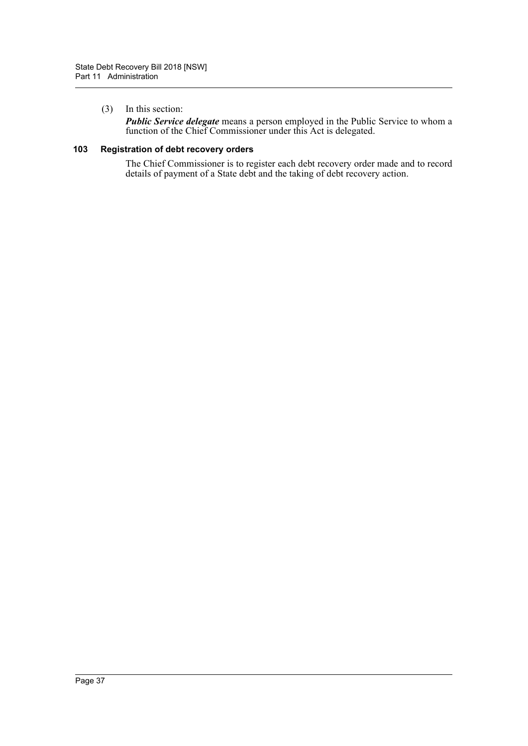# (3) In this section:

*Public Service delegate* means a person employed in the Public Service to whom a function of the Chief Commissioner under this Act is delegated.

# <span id="page-41-0"></span>**103 Registration of debt recovery orders**

The Chief Commissioner is to register each debt recovery order made and to record details of payment of a State debt and the taking of debt recovery action.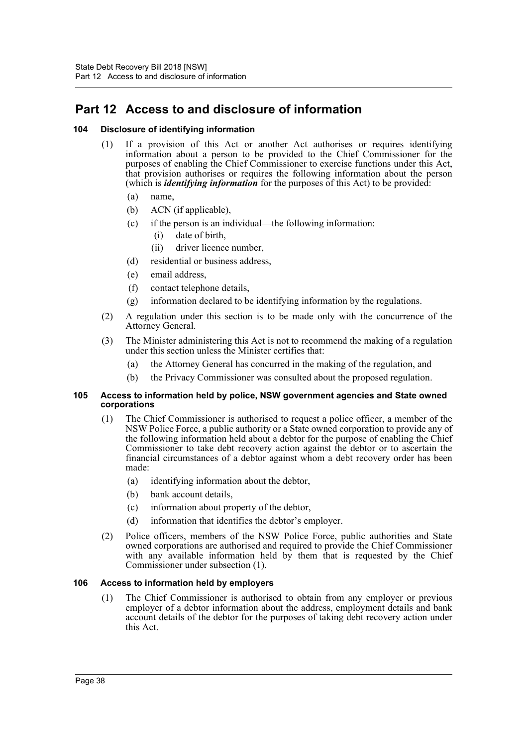# <span id="page-42-0"></span>**Part 12 Access to and disclosure of information**

# <span id="page-42-1"></span>**104 Disclosure of identifying information**

- (1) If a provision of this Act or another Act authorises or requires identifying information about a person to be provided to the Chief Commissioner for the purposes of enabling the Chief Commissioner to exercise functions under this Act, that provision authorises or requires the following information about the person (which is *identifying information* for the purposes of this Act) to be provided:
	- (a) name,
	- (b) ACN (if applicable),
	- (c) if the person is an individual—the following information:
		- (i) date of birth,
		- (ii) driver licence number,
	- (d) residential or business address,
	- (e) email address,
	- (f) contact telephone details,
	- (g) information declared to be identifying information by the regulations.
- (2) A regulation under this section is to be made only with the concurrence of the Attorney General.
- (3) The Minister administering this Act is not to recommend the making of a regulation under this section unless the Minister certifies that:
	- (a) the Attorney General has concurred in the making of the regulation, and
	- (b) the Privacy Commissioner was consulted about the proposed regulation.

#### <span id="page-42-2"></span>**105 Access to information held by police, NSW government agencies and State owned corporations**

- (1) The Chief Commissioner is authorised to request a police officer, a member of the NSW Police Force, a public authority or a State owned corporation to provide any of the following information held about a debtor for the purpose of enabling the Chief Commissioner to take debt recovery action against the debtor or to ascertain the financial circumstances of a debtor against whom a debt recovery order has been made:
	- (a) identifying information about the debtor,
	- (b) bank account details,
	- (c) information about property of the debtor,
	- (d) information that identifies the debtor's employer.
- (2) Police officers, members of the NSW Police Force, public authorities and State owned corporations are authorised and required to provide the Chief Commissioner with any available information held by them that is requested by the Chief Commissioner under subsection (1).

# <span id="page-42-3"></span>**106 Access to information held by employers**

(1) The Chief Commissioner is authorised to obtain from any employer or previous employer of a debtor information about the address, employment details and bank account details of the debtor for the purposes of taking debt recovery action under this Act.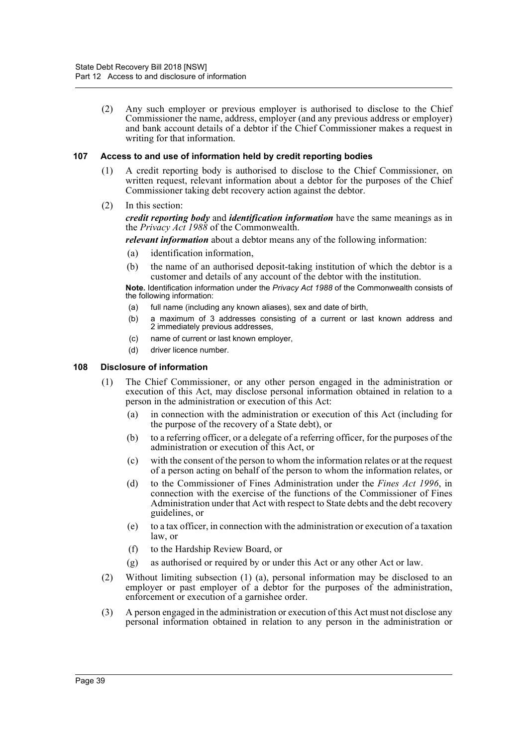(2) Any such employer or previous employer is authorised to disclose to the Chief Commissioner the name, address, employer (and any previous address or employer) and bank account details of a debtor if the Chief Commissioner makes a request in writing for that information.

# <span id="page-43-0"></span>**107 Access to and use of information held by credit reporting bodies**

- (1) A credit reporting body is authorised to disclose to the Chief Commissioner, on written request, relevant information about a debtor for the purposes of the Chief Commissioner taking debt recovery action against the debtor.
- (2) In this section:

*credit reporting body* and *identification information* have the same meanings as in the *Privacy Act 1988* of the Commonwealth.

*relevant information* about a debtor means any of the following information:

- (a) identification information,
- (b) the name of an authorised deposit-taking institution of which the debtor is a customer and details of any account of the debtor with the institution.

**Note.** Identification information under the *Privacy Act 1988* of the Commonwealth consists of the following information:

- (a) full name (including any known aliases), sex and date of birth,
- (b) a maximum of 3 addresses consisting of a current or last known address and 2 immediately previous addresses,
- (c) name of current or last known employer,
- (d) driver licence number.

# <span id="page-43-1"></span>**108 Disclosure of information**

- (1) The Chief Commissioner, or any other person engaged in the administration or execution of this Act, may disclose personal information obtained in relation to a person in the administration or execution of this Act:
	- (a) in connection with the administration or execution of this Act (including for the purpose of the recovery of a State debt), or
	- (b) to a referring officer, or a delegate of a referring officer, for the purposes of the administration or execution of this Act, or
	- (c) with the consent of the person to whom the information relates or at the request of a person acting on behalf of the person to whom the information relates, or
	- (d) to the Commissioner of Fines Administration under the *Fines Act 1996*, in connection with the exercise of the functions of the Commissioner of Fines Administration under that Act with respect to State debts and the debt recovery guidelines, or
	- (e) to a tax officer, in connection with the administration or execution of a taxation law, or
	- (f) to the Hardship Review Board, or
	- (g) as authorised or required by or under this Act or any other Act or law.
- (2) Without limiting subsection (1) (a), personal information may be disclosed to an employer or past employer of a debtor for the purposes of the administration, enforcement or execution of a garnishee order.
- (3) A person engaged in the administration or execution of this Act must not disclose any personal information obtained in relation to any person in the administration or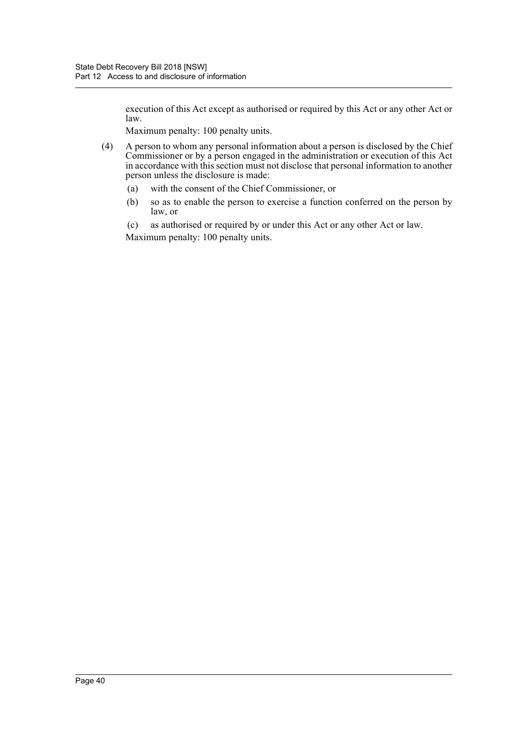execution of this Act except as authorised or required by this Act or any other Act or law.

Maximum penalty: 100 penalty units.

- (4) A person to whom any personal information about a person is disclosed by the Chief Commissioner or by a person engaged in the administration or execution of this Act in accordance with this section must not disclose that personal information to another person unless the disclosure is made:
	- (a) with the consent of the Chief Commissioner, or
	- (b) so as to enable the person to exercise a function conferred on the person by law, or
	- (c) as authorised or required by or under this Act or any other Act or law. Maximum penalty: 100 penalty units.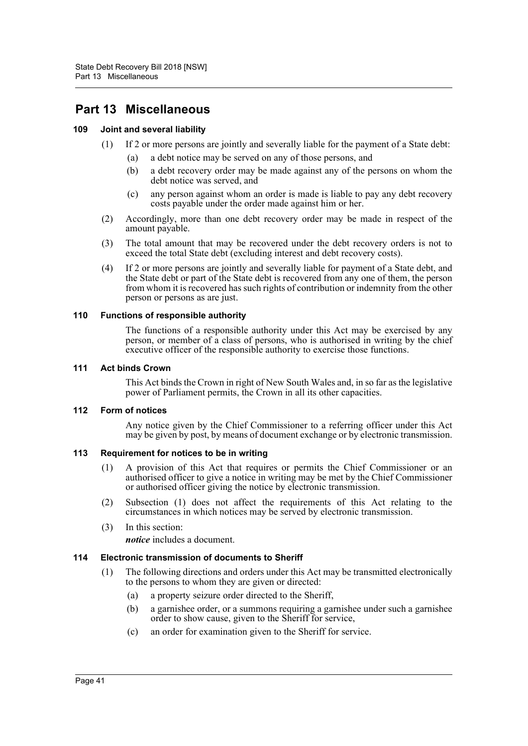# <span id="page-45-0"></span>**Part 13 Miscellaneous**

# <span id="page-45-1"></span>**109 Joint and several liability**

- (1) If 2 or more persons are jointly and severally liable for the payment of a State debt:
	- (a) a debt notice may be served on any of those persons, and
	- (b) a debt recovery order may be made against any of the persons on whom the debt notice was served, and
	- (c) any person against whom an order is made is liable to pay any debt recovery costs payable under the order made against him or her.
- (2) Accordingly, more than one debt recovery order may be made in respect of the amount payable.
- (3) The total amount that may be recovered under the debt recovery orders is not to exceed the total State debt (excluding interest and debt recovery costs).
- (4) If 2 or more persons are jointly and severally liable for payment of a State debt, and the State debt or part of the State debt is recovered from any one of them, the person from whom it is recovered has such rights of contribution or indemnity from the other person or persons as are just.

# <span id="page-45-2"></span>**110 Functions of responsible authority**

The functions of a responsible authority under this Act may be exercised by any person, or member of a class of persons, who is authorised in writing by the chief executive officer of the responsible authority to exercise those functions.

# <span id="page-45-3"></span>**111 Act binds Crown**

This Act binds the Crown in right of New South Wales and, in so far as the legislative power of Parliament permits, the Crown in all its other capacities.

# <span id="page-45-4"></span>**112 Form of notices**

Any notice given by the Chief Commissioner to a referring officer under this Act may be given by post, by means of document exchange or by electronic transmission.

# <span id="page-45-5"></span>**113 Requirement for notices to be in writing**

- (1) A provision of this Act that requires or permits the Chief Commissioner or an authorised officer to give a notice in writing may be met by the Chief Commissioner or authorised officer giving the notice by electronic transmission.
- (2) Subsection (1) does not affect the requirements of this Act relating to the circumstances in which notices may be served by electronic transmission.
- (3) In this section: *notice* includes a document.

# <span id="page-45-6"></span>**114 Electronic transmission of documents to Sheriff**

- (1) The following directions and orders under this Act may be transmitted electronically to the persons to whom they are given or directed:
	- (a) a property seizure order directed to the Sheriff,
	- (b) a garnishee order, or a summons requiring a garnishee under such a garnishee order to show cause, given to the Sheriff for service,
	- (c) an order for examination given to the Sheriff for service.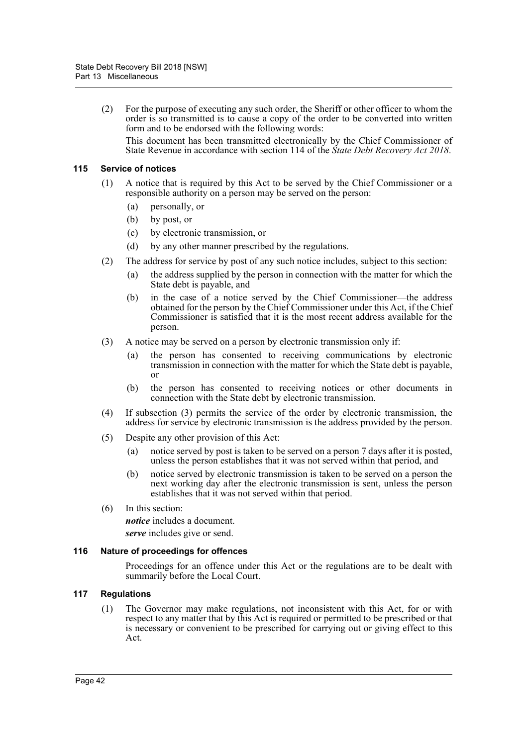(2) For the purpose of executing any such order, the Sheriff or other officer to whom the order is so transmitted is to cause a copy of the order to be converted into written form and to be endorsed with the following words:

This document has been transmitted electronically by the Chief Commissioner of State Revenue in accordance with section 114 of the *State Debt Recovery Act 2018*.

# <span id="page-46-0"></span>**115 Service of notices**

- (1) A notice that is required by this Act to be served by the Chief Commissioner or a responsible authority on a person may be served on the person:
	- (a) personally, or
	- (b) by post, or
	- (c) by electronic transmission, or
	- (d) by any other manner prescribed by the regulations.
- (2) The address for service by post of any such notice includes, subject to this section:
	- (a) the address supplied by the person in connection with the matter for which the State debt is payable, and
	- (b) in the case of a notice served by the Chief Commissioner—the address obtained for the person by the Chief Commissioner under this Act, if the Chief Commissioner is satisfied that it is the most recent address available for the person.
- (3) A notice may be served on a person by electronic transmission only if:
	- (a) the person has consented to receiving communications by electronic transmission in connection with the matter for which the State debt is payable, or
	- (b) the person has consented to receiving notices or other documents in connection with the State debt by electronic transmission.
- (4) If subsection (3) permits the service of the order by electronic transmission, the address for service by electronic transmission is the address provided by the person.
- (5) Despite any other provision of this Act:
	- (a) notice served by post is taken to be served on a person 7 days after it is posted, unless the person establishes that it was not served within that period, and
	- (b) notice served by electronic transmission is taken to be served on a person the next working day after the electronic transmission is sent, unless the person establishes that it was not served within that period.
- (6) In this section:

*notice* includes a document.

*serve* includes give or send.

# <span id="page-46-1"></span>**116 Nature of proceedings for offences**

Proceedings for an offence under this Act or the regulations are to be dealt with summarily before the Local Court.

# <span id="page-46-2"></span>**117 Regulations**

(1) The Governor may make regulations, not inconsistent with this Act, for or with respect to any matter that by this Act is required or permitted to be prescribed or that is necessary or convenient to be prescribed for carrying out or giving effect to this Act.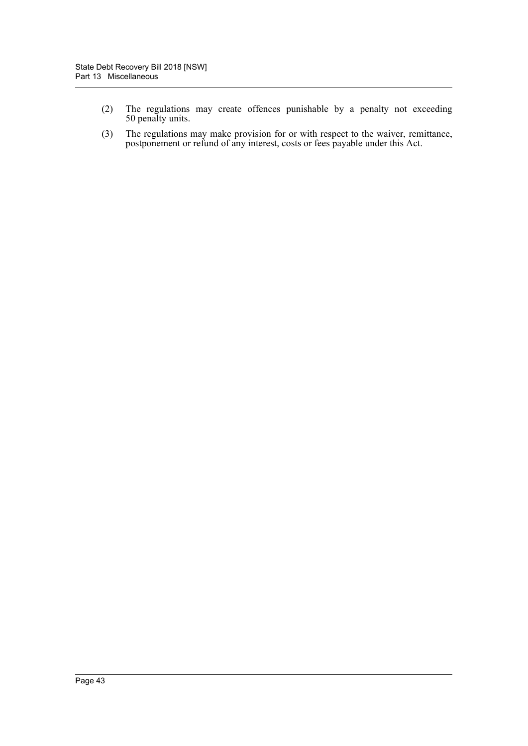- (2) The regulations may create offences punishable by a penalty not exceeding 50 penalty units.
- (3) The regulations may make provision for or with respect to the waiver, remittance, postponement or refund of any interest, costs or fees payable under this Act.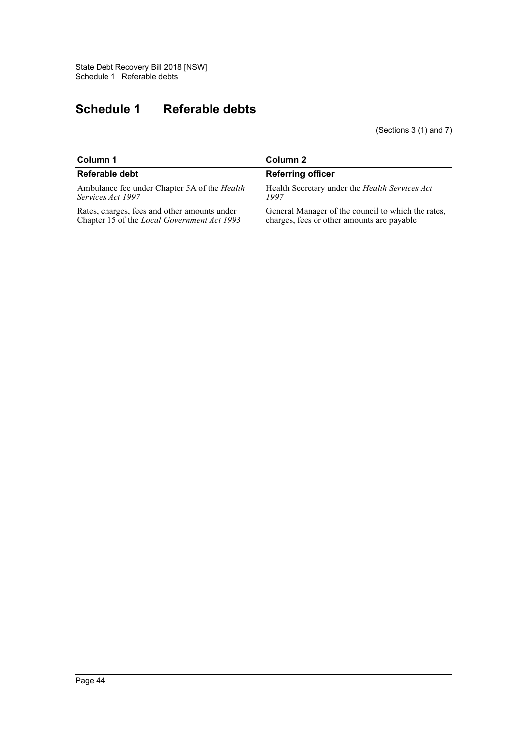# <span id="page-48-0"></span>**Schedule 1 Referable debts**

(Sections 3 (1) and 7)

| Column 1                                     | Column 2                                           |
|----------------------------------------------|----------------------------------------------------|
| Referable debt                               | <b>Referring officer</b>                           |
| Ambulance fee under Chapter 5A of the Health | Health Secretary under the Health Services Act     |
| Services Act 1997                            | 1997                                               |
| Rates, charges, fees and other amounts under | General Manager of the council to which the rates, |
| Chapter 15 of the Local Government Act 1993  | charges, fees or other amounts are payable         |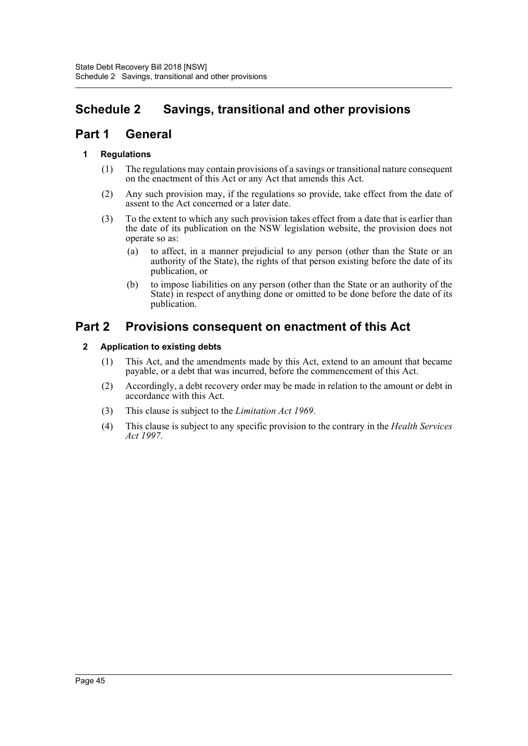# <span id="page-49-0"></span>**Schedule 2 Savings, transitional and other provisions**

# **Part 1 General**

# **1 Regulations**

- (1) The regulations may contain provisions of a savings or transitional nature consequent on the enactment of this Act or any Act that amends this Act.
- (2) Any such provision may, if the regulations so provide, take effect from the date of assent to the Act concerned or a later date.
- (3) To the extent to which any such provision takes effect from a date that is earlier than the date of its publication on the NSW legislation website, the provision does not operate so as:
	- (a) to affect, in a manner prejudicial to any person (other than the State or an authority of the State), the rights of that person existing before the date of its publication, or
	- (b) to impose liabilities on any person (other than the State or an authority of the State) in respect of anything done or omitted to be done before the date of its publication.

# **Part 2 Provisions consequent on enactment of this Act**

# **2 Application to existing debts**

- (1) This Act, and the amendments made by this Act, extend to an amount that became payable, or a debt that was incurred, before the commencement of this Act.
- (2) Accordingly, a debt recovery order may be made in relation to the amount or debt in accordance with this Act.
- (3) This clause is subject to the *Limitation Act 1969*.
- (4) This clause is subject to any specific provision to the contrary in the *Health Services Act 1997*.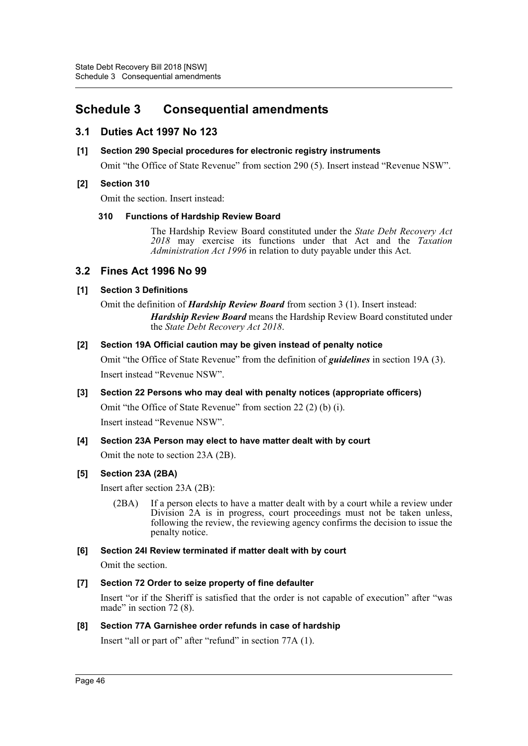# <span id="page-50-0"></span>**Schedule 3 Consequential amendments**

# **3.1 Duties Act 1997 No 123**

# **[1] Section 290 Special procedures for electronic registry instruments**

Omit "the Office of State Revenue" from section 290 (5). Insert instead "Revenue NSW".

# **[2] Section 310**

Omit the section. Insert instead:

# **310 Functions of Hardship Review Board**

The Hardship Review Board constituted under the *State Debt Recovery Act 2018* may exercise its functions under that Act and the *Taxation Administration Act 1996* in relation to duty payable under this Act.

# **3.2 Fines Act 1996 No 99**

# **[1] Section 3 Definitions**

Omit the definition of *Hardship Review Board* from section 3 (1). Insert instead: *Hardship Review Board* means the Hardship Review Board constituted under the *State Debt Recovery Act 2018*.

# **[2] Section 19A Official caution may be given instead of penalty notice**

Omit "the Office of State Revenue" from the definition of *guidelines* in section 19A (3). Insert instead "Revenue NSW".

# **[3] Section 22 Persons who may deal with penalty notices (appropriate officers)**

Omit "the Office of State Revenue" from section 22 (2) (b) (i). Insert instead "Revenue NSW".

# **[4] Section 23A Person may elect to have matter dealt with by court**

Omit the note to section 23A (2B).

# **[5] Section 23A (2BA)**

Insert after section 23A (2B):

(2BA) If a person elects to have a matter dealt with by a court while a review under Division 2A is in progress, court proceedings must not be taken unless, following the review, the reviewing agency confirms the decision to issue the penalty notice.

# **[6] Section 24I Review terminated if matter dealt with by court**

Omit the section.

# **[7] Section 72 Order to seize property of fine defaulter**

Insert "or if the Sheriff is satisfied that the order is not capable of execution" after "was made" in section 72 (8).

# **[8] Section 77A Garnishee order refunds in case of hardship**

Insert "all or part of" after "refund" in section 77A (1).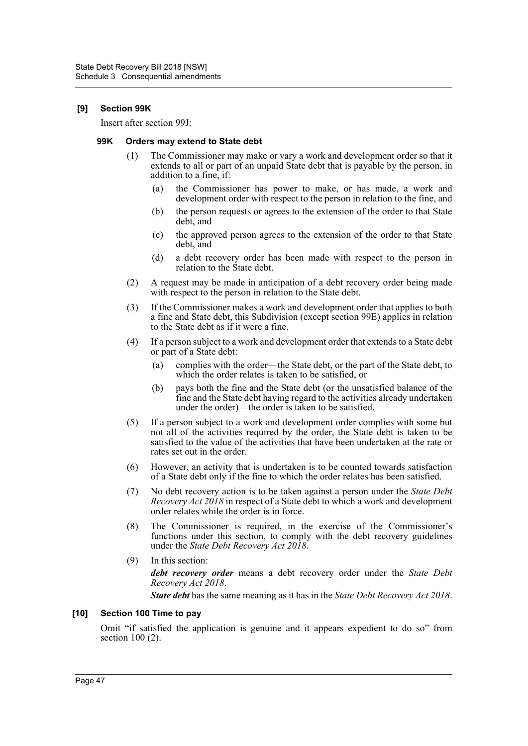# **[9] Section 99K**

Insert after section 99J:

#### **99K Orders may extend to State debt**

- (1) The Commissioner may make or vary a work and development order so that it extends to all or part of an unpaid State debt that is payable by the person, in addition to a fine, if:
	- (a) the Commissioner has power to make, or has made, a work and development order with respect to the person in relation to the fine, and
	- (b) the person requests or agrees to the extension of the order to that State debt, and
	- (c) the approved person agrees to the extension of the order to that State debt, and
	- (d) a debt recovery order has been made with respect to the person in relation to the State debt.
- (2) A request may be made in anticipation of a debt recovery order being made with respect to the person in relation to the State debt.
- (3) If the Commissioner makes a work and development order that applies to both a fine and State debt, this Subdivision (except section 99E) applies in relation to the State debt as if it were a fine.
- (4) If a person subject to a work and development order that extends to a State debt or part of a State debt:
	- (a) complies with the order—the State debt, or the part of the State debt, to which the order relates is taken to be satisfied, or
	- (b) pays both the fine and the State debt (or the unsatisfied balance of the fine and the State debt having regard to the activities already undertaken under the order)—the order is taken to be satisfied.
- (5) If a person subject to a work and development order complies with some but not all of the activities required by the order, the State debt is taken to be satisfied to the value of the activities that have been undertaken at the rate or rates set out in the order.
- (6) However, an activity that is undertaken is to be counted towards satisfaction of a State debt only if the fine to which the order relates has been satisfied.
- (7) No debt recovery action is to be taken against a person under the *State Debt Recovery Act 2018* in respect of a State debt to which a work and development order relates while the order is in force.
- (8) The Commissioner is required, in the exercise of the Commissioner's functions under this section, to comply with the debt recovery guidelines under the *State Debt Recovery Act 2018*.
- (9) In this section:

*debt recovery order* means a debt recovery order under the *State Debt Recovery Act 2018*.

*State debt* has the same meaning as it has in the *State Debt Recovery Act 2018*.

# **[10] Section 100 Time to pay**

Omit "if satisfied the application is genuine and it appears expedient to do so" from section 100 (2).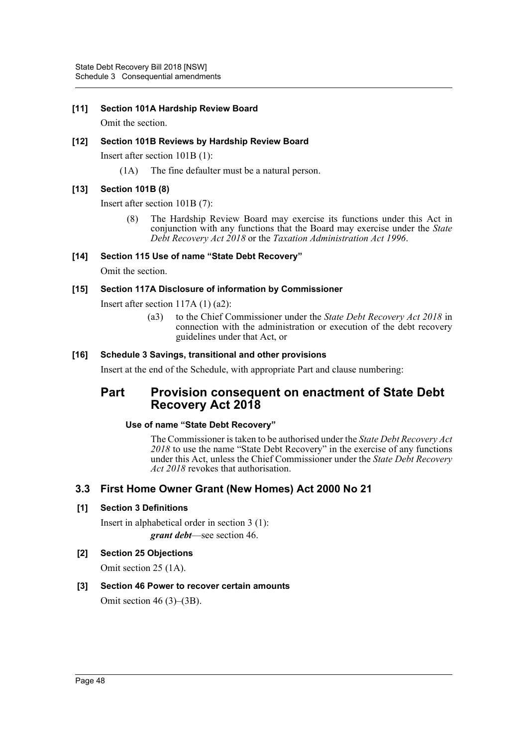# **[11] Section 101A Hardship Review Board**

Omit the section.

# **[12] Section 101B Reviews by Hardship Review Board**

Insert after section 101B (1):

(1A) The fine defaulter must be a natural person.

# **[13] Section 101B (8)**

Insert after section 101B (7):

(8) The Hardship Review Board may exercise its functions under this Act in conjunction with any functions that the Board may exercise under the *State Debt Recovery Act 2018* or the *Taxation Administration Act 1996*.

# **[14] Section 115 Use of name "State Debt Recovery"**

Omit the section.

# **[15] Section 117A Disclosure of information by Commissioner**

Insert after section 117A (1) (a2):

(a3) to the Chief Commissioner under the *State Debt Recovery Act 2018* in connection with the administration or execution of the debt recovery guidelines under that Act, or

# **[16] Schedule 3 Savings, transitional and other provisions**

Insert at the end of the Schedule, with appropriate Part and clause numbering:

# **Part Provision consequent on enactment of State Debt Recovery Act 2018**

# **Use of name "State Debt Recovery"**

The Commissioner is taken to be authorised under the *State Debt Recovery Act 2018* to use the name "State Debt Recovery" in the exercise of any functions under this Act, unless the Chief Commissioner under the *State Debt Recovery Act 2018* revokes that authorisation.

# **3.3 First Home Owner Grant (New Homes) Act 2000 No 21**

# **[1] Section 3 Definitions**

Insert in alphabetical order in section 3 (1): *grant debt*—see section 46.

**[2] Section 25 Objections**

Omit section 25 (1A).

# **[3] Section 46 Power to recover certain amounts**

Omit section 46 (3)–(3B).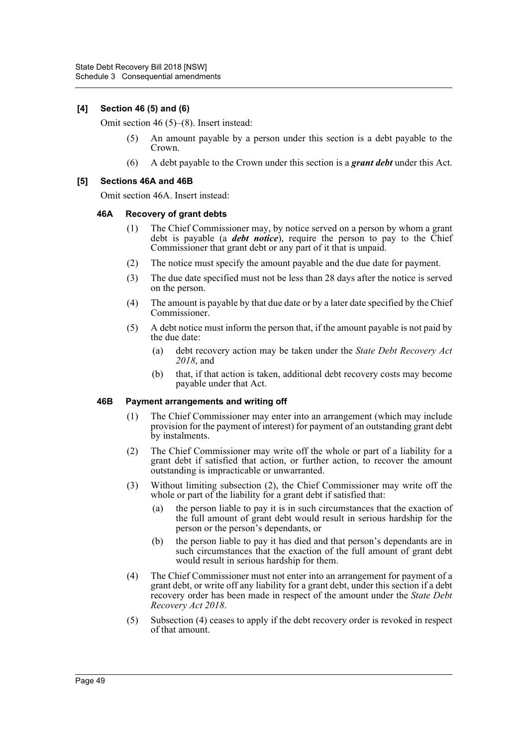# **[4] Section 46 (5) and (6)**

Omit section 46 (5)–(8). Insert instead:

- (5) An amount payable by a person under this section is a debt payable to the Crown.
- (6) A debt payable to the Crown under this section is a *grant debt* under this Act.

#### **[5] Sections 46A and 46B**

Omit section 46A. Insert instead:

#### **46A Recovery of grant debts**

- (1) The Chief Commissioner may, by notice served on a person by whom a grant debt is payable (a *debt notice*), require the person to pay to the Chief Commissioner that grant debt or any part of it that is unpaid.
- (2) The notice must specify the amount payable and the due date for payment.
- (3) The due date specified must not be less than 28 days after the notice is served on the person.
- (4) The amount is payable by that due date or by a later date specified by the Chief Commissioner.
- (5) A debt notice must inform the person that, if the amount payable is not paid by the due date:
	- (a) debt recovery action may be taken under the *State Debt Recovery Act 2018*, and
	- (b) that, if that action is taken, additional debt recovery costs may become payable under that Act.

# **46B Payment arrangements and writing off**

- (1) The Chief Commissioner may enter into an arrangement (which may include provision for the payment of interest) for payment of an outstanding grant debt by instalments.
- (2) The Chief Commissioner may write off the whole or part of a liability for a grant debt if satisfied that action, or further action, to recover the amount outstanding is impracticable or unwarranted.
- (3) Without limiting subsection (2), the Chief Commissioner may write off the whole or part of the liability for a grant debt if satisfied that:
	- (a) the person liable to pay it is in such circumstances that the exaction of the full amount of grant debt would result in serious hardship for the person or the person's dependants, or
	- (b) the person liable to pay it has died and that person's dependants are in such circumstances that the exaction of the full amount of grant debt would result in serious hardship for them.
- (4) The Chief Commissioner must not enter into an arrangement for payment of a grant debt, or write off any liability for a grant debt, under this section if a debt recovery order has been made in respect of the amount under the *State Debt Recovery Act 2018*.
- (5) Subsection (4) ceases to apply if the debt recovery order is revoked in respect of that amount.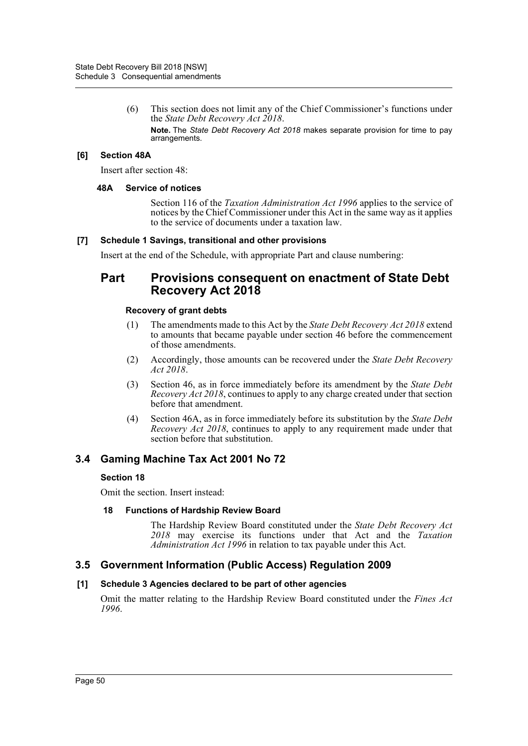(6) This section does not limit any of the Chief Commissioner's functions under the *State Debt Recovery Act 2018*.

**Note.** The *State Debt Recovery Act 2018* makes separate provision for time to pay arrangements.

# **[6] Section 48A**

Insert after section 48:

#### **48A Service of notices**

Section 116 of the *Taxation Administration Act 1996* applies to the service of notices by the Chief Commissioner under this Act in the same way as it applies to the service of documents under a taxation law.

#### **[7] Schedule 1 Savings, transitional and other provisions**

Insert at the end of the Schedule, with appropriate Part and clause numbering:

# **Part Provisions consequent on enactment of State Debt Recovery Act 2018**

#### **Recovery of grant debts**

- (1) The amendments made to this Act by the *State Debt Recovery Act 2018* extend to amounts that became payable under section 46 before the commencement of those amendments.
- (2) Accordingly, those amounts can be recovered under the *State Debt Recovery Act 2018*.
- (3) Section 46, as in force immediately before its amendment by the *State Debt Recovery Act 2018*, continues to apply to any charge created under that section before that amendment.
- (4) Section 46A, as in force immediately before its substitution by the *State Debt Recovery Act 2018*, continues to apply to any requirement made under that section before that substitution.

# **3.4 Gaming Machine Tax Act 2001 No 72**

# **Section 18**

Omit the section. Insert instead:

# **18 Functions of Hardship Review Board**

The Hardship Review Board constituted under the *State Debt Recovery Act 2018* may exercise its functions under that Act and the *Taxation Administration Act 1996* in relation to tax payable under this Act.

# **3.5 Government Information (Public Access) Regulation 2009**

# **[1] Schedule 3 Agencies declared to be part of other agencies**

Omit the matter relating to the Hardship Review Board constituted under the *Fines Act 1996*.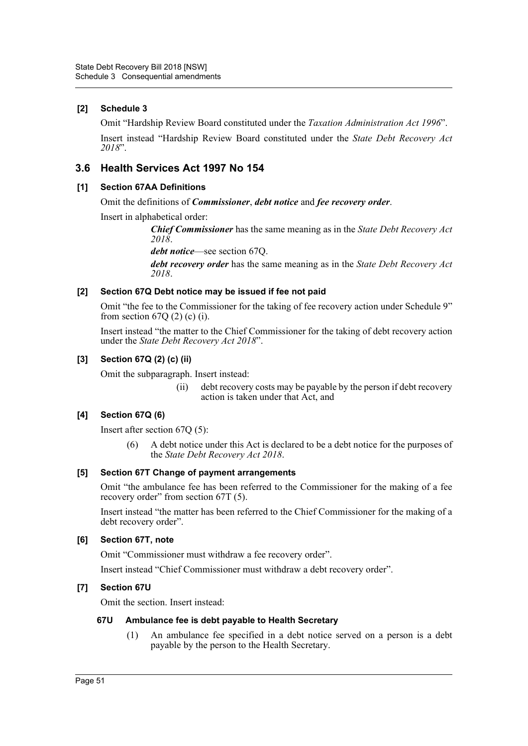# **[2] Schedule 3**

Omit "Hardship Review Board constituted under the *Taxation Administration Act 1996*".

Insert instead "Hardship Review Board constituted under the *State Debt Recovery Act 2018*".

# **3.6 Health Services Act 1997 No 154**

# **[1] Section 67AA Definitions**

Omit the definitions of *Commissioner*, *debt notice* and *fee recovery order*.

Insert in alphabetical order:

*Chief Commissioner* has the same meaning as in the *State Debt Recovery Act 2018*.

*debt notice*—see section 67Q.

*debt recovery order* has the same meaning as in the *State Debt Recovery Act 2018*.

# **[2] Section 67Q Debt notice may be issued if fee not paid**

Omit "the fee to the Commissioner for the taking of fee recovery action under Schedule 9" from section  $67Q(2)$  (c) (i).

Insert instead "the matter to the Chief Commissioner for the taking of debt recovery action under the *State Debt Recovery Act 2018*".

# **[3] Section 67Q (2) (c) (ii)**

Omit the subparagraph. Insert instead:

(ii) debt recovery costs may be payable by the person if debt recovery action is taken under that Act, and

# **[4] Section 67Q (6)**

Insert after section 67Q (5):

(6) A debt notice under this Act is declared to be a debt notice for the purposes of the *State Debt Recovery Act 2018*.

# **[5] Section 67T Change of payment arrangements**

Omit "the ambulance fee has been referred to the Commissioner for the making of a fee recovery order" from section 67T (5).

Insert instead "the matter has been referred to the Chief Commissioner for the making of a debt recovery order".

# **[6] Section 67T, note**

Omit "Commissioner must withdraw a fee recovery order".

Insert instead "Chief Commissioner must withdraw a debt recovery order".

# **[7] Section 67U**

Omit the section. Insert instead:

# **67U Ambulance fee is debt payable to Health Secretary**

(1) An ambulance fee specified in a debt notice served on a person is a debt payable by the person to the Health Secretary.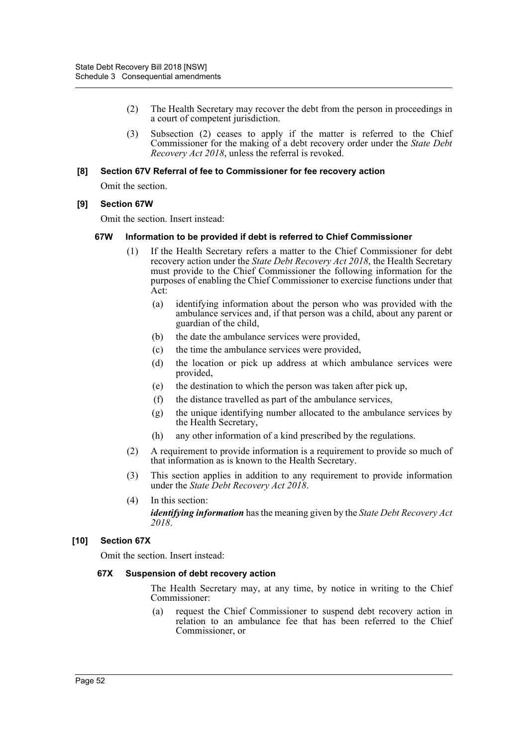- (2) The Health Secretary may recover the debt from the person in proceedings in a court of competent jurisdiction.
- (3) Subsection (2) ceases to apply if the matter is referred to the Chief Commissioner for the making of a debt recovery order under the *State Debt Recovery Act 2018*, unless the referral is revoked.

#### **[8] Section 67V Referral of fee to Commissioner for fee recovery action**

Omit the section.

# **[9] Section 67W**

Omit the section. Insert instead:

#### **67W Information to be provided if debt is referred to Chief Commissioner**

- (1) If the Health Secretary refers a matter to the Chief Commissioner for debt recovery action under the *State Debt Recovery Act 2018*, the Health Secretary must provide to the Chief Commissioner the following information for the purposes of enabling the Chief Commissioner to exercise functions under that Act:
	- (a) identifying information about the person who was provided with the ambulance services and, if that person was a child, about any parent or guardian of the child,
	- (b) the date the ambulance services were provided,
	- (c) the time the ambulance services were provided,
	- (d) the location or pick up address at which ambulance services were provided,
	- (e) the destination to which the person was taken after pick up,
	- (f) the distance travelled as part of the ambulance services,
	- (g) the unique identifying number allocated to the ambulance services by the Health Secretary,
	- (h) any other information of a kind prescribed by the regulations.
- (2) A requirement to provide information is a requirement to provide so much of that information as is known to the Health Secretary.
- (3) This section applies in addition to any requirement to provide information under the *State Debt Recovery Act 2018*.
- (4) In this section: *identifying information* has the meaning given by the *State Debt Recovery Act 2018*.

# **[10] Section 67X**

Omit the section. Insert instead:

#### **67X Suspension of debt recovery action**

The Health Secretary may, at any time, by notice in writing to the Chief Commissioner:

(a) request the Chief Commissioner to suspend debt recovery action in relation to an ambulance fee that has been referred to the Chief Commissioner, or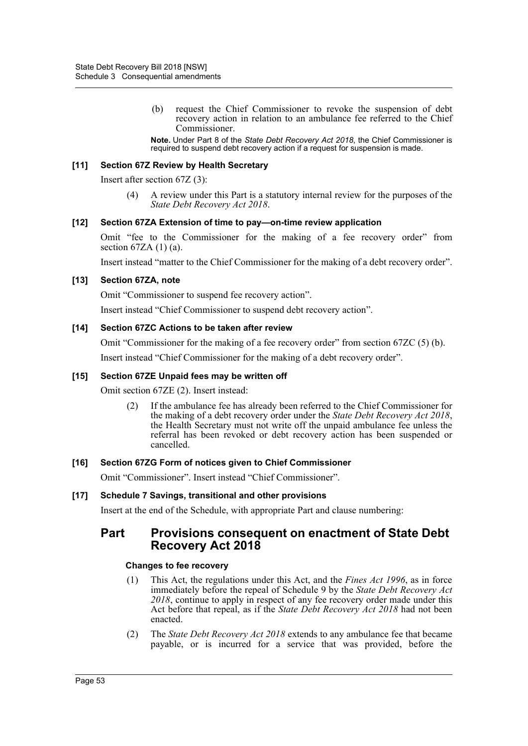(b) request the Chief Commissioner to revoke the suspension of debt recovery action in relation to an ambulance fee referred to the Chief Commissioner.

**Note.** Under Part 8 of the *State Debt Recovery Act 2018*, the Chief Commissioner is required to suspend debt recovery action if a request for suspension is made.

#### **[11] Section 67Z Review by Health Secretary**

Insert after section 67Z (3):

(4) A review under this Part is a statutory internal review for the purposes of the *State Debt Recovery Act 2018*.

#### **[12] Section 67ZA Extension of time to pay—on-time review application**

Omit "fee to the Commissioner for the making of a fee recovery order" from section  $67ZA(1)(a)$ .

Insert instead "matter to the Chief Commissioner for the making of a debt recovery order".

#### **[13] Section 67ZA, note**

Omit "Commissioner to suspend fee recovery action".

Insert instead "Chief Commissioner to suspend debt recovery action".

#### **[14] Section 67ZC Actions to be taken after review**

Omit "Commissioner for the making of a fee recovery order" from section 67ZC (5) (b).

Insert instead "Chief Commissioner for the making of a debt recovery order".

#### **[15] Section 67ZE Unpaid fees may be written off**

Omit section 67ZE (2). Insert instead:

(2) If the ambulance fee has already been referred to the Chief Commissioner for the making of a debt recovery order under the *State Debt Recovery Act 2018*, the Health Secretary must not write off the unpaid ambulance fee unless the referral has been revoked or debt recovery action has been suspended or cancelled.

# **[16] Section 67ZG Form of notices given to Chief Commissioner**

Omit "Commissioner". Insert instead "Chief Commissioner".

# **[17] Schedule 7 Savings, transitional and other provisions**

Insert at the end of the Schedule, with appropriate Part and clause numbering:

# **Part Provisions consequent on enactment of State Debt Recovery Act 2018**

# **Changes to fee recovery**

- (1) This Act, the regulations under this Act, and the *Fines Act 1996*, as in force immediately before the repeal of Schedule 9 by the *State Debt Recovery Act 2018*, continue to apply in respect of any fee recovery order made under this Act before that repeal, as if the *State Debt Recovery Act 2018* had not been enacted.
- (2) The *State Debt Recovery Act 2018* extends to any ambulance fee that became payable, or is incurred for a service that was provided, before the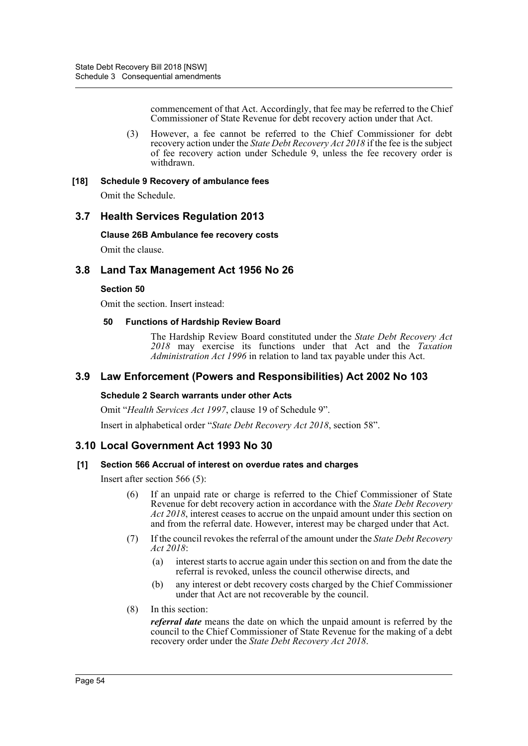commencement of that Act. Accordingly, that fee may be referred to the Chief Commissioner of State Revenue for debt recovery action under that Act.

(3) However, a fee cannot be referred to the Chief Commissioner for debt recovery action under the *State Debt Recovery Act 2018* if the fee is the subject of fee recovery action under Schedule 9, unless the fee recovery order is withdrawn.

# **[18] Schedule 9 Recovery of ambulance fees**

Omit the Schedule.

# **3.7 Health Services Regulation 2013**

**Clause 26B Ambulance fee recovery costs**

Omit the clause.

# **3.8 Land Tax Management Act 1956 No 26**

# **Section 50**

Omit the section. Insert instead:

# **50 Functions of Hardship Review Board**

The Hardship Review Board constituted under the *State Debt Recovery Act 2018* may exercise its functions under that Act and the *Taxation Administration Act 1996* in relation to land tax payable under this Act.

# **3.9 Law Enforcement (Powers and Responsibilities) Act 2002 No 103**

# **Schedule 2 Search warrants under other Acts**

Omit "*Health Services Act 1997*, clause 19 of Schedule 9".

Insert in alphabetical order "*State Debt Recovery Act 2018*, section 58".

# **3.10 Local Government Act 1993 No 30**

# **[1] Section 566 Accrual of interest on overdue rates and charges**

Insert after section 566 (5):

- (6) If an unpaid rate or charge is referred to the Chief Commissioner of State Revenue for debt recovery action in accordance with the *State Debt Recovery Act 2018*, interest ceases to accrue on the unpaid amount under this section on and from the referral date. However, interest may be charged under that Act.
- (7) If the council revokes the referral of the amount under the *State Debt Recovery Act 2018*:
	- (a) interest starts to accrue again under this section on and from the date the referral is revoked, unless the council otherwise directs, and
	- (b) any interest or debt recovery costs charged by the Chief Commissioner under that Act are not recoverable by the council.
- (8) In this section:

*referral date* means the date on which the unpaid amount is referred by the council to the Chief Commissioner of State Revenue for the making of a debt recovery order under the *State Debt Recovery Act 2018*.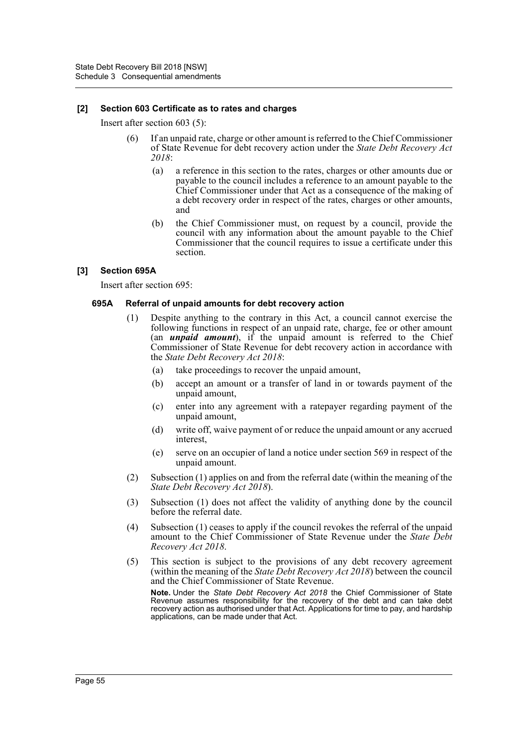#### **[2] Section 603 Certificate as to rates and charges**

Insert after section 603 (5):

- (6) If an unpaid rate, charge or other amount is referred to the Chief Commissioner of State Revenue for debt recovery action under the *State Debt Recovery Act 2018*:
	- (a) a reference in this section to the rates, charges or other amounts due or payable to the council includes a reference to an amount payable to the Chief Commissioner under that Act as a consequence of the making of a debt recovery order in respect of the rates, charges or other amounts, and
	- (b) the Chief Commissioner must, on request by a council, provide the council with any information about the amount payable to the Chief Commissioner that the council requires to issue a certificate under this section.

#### **[3] Section 695A**

Insert after section 695:

#### **695A Referral of unpaid amounts for debt recovery action**

- (1) Despite anything to the contrary in this Act, a council cannot exercise the following functions in respect of an unpaid rate, charge, fee or other amount (an *unpaid amount*), if the unpaid amount is referred to the Chief Commissioner of State Revenue for debt recovery action in accordance with the *State Debt Recovery Act 2018*:
	- (a) take proceedings to recover the unpaid amount,
	- (b) accept an amount or a transfer of land in or towards payment of the unpaid amount,
	- (c) enter into any agreement with a ratepayer regarding payment of the unpaid amount,
	- (d) write off, waive payment of or reduce the unpaid amount or any accrued interest,
	- (e) serve on an occupier of land a notice under section 569 in respect of the unpaid amount.
- (2) Subsection (1) applies on and from the referral date (within the meaning of the *State Debt Recovery Act 2018*).
- (3) Subsection (1) does not affect the validity of anything done by the council before the referral date.
- (4) Subsection (1) ceases to apply if the council revokes the referral of the unpaid amount to the Chief Commissioner of State Revenue under the *State Debt Recovery Act 2018*.
- (5) This section is subject to the provisions of any debt recovery agreement (within the meaning of the *State Debt Recovery Act 2018*) between the council and the Chief Commissioner of State Revenue.

**Note.** Under the *State Debt Recovery Act 2018* the Chief Commissioner of State Revenue assumes responsibility for the recovery of the debt and can take debt recovery action as authorised under that Act. Applications for time to pay, and hardship applications, can be made under that Act.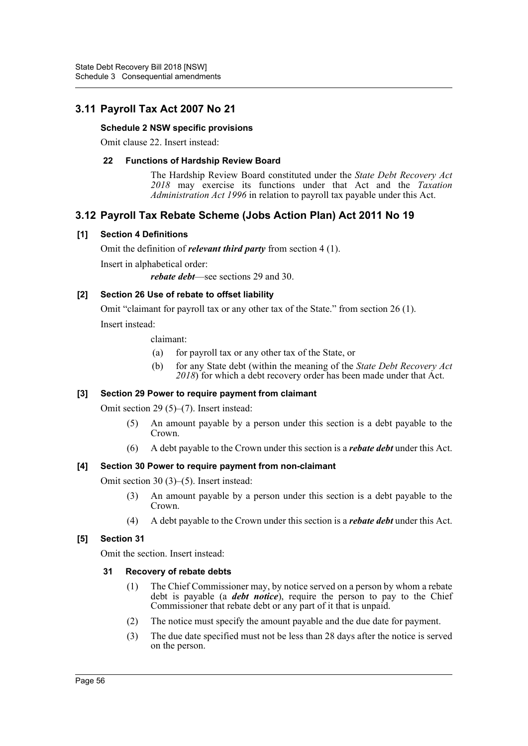# **3.11 Payroll Tax Act 2007 No 21**

# **Schedule 2 NSW specific provisions**

Omit clause 22. Insert instead:

# **22 Functions of Hardship Review Board**

The Hardship Review Board constituted under the *State Debt Recovery Act 2018* may exercise its functions under that Act and the *Taxation Administration Act 1996* in relation to payroll tax payable under this Act.

# **3.12 Payroll Tax Rebate Scheme (Jobs Action Plan) Act 2011 No 19**

# **[1] Section 4 Definitions**

Omit the definition of *relevant third party* from section 4 (1).

Insert in alphabetical order:

*rebate debt*—see sections 29 and 30.

# **[2] Section 26 Use of rebate to offset liability**

Omit "claimant for payroll tax or any other tax of the State." from section 26 (1). Insert instead:

claimant:

- (a) for payroll tax or any other tax of the State, or
- (b) for any State debt (within the meaning of the *State Debt Recovery Act 2018*) for which a debt recovery order has been made under that Act.

# **[3] Section 29 Power to require payment from claimant**

Omit section 29 (5)–(7). Insert instead:

- (5) An amount payable by a person under this section is a debt payable to the Crown.
- (6) A debt payable to the Crown under this section is a *rebate debt* under this Act.

# **[4] Section 30 Power to require payment from non-claimant**

Omit section 30 (3)–(5). Insert instead:

- (3) An amount payable by a person under this section is a debt payable to the Crown.
- (4) A debt payable to the Crown under this section is a *rebate debt* under this Act.

# **[5] Section 31**

Omit the section. Insert instead:

# **31 Recovery of rebate debts**

- (1) The Chief Commissioner may, by notice served on a person by whom a rebate debt is payable (a *debt notice*), require the person to pay to the Chief Commissioner that rebate debt or any part of it that is unpaid.
- (2) The notice must specify the amount payable and the due date for payment.
- (3) The due date specified must not be less than 28 days after the notice is served on the person.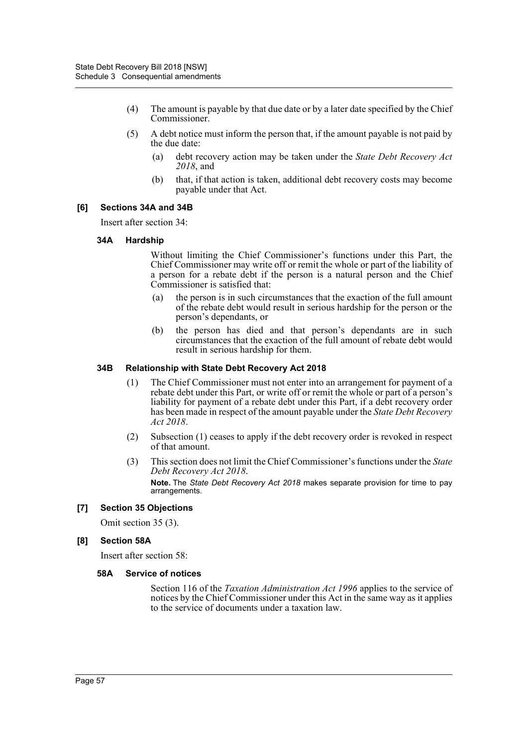- (4) The amount is payable by that due date or by a later date specified by the Chief Commissioner.
- (5) A debt notice must inform the person that, if the amount payable is not paid by the due date:
	- (a) debt recovery action may be taken under the *State Debt Recovery Act 2018*, and
	- (b) that, if that action is taken, additional debt recovery costs may become payable under that Act.

# **[6] Sections 34A and 34B**

Insert after section 34:

#### **34A Hardship**

Without limiting the Chief Commissioner's functions under this Part, the Chief Commissioner may write off or remit the whole or part of the liability of a person for a rebate debt if the person is a natural person and the Chief Commissioner is satisfied that:

- (a) the person is in such circumstances that the exaction of the full amount of the rebate debt would result in serious hardship for the person or the person's dependants, or
- (b) the person has died and that person's dependants are in such circumstances that the exaction of the full amount of rebate debt would result in serious hardship for them.

#### **34B Relationship with State Debt Recovery Act 2018**

- (1) The Chief Commissioner must not enter into an arrangement for payment of a rebate debt under this Part, or write off or remit the whole or part of a person's liability for payment of a rebate debt under this Part, if a debt recovery order has been made in respect of the amount payable under the *State Debt Recovery Act 2018*.
- (2) Subsection (1) ceases to apply if the debt recovery order is revoked in respect of that amount.
- (3) This section does not limit the Chief Commissioner's functions under the *State Debt Recovery Act 2018*. **Note.** The *State Debt Recovery Act 2018* makes separate provision for time to pay arrangements.

# **[7] Section 35 Objections**

Omit section 35 (3).

# **[8] Section 58A**

Insert after section 58:

#### **58A Service of notices**

Section 116 of the *Taxation Administration Act 1996* applies to the service of notices by the Chief Commissioner under this Act in the same way as it applies to the service of documents under a taxation law.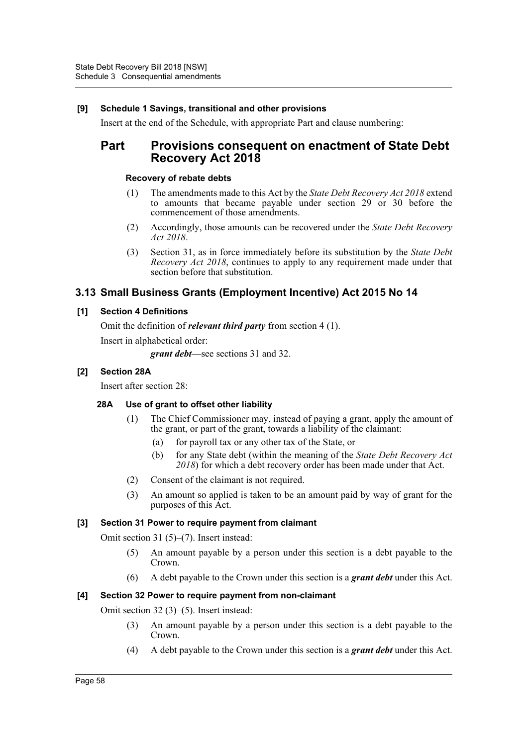# **[9] Schedule 1 Savings, transitional and other provisions**

Insert at the end of the Schedule, with appropriate Part and clause numbering:

# **Part Provisions consequent on enactment of State Debt Recovery Act 2018**

#### **Recovery of rebate debts**

- (1) The amendments made to this Act by the *State Debt Recovery Act 2018* extend to amounts that became payable under section 29 or 30 before the commencement of those amendments.
- (2) Accordingly, those amounts can be recovered under the *State Debt Recovery Act 2018*.
- (3) Section 31, as in force immediately before its substitution by the *State Debt Recovery Act 2018*, continues to apply to any requirement made under that section before that substitution.

# **3.13 Small Business Grants (Employment Incentive) Act 2015 No 14**

# **[1] Section 4 Definitions**

Omit the definition of *relevant third party* from section 4 (1).

Insert in alphabetical order:

*grant debt*—see sections 31 and 32.

# **[2] Section 28A**

Insert after section 28:

# **28A Use of grant to offset other liability**

- (1) The Chief Commissioner may, instead of paying a grant, apply the amount of the grant, or part of the grant, towards a liability of the claimant:
	- (a) for payroll tax or any other tax of the State, or
	- (b) for any State debt (within the meaning of the *State Debt Recovery Act 2018*) for which a debt recovery order has been made under that Act.
- (2) Consent of the claimant is not required.
- (3) An amount so applied is taken to be an amount paid by way of grant for the purposes of this Act.

# **[3] Section 31 Power to require payment from claimant**

Omit section 31 (5)–(7). Insert instead:

- (5) An amount payable by a person under this section is a debt payable to the Crown.
- (6) A debt payable to the Crown under this section is a *grant debt* under this Act.

# **[4] Section 32 Power to require payment from non-claimant**

Omit section 32 (3)–(5). Insert instead:

- (3) An amount payable by a person under this section is a debt payable to the Crown.
- (4) A debt payable to the Crown under this section is a *grant debt* under this Act.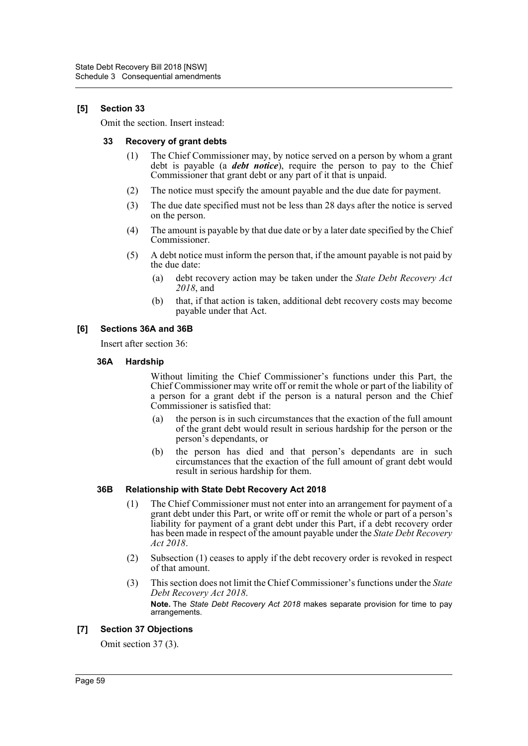# **[5] Section 33**

Omit the section. Insert instead:

#### **33 Recovery of grant debts**

- (1) The Chief Commissioner may, by notice served on a person by whom a grant debt is payable (a *debt notice*), require the person to pay to the Chief Commissioner that grant debt or any part of it that is unpaid.
- (2) The notice must specify the amount payable and the due date for payment.
- (3) The due date specified must not be less than 28 days after the notice is served on the person.
- (4) The amount is payable by that due date or by a later date specified by the Chief Commissioner.
- (5) A debt notice must inform the person that, if the amount payable is not paid by the due date:
	- (a) debt recovery action may be taken under the *State Debt Recovery Act 2018*, and
	- (b) that, if that action is taken, additional debt recovery costs may become payable under that Act.

# **[6] Sections 36A and 36B**

Insert after section 36:

# **36A Hardship**

Without limiting the Chief Commissioner's functions under this Part, the Chief Commissioner may write off or remit the whole or part of the liability of a person for a grant debt if the person is a natural person and the Chief Commissioner is satisfied that:

- (a) the person is in such circumstances that the exaction of the full amount of the grant debt would result in serious hardship for the person or the person's dependants, or
- (b) the person has died and that person's dependants are in such circumstances that the exaction of the full amount of grant debt would result in serious hardship for them.

# **36B Relationship with State Debt Recovery Act 2018**

- (1) The Chief Commissioner must not enter into an arrangement for payment of a grant debt under this Part, or write off or remit the whole or part of a person's liability for payment of a grant debt under this Part, if a debt recovery order has been made in respect of the amount payable under the *State Debt Recovery Act 2018*.
- (2) Subsection (1) ceases to apply if the debt recovery order is revoked in respect of that amount.
- (3) This section does not limit the Chief Commissioner's functions under the *State Debt Recovery Act 2018*. **Note.** The *State Debt Recovery Act 2018* makes separate provision for time to pay arrangements.

# **[7] Section 37 Objections**

Omit section 37 (3).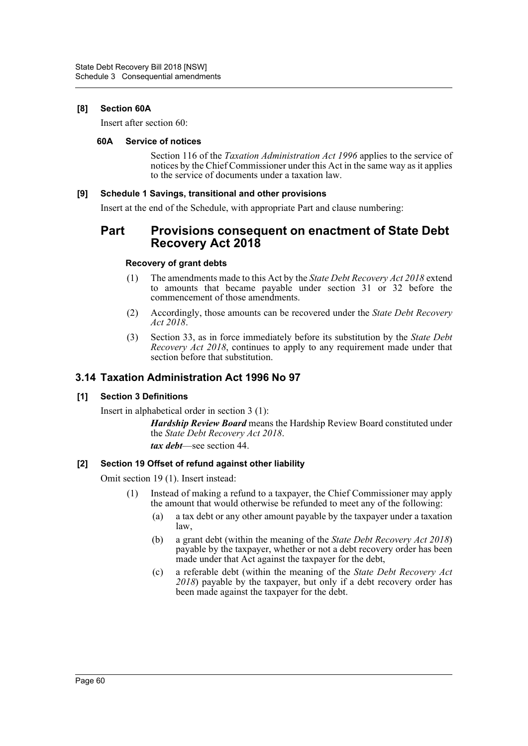# **[8] Section 60A**

Insert after section 60:

#### **60A Service of notices**

Section 116 of the *Taxation Administration Act 1996* applies to the service of notices by the Chief Commissioner under this Act in the same way as it applies to the service of documents under a taxation law.

# **[9] Schedule 1 Savings, transitional and other provisions**

Insert at the end of the Schedule, with appropriate Part and clause numbering:

# **Part Provisions consequent on enactment of State Debt Recovery Act 2018**

# **Recovery of grant debts**

- (1) The amendments made to this Act by the *State Debt Recovery Act 2018* extend to amounts that became payable under section 31 or 32 before the commencement of those amendments.
- (2) Accordingly, those amounts can be recovered under the *State Debt Recovery Act 2018*.
- (3) Section 33, as in force immediately before its substitution by the *State Debt Recovery Act 2018*, continues to apply to any requirement made under that section before that substitution.

# **3.14 Taxation Administration Act 1996 No 97**

# **[1] Section 3 Definitions**

Insert in alphabetical order in section 3 (1):

*Hardship Review Board* means the Hardship Review Board constituted under the *State Debt Recovery Act 2018*.

*tax debt*—see section 44.

# **[2] Section 19 Offset of refund against other liability**

Omit section 19 (1). Insert instead:

- (1) Instead of making a refund to a taxpayer, the Chief Commissioner may apply the amount that would otherwise be refunded to meet any of the following:
	- (a) a tax debt or any other amount payable by the taxpayer under a taxation law,
	- (b) a grant debt (within the meaning of the *State Debt Recovery Act 2018*) payable by the taxpayer, whether or not a debt recovery order has been made under that Act against the taxpayer for the debt,
	- (c) a referable debt (within the meaning of the *State Debt Recovery Act 2018*) payable by the taxpayer, but only if a debt recovery order has been made against the taxpayer for the debt.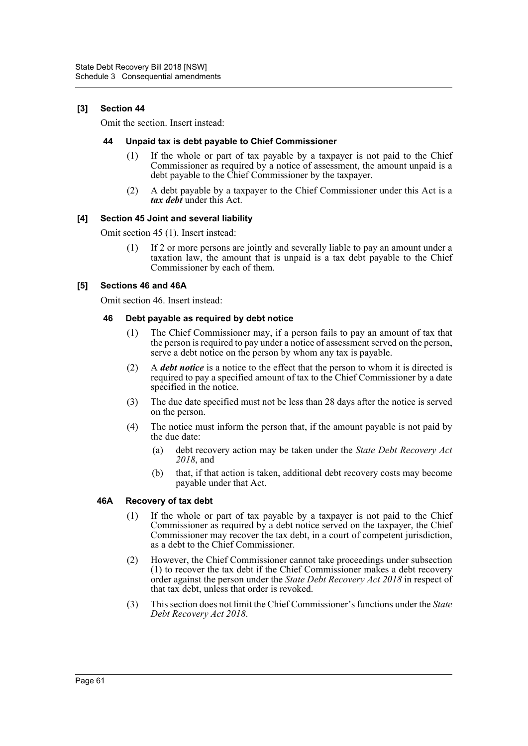# **[3] Section 44**

Omit the section. Insert instead:

#### **44 Unpaid tax is debt payable to Chief Commissioner**

- (1) If the whole or part of tax payable by a taxpayer is not paid to the Chief Commissioner as required by a notice of assessment, the amount unpaid is a debt payable to the Chief Commissioner by the taxpayer.
- (2) A debt payable by a taxpayer to the Chief Commissioner under this Act is a *tax debt* under this Act.

#### **[4] Section 45 Joint and several liability**

Omit section 45 (1). Insert instead:

(1) If 2 or more persons are jointly and severally liable to pay an amount under a taxation law, the amount that is unpaid is a tax debt payable to the Chief Commissioner by each of them.

# **[5] Sections 46 and 46A**

Omit section 46. Insert instead:

#### **46 Debt payable as required by debt notice**

- (1) The Chief Commissioner may, if a person fails to pay an amount of tax that the person is required to pay under a notice of assessment served on the person, serve a debt notice on the person by whom any tax is payable.
- (2) A *debt notice* is a notice to the effect that the person to whom it is directed is required to pay a specified amount of tax to the Chief Commissioner by a date specified in the notice.
- (3) The due date specified must not be less than 28 days after the notice is served on the person.
- (4) The notice must inform the person that, if the amount payable is not paid by the due date:
	- (a) debt recovery action may be taken under the *State Debt Recovery Act 2018*, and
	- (b) that, if that action is taken, additional debt recovery costs may become payable under that Act.

# **46A Recovery of tax debt**

- (1) If the whole or part of tax payable by a taxpayer is not paid to the Chief Commissioner as required by a debt notice served on the taxpayer, the Chief Commissioner may recover the tax debt, in a court of competent jurisdiction, as a debt to the Chief Commissioner.
- (2) However, the Chief Commissioner cannot take proceedings under subsection (1) to recover the tax debt if the Chief Commissioner makes a debt recovery order against the person under the *State Debt Recovery Act 2018* in respect of that tax debt, unless that order is revoked.
- (3) This section does not limit the Chief Commissioner's functions under the *State Debt Recovery Act 2018*.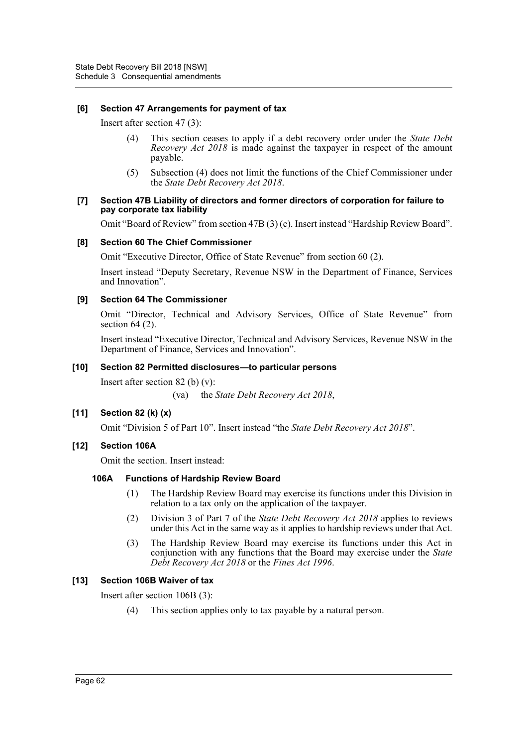# **[6] Section 47 Arrangements for payment of tax**

Insert after section 47 (3):

- (4) This section ceases to apply if a debt recovery order under the *State Debt Recovery Act 2018* is made against the taxpayer in respect of the amount payable.
- (5) Subsection (4) does not limit the functions of the Chief Commissioner under the *State Debt Recovery Act 2018*.

#### **[7] Section 47B Liability of directors and former directors of corporation for failure to pay corporate tax liability**

Omit "Board of Review" from section 47B (3) (c). Insert instead "Hardship Review Board".

# **[8] Section 60 The Chief Commissioner**

Omit "Executive Director, Office of State Revenue" from section 60 (2).

Insert instead "Deputy Secretary, Revenue NSW in the Department of Finance, Services and Innovation".

# **[9] Section 64 The Commissioner**

Omit "Director, Technical and Advisory Services, Office of State Revenue" from section 64 (2).

Insert instead "Executive Director, Technical and Advisory Services, Revenue NSW in the Department of Finance, Services and Innovation".

# **[10] Section 82 Permitted disclosures—to particular persons**

Insert after section  $82$  (b) (v):

(va) the *State Debt Recovery Act 2018*,

# **[11] Section 82 (k) (x)**

Omit "Division 5 of Part 10". Insert instead "the *State Debt Recovery Act 2018*".

# **[12] Section 106A**

Omit the section. Insert instead:

# **106A Functions of Hardship Review Board**

- (1) The Hardship Review Board may exercise its functions under this Division in relation to a tax only on the application of the taxpayer.
- (2) Division 3 of Part 7 of the *State Debt Recovery Act 2018* applies to reviews under this Act in the same way as it applies to hardship reviews under that Act.
- (3) The Hardship Review Board may exercise its functions under this Act in conjunction with any functions that the Board may exercise under the *State Debt Recovery Act 2018* or the *Fines Act 1996*.

# **[13] Section 106B Waiver of tax**

Insert after section 106B (3):

(4) This section applies only to tax payable by a natural person.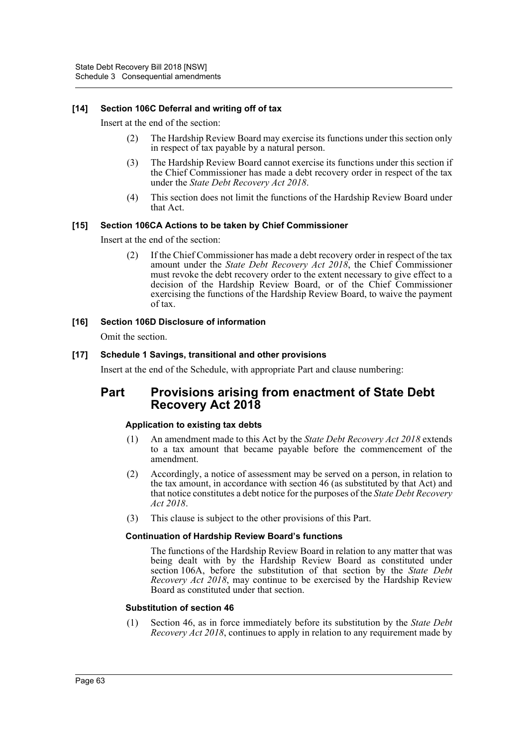# **[14] Section 106C Deferral and writing off of tax**

Insert at the end of the section:

- (2) The Hardship Review Board may exercise its functions under this section only in respect of tax payable by a natural person.
- (3) The Hardship Review Board cannot exercise its functions under this section if the Chief Commissioner has made a debt recovery order in respect of the tax under the *State Debt Recovery Act 2018*.
- (4) This section does not limit the functions of the Hardship Review Board under that Act.

# **[15] Section 106CA Actions to be taken by Chief Commissioner**

Insert at the end of the section:

(2) If the Chief Commissioner has made a debt recovery order in respect of the tax amount under the *State Debt Recovery Act 2018*, the Chief Commissioner must revoke the debt recovery order to the extent necessary to give effect to a decision of the Hardship Review Board, or of the Chief Commissioner exercising the functions of the Hardship Review Board, to waive the payment of tax.

# **[16] Section 106D Disclosure of information**

Omit the section.

# **[17] Schedule 1 Savings, transitional and other provisions**

Insert at the end of the Schedule, with appropriate Part and clause numbering:

# **Part Provisions arising from enactment of State Debt Recovery Act 2018**

# **Application to existing tax debts**

- (1) An amendment made to this Act by the *State Debt Recovery Act 2018* extends to a tax amount that became payable before the commencement of the amendment.
- (2) Accordingly, a notice of assessment may be served on a person, in relation to the tax amount, in accordance with section 46 (as substituted by that Act) and that notice constitutes a debt notice for the purposes of the *State Debt Recovery Act 2018*.
- (3) This clause is subject to the other provisions of this Part.

# **Continuation of Hardship Review Board's functions**

The functions of the Hardship Review Board in relation to any matter that was being dealt with by the Hardship Review Board as constituted under section 106A, before the substitution of that section by the *State Debt Recovery Act 2018*, may continue to be exercised by the Hardship Review Board as constituted under that section.

# **Substitution of section 46**

(1) Section 46, as in force immediately before its substitution by the *State Debt Recovery Act 2018*, continues to apply in relation to any requirement made by